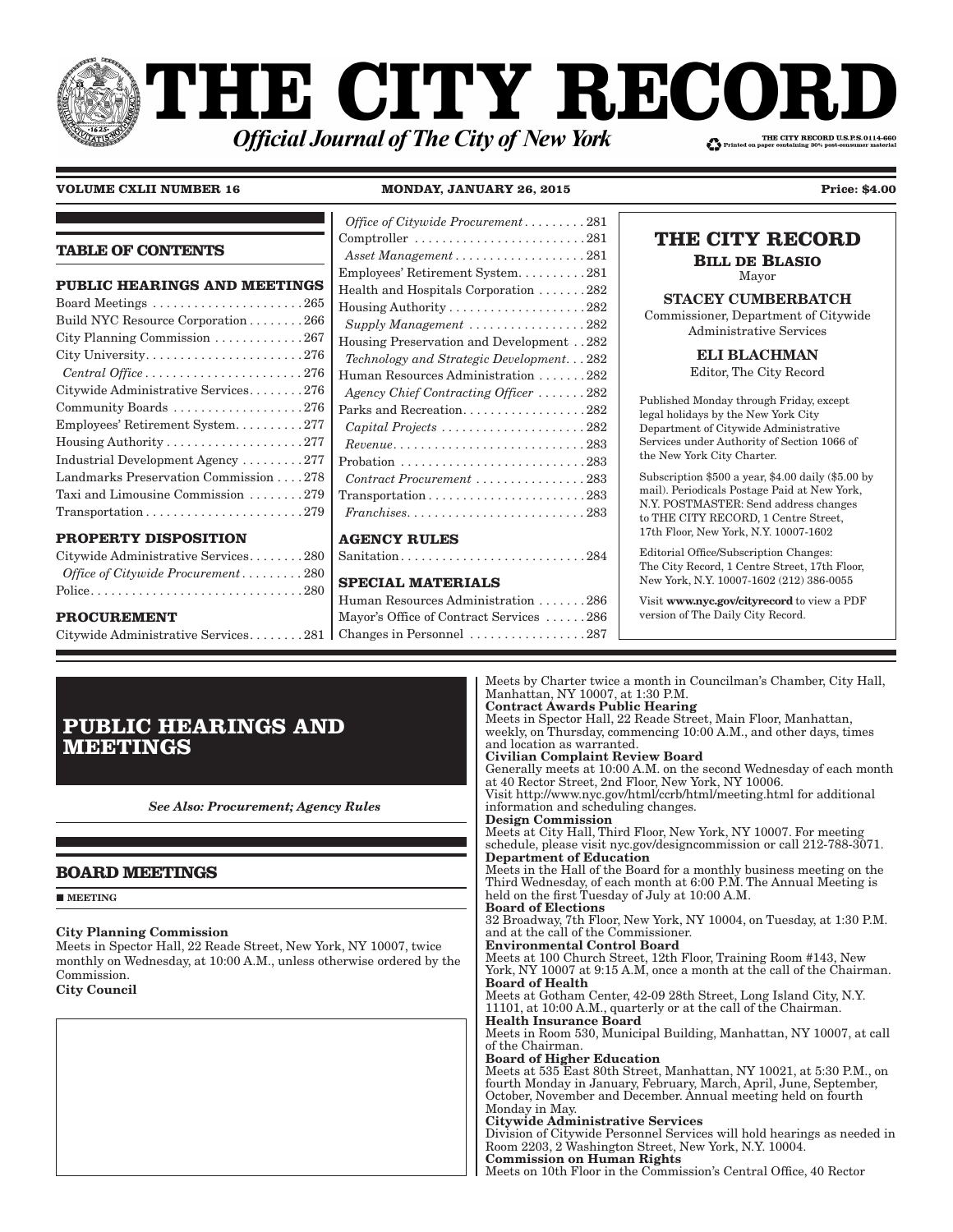# **THE CITY RECOI** THE CITY RECORD U.S.P.S.0114-660 **Official Journal of The City of New York**

**VOLUME CXLII NUMBER 16 MONDAY, JANUARY 26, 2015 Price: \$4.00**

*Office of Citywide Procurement � � � � � � � � �* 281

## **PROPERTY DISPOSITION**

**PROCUREMENT**

| Citywide Administrative Services280 |
|-------------------------------------|
| Office of Citywide Procurement280   |
|                                     |

Citywide Administrative Services . . . . . . . . 281

## Comptroller . . . . . . . . . . . . . . . . . . . . . . . . . 281 *Asset Management* . . . . . . . . . . . . . . . . . . 281 Employees' Retirement System . . . . . . . . . . 281 Health and Hospitals Corporation . . . . . . . 282 Housing Authority . . . . . . . . . . . . . . . . . . . . 282  $Supply Management \ldots \ldots \ldots \ldots \ldots 282$ Housing Preservation and Development . . 282 *Technology and Strategic Development� � �* 282 Human Resources Administration . . . . . . . 282 *Agency Chief Contracting Officer � � � � � � �* 282 Parks and Recreation. . . . . . . . . . . . . . . . . 282

*Capital Projects � � � � � � � � � � � � � � � � � � � � �* 282 *Revenue� � � � � � � � � � � � � � � � � � � � � � � � � � � �* 283 Probation . . . . . . . . . . . . . . . . . . . . . . . . . . . 283 *Contract Procurement � � � � � � � � � � � � � � � �* 283 Transportation . . . . . . . . . . . . . . . . . . . . . . . 283 *Franchises� � � � � � � � � � � � � � � � � � � � � � � � � �* 283

## **AGENCY RULES**

Sanitation . . . . . . . . . . . . . . . . . . . . . . . . . . . 284

## **SPECIAL MATERIALS**

Human Resources Administration . . . . . . . 286 Mayor's Office of Contract Services . . . . . . 286 Changes in Personnel . . . . . . . . . . . . . . . . . 287

| IIIE VII I IEEVVIED                                                                                                                                                                                                            |
|--------------------------------------------------------------------------------------------------------------------------------------------------------------------------------------------------------------------------------|
| <b>BILL DE BLASIO</b><br>Mayor                                                                                                                                                                                                 |
| <b>STACEY CUMBERBATCH</b><br>Commissioner, Department of Citywide<br>Administrative Services                                                                                                                                   |
| ELI BLACHMAN<br>Editor, The City Record                                                                                                                                                                                        |
| Published Monday through Friday, except<br>legal holidays by the New York City<br>Department of Citywide Administrative<br>Services under Authority of Section 1066 of<br>the New York City Charter.                           |
| Subscription $$500$ a year, $$4.00$ daily $$5.00$ by<br>mail). Periodicals Postage Paid at New York,<br>N.Y. POSTMASTER: Send address changes<br>to THE CITY RECORD, 1 Centre Street,<br>17th Floor, New York, N.Y. 10007-1602 |
| Editorial Office/Subscription Changes:<br>The City Record, 1 Centre Street, 17th Floor,<br>New York, N.Y. 10007-1602 (212) 386-0055                                                                                            |

**THE CITY RECORD**

Visit www.nyc.gov/cityrecord to view a PDF version of The Daily City Record.

|                 | <b>PUBLIC HEARINGS AND</b> |
|-----------------|----------------------------|
| <b>MEETINGS</b> |                            |

*See Also: Procurement; Agency Rules*

## **BOARD MEETINGS**

**MEETING** 

## City Planning Commission

Meets in Spector Hall, 22 Reade Street, New York, NY 10007, twice monthly on Wednesday, at 10:00 A.M., unless otherwise ordered by the Commission. City Council

at 40 Rector Street, 2nd Floor, New York, NY 10006. Visit http://www.nyc.gov/html/ccrb/html/meeting.html for additional information and scheduling changes. Design Commission Meets at City Hall, Third Floor, New York, NY 10007. For meeting schedule, please visit nyc.gov/designcommission or call 212-788-3071. Department of Education Meets in the Hall of the Board for a monthly business meeting on the Third Wednesday, of each month at 6:00 P.M. The Annual Meeting is held on the first Tuesday of July at 10:00 A.M. Board of Elections 32 Broadway, 7th Floor, New York, NY 10004, on Tuesday, at 1:30 P.M. and at the call of the Commissioner. Environmental Control Board Meets at 100 Church Street, 12th Floor, Training Room #143, New York, NY 10007 at 9:15 A.M, once a month at the call of the Chairman. Board of Health Meets at Gotham Center, 42-09 28th Street, Long Island City, N.Y. 11101, at 10:00 A.M., quarterly or at the call of the Chairman. Health Insurance Board Meets in Room 530, Municipal Building, Manhattan, NY 10007, at call of the Chairman. Board of Higher Education Meets at 535 East 80th Street, Manhattan, NY 10021, at 5:30 P.M., on fourth Monday in January, February, March, April, June, September, October, November and December. Annual meeting held on fourth Monday in May. Citywide Administrative Services Division of Citywide Personnel Services will hold hearings as needed in Room 2203, 2 Washington Street, New York, N.Y. 10004. Commission on Human Rights

Meets by Charter twice a month in Councilman's Chamber, City Hall,

Generally meets at 10:00 A.M. on the second Wednesday of each month

Meets in Spector Hall, 22 Reade Street, Main Floor, Manhattan, weekly, on Thursday, commencing 10:00 A.M., and other days, times

Manhattan, NY 10007, at 1:30 P.M. Contract Awards Public Hearing

Civilian Complaint Review Board

and location as warranted.

Meets on 10th Floor in the Commission's Central Office, 40 Rector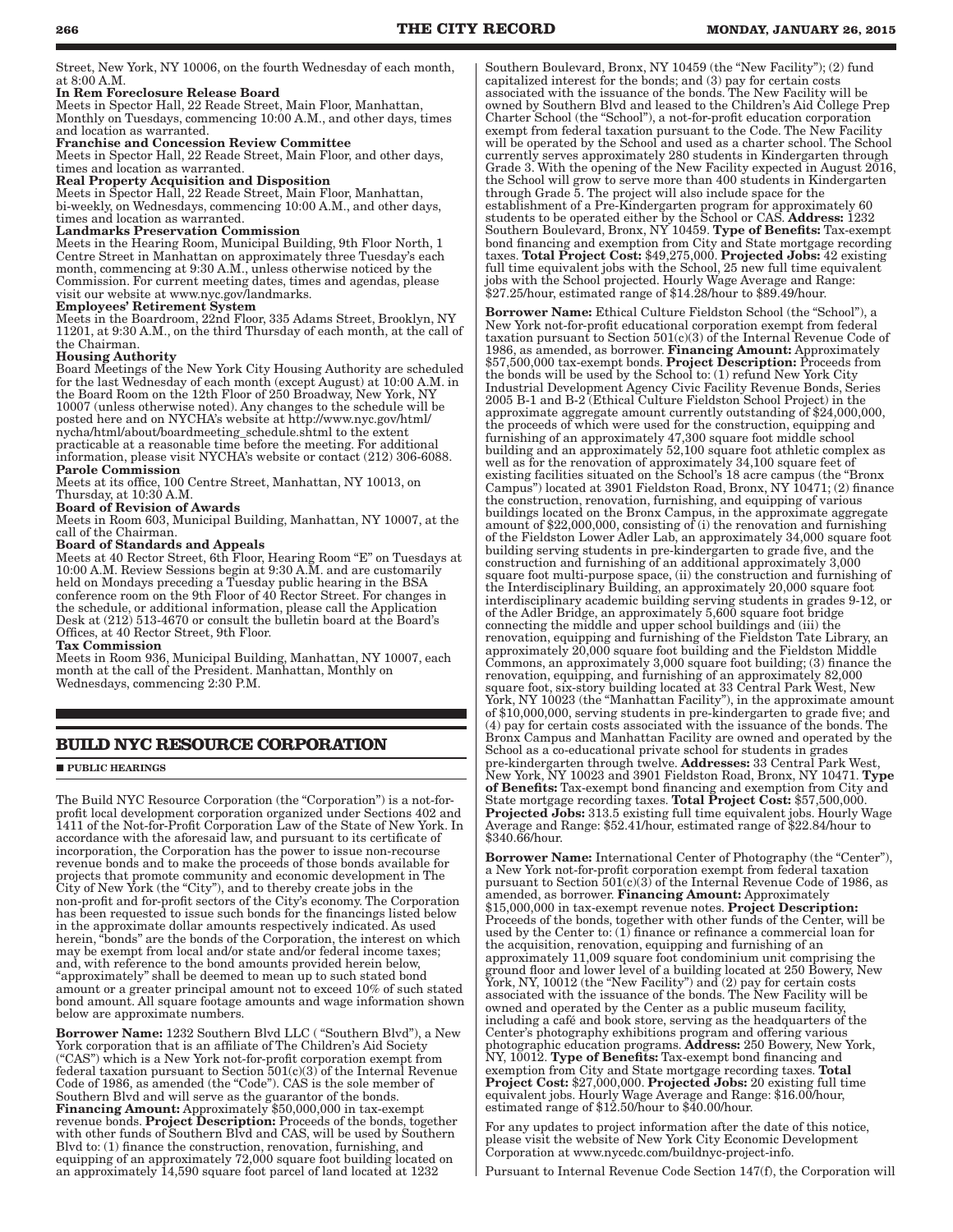Street, New York, NY 10006, on the fourth Wednesday of each month, at 8:00 A.M.

#### In Rem Foreclosure Release Board

Meets in Spector Hall, 22 Reade Street, Main Floor, Manhattan, Monthly on Tuesdays, commencing 10:00 A.M., and other days, times and location as warranted.

#### Franchise and Concession Review Committee

Meets in Spector Hall, 22 Reade Street, Main Floor, and other days, times and location as warranted.

#### Real Property Acquisition and Disposition

Meets in Spector Hall, 22 Reade Street, Main Floor, Manhattan, bi-weekly, on Wednesdays, commencing 10:00 A.M., and other days, times and location as warranted.

#### Landmarks Preservation Commission

Meets in the Hearing Room, Municipal Building, 9th Floor North, 1 Centre Street in Manhattan on approximately three Tuesday's each month, commencing at 9:30 A.M., unless otherwise noticed by the Commission. For current meeting dates, times and agendas, please visit our website at www.nyc.gov/landmarks.

#### Employees' Retirement System

Meets in the Boardroom, 22nd Floor, 335 Adams Street, Brooklyn, NY 11201, at 9:30 A.M., on the third Thursday of each month, at the call of the Chairman.

## Housing Authority

Board Meetings of the New York City Housing Authority are scheduled for the last Wednesday of each month (except August) at 10:00 A.M. in the Board Room on the 12th Floor of 250 Broadway, New York, NY 10007 (unless otherwise noted). Any changes to the schedule will be posted here and on NYCHA's website at http://www.nyc.gov/html/ nycha/html/about/boardmeeting\_schedule.shtml to the extent practicable at a reasonable time before the meeting. For additional information, please visit NYCHA's website or contact (212) 306-6088. Parole Commission

Meets at its office, 100 Centre Street, Manhattan, NY 10013, on Thursday, at 10:30 A.M.

#### Board of Revision of Awards

Meets in Room 603, Municipal Building, Manhattan, NY 10007, at the call of the Chairman.

## Board of Standards and Appeals

Meets at 40 Rector Street, 6th Floor, Hearing Room "E" on Tuesdays at 10:00 A.M. Review Sessions begin at 9:30 A.M. and are customarily held on Mondays preceding a Tuesday public hearing in the BSA conference room on the 9th Floor of 40 Rector Street. For changes in the schedule, or additional information, please call the Application Desk at (212) 513-4670 or consult the bulletin board at the Board's Offices, at 40 Rector Street, 9th Floor.

#### Tax Commission

Meets in Room 936, Municipal Building, Manhattan, NY 10007, each month at the call of the President. Manhattan, Monthly on Wednesdays, commencing 2:30 P.M.

## **BUILD NYC RESOURCE CORPORATION**

## **PUBLIC HEARINGS**

The Build NYC Resource Corporation (the "Corporation") is a not-forprofit local development corporation organized under Sections 402 and 1411 of the Not-for-Profit Corporation Law of the State of New York. In accordance with the aforesaid law, and pursuant to its certificate of incorporation, the Corporation has the power to issue non-recourse revenue bonds and to make the proceeds of those bonds available for projects that promote community and economic development in The City of New York (the "City"), and to thereby create jobs in the non-profit and for-profit sectors of the City's economy. The Corporation has been requested to issue such bonds for the financings listed below in the approximate dollar amounts respectively indicated. As used herein, "bonds" are the bonds of the Corporation, the interest on which may be exempt from local and/or state and/or federal income taxes; and, with reference to the bond amounts provided herein below, "approximately" shall be deemed to mean up to such stated bond amount or a greater principal amount not to exceed 10% of such stated bond amount. All square footage amounts and wage information shown below are approximate numbers.

Borrower Name: 1232 Southern Blvd LLC ( "Southern Blvd"), a New York corporation that is an affiliate of The Children's Aid Society ("CAS") which is a New York not-for-profit corporation exempt from federal taxation pursuant to Section  $501(c)(3)$  of the Internal Revenue Code of 1986, as amended (the "Code"). CAS is the sole member of Southern Blvd and will serve as the guarantor of the bonds. Financing Amount: Approximately \$50,000,000 in tax-exempt revenue bonds. Project Description: Proceeds of the bonds, together with other funds of Southern Blvd and CAS, will be used by Southern Blvd to: (1) finance the construction, renovation, furnishing, and equipping of an approximately 72,000 square foot building located on an approximately 14,590 square foot parcel of land located at 1232

Southern Boulevard, Bronx, NY 10459 (the "New Facility"); (2) fund capitalized interest for the bonds; and (3) pay for certain costs associated with the issuance of the bonds. The New Facility will be owned by Southern Blvd and leased to the Children's Aid College Prep Charter School (the "School"), a not-for-profit education corporation exempt from federal taxation pursuant to the Code. The New Facility will be operated by the School and used as a charter school. The School currently serves approximately 280 students in Kindergarten through Grade 3. With the opening of the New Facility expected in August 2016, the School will grow to serve more than 400 students in Kindergarten through Grade 5. The project will also include space for the establishment of a Pre-Kindergarten program for approximately 60 students to be operated either by the School or CAS. Address: 1232 Southern Boulevard, Bronx, NY 10459. Type of Benefits: Tax-exempt bond financing and exemption from City and State mortgage recording taxes. Total Project Cost: \$49,275,000. Projected Jobs: 42 existing full time equivalent jobs with the School, 25 new full time equivalent jobs with the School projected. Hourly Wage Average and Range: \$27.25/hour, estimated range of \$14.28/hour to \$89.49/hour.

Borrower Name: Ethical Culture Fieldston School (the "School"), a New York not-for-profit educational corporation exempt from federal taxation pursuant to Section  $501(c)(3)$  of the Internal Revenue Code of 1986, as amended, as borrower. Financing Amount: Approximately \$57,500,000 tax-exempt bonds. Project Description: Proceeds from the bonds will be used by the School to: (1) refund New York City Industrial Development Agency Civic Facility Revenue Bonds, Series 2005 B-1 and B-2 (Ethical Culture Fieldston School Project) in the approximate aggregate amount currently outstanding of \$24,000,000, the proceeds of which were used for the construction, equipping and furnishing of an approximately 47,300 square foot middle school building and an approximately 52,100 square foot athletic complex as well as for the renovation of approximately 34,100 square feet of existing facilities situated on the School's 18 acre campus (the "Bronx Campus") located at 3901 Fieldston Road, Bronx, NY 10471; (2) finance the construction, renovation, furnishing, and equipping of various buildings located on the Bronx Campus, in the approximate aggregate amount of \$22,000,000, consisting of (i) the renovation and furnishing of the Fieldston Lower Adler Lab, an approximately 34,000 square foot building serving students in pre-kindergarten to grade five, and the construction and furnishing of an additional approximately 3,000 square foot multi-purpose space, (ii) the construction and furnishing of the Interdisciplinary Building, an approximately 20,000 square foot interdisciplinary academic building serving students in grades 9-12, or of the Adler Bridge, an approximately 5,600 square foot bridge connecting the middle and upper school buildings and (iii) the renovation, equipping and furnishing of the Fieldston Tate Library, an approximately 20,000 square foot building and the Fieldston Middle Commons, an approximately 3,000 square foot building; (3) finance the renovation, equipping, and furnishing of an approximately 82,000 square foot, six-story building located at 33 Central Park West, New York, NY 10023 (the "Manhattan Facility"), in the approximate amount of \$10,000,000, serving students in pre-kindergarten to grade five; and (4) pay for certain costs associated with the issuance of the bonds. The Bronx Campus and Manhattan Facility are owned and operated by the School as a co-educational private school for students in grades pre-kindergarten through twelve. Addresses: 33 Central Park West, New York, NY 10023 and 3901 Fieldston Road, Bronx, NY 10471. Type of Benefits: Tax-exempt bond financing and exemption from City and State mortgage recording taxes. Total Project Cost:  $$57,500,000$ Projected Jobs: 313.5 existing full time equivalent jobs. Hourly Wage Average and Range: \$52.41/hour, estimated range of \$22.84/hour to \$340.66/hour.

Borrower Name: International Center of Photography (the "Center"), a New York not-for-profit corporation exempt from federal taxation pursuant to Section  $501(c)(3)$  of the Internal Revenue Code of 1986, as amended, as borrower. Financing Amount: Approximately \$15,000,000 in tax-exempt revenue notes. Project Description: Proceeds of the bonds, together with other funds of the Center, will be used by the Center to: (1) finance or refinance a commercial loan for the acquisition, renovation, equipping and furnishing of an approximately 11,009 square foot condominium unit comprising the ground floor and lower level of a building located at 250 Bowery, New York, NY, 10012 (the "New Facility") and (2) pay for certain costs associated with the issuance of the bonds. The New Facility will be owned and operated by the Center as a public museum facility, including a café and book store, serving as the headquarters of the Center's photography exhibitions program and offering various photographic education programs. Address: 250 Bowery, New York, NY, 10012. Type of Benefits: Tax-exempt bond financing and exemption from City and State mortgage recording taxes. Total Project Cost: \$27,000,000. Projected Jobs: 20 existing full time equivalent jobs. Hourly Wage Average and Range: \$16.00/hour, estimated range of \$12.50/hour to \$40.00/hour.

For any updates to project information after the date of this notice, please visit the website of New York City Economic Development Corporation at www.nycedc.com/buildnyc-project-info.

Pursuant to Internal Revenue Code Section 147(f), the Corporation will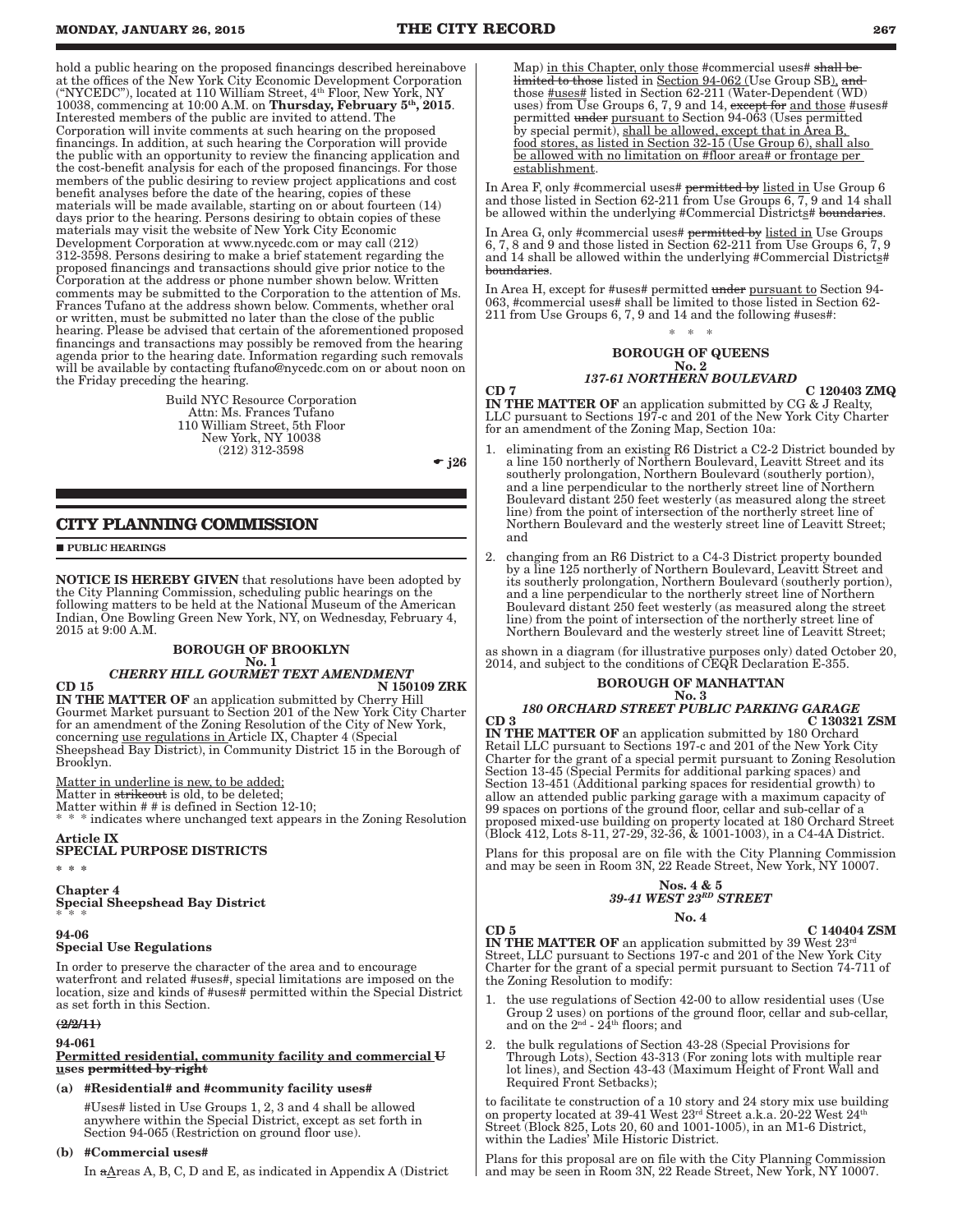hold a public hearing on the proposed financings described hereinabove at the offices of the New York City Economic Development Corporation ("NYCEDC"), located at 110 William Street, 4th Floor, New York, NY 10038, commencing at 10:00 A.M. on Thursday, February 5<sup>th</sup>, 2015. Interested members of the public are invited to attend. The Corporation will invite comments at such hearing on the proposed financings. In addition, at such hearing the Corporation will provide the public with an opportunity to review the financing application and the cost-benefit analysis for each of the proposed financings. For those members of the public desiring to review project applications and cost benefit analyses before the date of the hearing, copies of these materials will be made available, starting on or about fourteen (14) days prior to the hearing. Persons desiring to obtain copies of these materials may visit the website of New York City Economic Development Corporation at www.nycedc.com or may call (212) 312-3598. Persons desiring to make a brief statement regarding the proposed financings and transactions should give prior notice to the Corporation at the address or phone number shown below. Written comments may be submitted to the Corporation to the attention of Ms. Frances Tufano at the address shown below. Comments, whether oral or written, must be submitted no later than the close of the public hearing. Please be advised that certain of the aforementioned proposed financings and transactions may possibly be removed from the hearing agenda prior to the hearing date. Information regarding such removals will be available by contacting ftufano@nycedc.com on or about noon on the Friday preceding the hearing.

> Build NYC Resource Corporation Attn: Ms. Frances Tufano 110 William Street, 5th Floor New York, NY 10038 (212) 312-3598

 $-$  j26

## **CITY PLANNING COMMISSION**

**PUBLIC HEARINGS** 

NOTICE IS HEREBY GIVEN that resolutions have been adopted by the City Planning Commission, scheduling public hearings on the following matters to be held at the National Museum of the American Indian, One Bowling Green New York, NY, on Wednesday, February 4, 2015 at 9:00 A.M.

## BOROUGH OF BROOKLYN

## No. 1 *CHERRY HILL GOURMET TEXT AMENDMENT*

 $CD$  15 N 150109 ZRK IN THE MATTER OF an application submitted by Cherry Hill Gourmet Market pursuant to Section 201 of the New York City Charter for an amendment of the Zoning Resolution of the City of New York, concerning use regulations in Article IX, Chapter 4 (Special Sheepshead Bay District), in Community District 15 in the Borough of Brooklyn.

Matter in underline is new, to be added; Matter in strikeout is old, to be deleted; Matter within # # is defined in Section 12-10; \* indicates where unchanged text appears in the Zoning Resolution

#### Article IX SPECIAL PURPOSE DISTRICTS

\* \* \*

Chapter 4 Special Sheepshead Bay District \* \* \*

## 94-06

## Special Use Regulations

In order to preserve the character of the area and to encourage waterfront and related #uses#, special limitations are imposed on the location, size and kinds of #uses# permitted within the Special District as set forth in this Section.

## $(2/2/11)$

94-061

#### Permitted residential, community facility and commercial U uses permitted by right

## (a) #Residential# and #community facility uses#

#Uses# listed in Use Groups 1, 2, 3 and 4 shall be allowed anywhere within the Special District, except as set forth in Section 94-065 (Restriction on ground floor use).

## (b) #Commercial uses#

In aAreas A, B, C, D and E, as indicated in Appendix A (District

Map) in this Chapter, only those #commercial uses# shall be limited to those listed in Section 94-062 (Use Group SB), and those  $\frac{\text{Huses}}{\text{Huses}}$  listed in Section 62-211 (Water-Dependent (WD) uses) from Use Groups 6, 7, 9 and 14, except for and those #uses# permitted under pursuant to Section 94-063 (Uses permitted by special permit), shall be allowed, except that in Area B, food stores, as listed in Section 32-15 (Use Group 6), shall also be allowed with no limitation on #floor area# or frontage per establishment.

In Area F, only #commercial uses# <del>permitted by</del> <u>listed in</u> Use Group 6 and those listed in Section 62-211 from Use Groups 6, 7, 9 and 14 shall be allowed within the underlying #Commercial Districts# boundaries

In Area G, only #commercial uses# permitted by listed in Use Groups 6, 7, 8 and 9 and those listed in Section 62-211 from Use Groups 6, 7, 9 and 14 shall be allowed within the underlying #Commercial Districts# boundaries.

In Area H, except for #uses# permitted under pursuant to Section 94- 063, #commercial uses# shall be limited to those listed in Section 62- 211 from Use Groups 6, 7, 9 and 14 and the following #uses#:

## \* \* \*

## BOROUGH OF QUEENS

#### No. 2 *137-61 NORTHERN BOULEVARD*

 $\rm CD~7$  C 120403 ZMQ IN THE MATTER OF an application submitted by CG & J Realty, LLC pursuant to Sections 197-c and 201 of the New York City Charter for an amendment of the Zoning Map, Section 10a:

- eliminating from an existing R6 District a C2-2 District bounded by a line 150 northerly of Northern Boulevard, Leavitt Street and its southerly prolongation, Northern Boulevard (southerly portion), and a line perpendicular to the northerly street line of Northern Boulevard distant 250 feet westerly (as measured along the street line) from the point of intersection of the northerly street line of Northern Boulevard and the westerly street line of Leavitt Street; and
- 2. changing from an R6 District to a C4-3 District property bounded by a line 125 northerly of Northern Boulevard, Leavitt Street and its southerly prolongation, Northern Boulevard (southerly portion), and a line perpendicular to the northerly street line of Northern Boulevard distant 250 feet westerly (as measured along the street line) from the point of intersection of the northerly street line of Northern Boulevard and the westerly street line of Leavitt Street;

as shown in a diagram (for illustrative purposes only) dated October 20, 2014, and subject to the conditions of CEQR Declaration E-355.

#### BOROUGH OF MANHATTAN No. 3

## *180 ORCHARD STREET PUBLIC PARKING GARAGE* CD 3 C 130321 ZSM

IN THE MATTER OF an application submitted by 180 Orchard Retail LLC pursuant to Sections 197-c and 201 of the New York City Charter for the grant of a special permit pursuant to Zoning Resolution Section 13-45 (Special Permits for additional parking spaces) and Section 13-451 (Additional parking spaces for residential growth) to allow an attended public parking garage with a maximum capacity of 99 spaces on portions of the ground floor, cellar and sub-cellar of  $\alpha$ proposed mixed-use building on property located at 180 Orchard Street (Block 412, Lots 8-11, 27-29, 32-36, & 1001-1003), in a C4-4A District.

Plans for this proposal are on file with the City Planning Commission and may be seen in Room 3N, 22 Reade Street, New York, NY 10007.

## Nos. 4 & 5 *39-41 WEST 23RD STREET*

## No. 4

CD 5 C 140404 ZSM

IN THE MATTER OF an application submitted by 39 West  $23<sup>rd</sup>$ Street, LLC pursuant to Sections 197-c and 201 of the New York City Charter for the grant of a special permit pursuant to Section 74-711 of the Zoning Resolution to modify:

- 1. the use regulations of Section 42-00 to allow residential uses (Use Group 2 uses) on portions of the ground floor, cellar and sub-cellar, and on the  $2^{\text{nd}}$  -  $24^{\text{th}}$  floors; and
- 2. the bulk regulations of Section 43-28 (Special Provisions for Through Lots), Section 43-313 (For zoning lots with multiple rear lot lines), and Section 43-43 (Maximum Height of Front Wall and Required Front Setbacks);

to facilitate te construction of a 10 story and 24 story mix use building on property located at 39-41 West  $23^{\text{rd}}$  Street a.k.a. 20-22 West  $24^{\text{th}}$ Street (Block 825, Lots 20, 60 and 1001-1005), in an M1-6 District, within the Ladies' Mile Historic District.

Plans for this proposal are on file with the City Planning Commission and may be seen in Room 3N, 22 Reade Street, New York, NY 10007.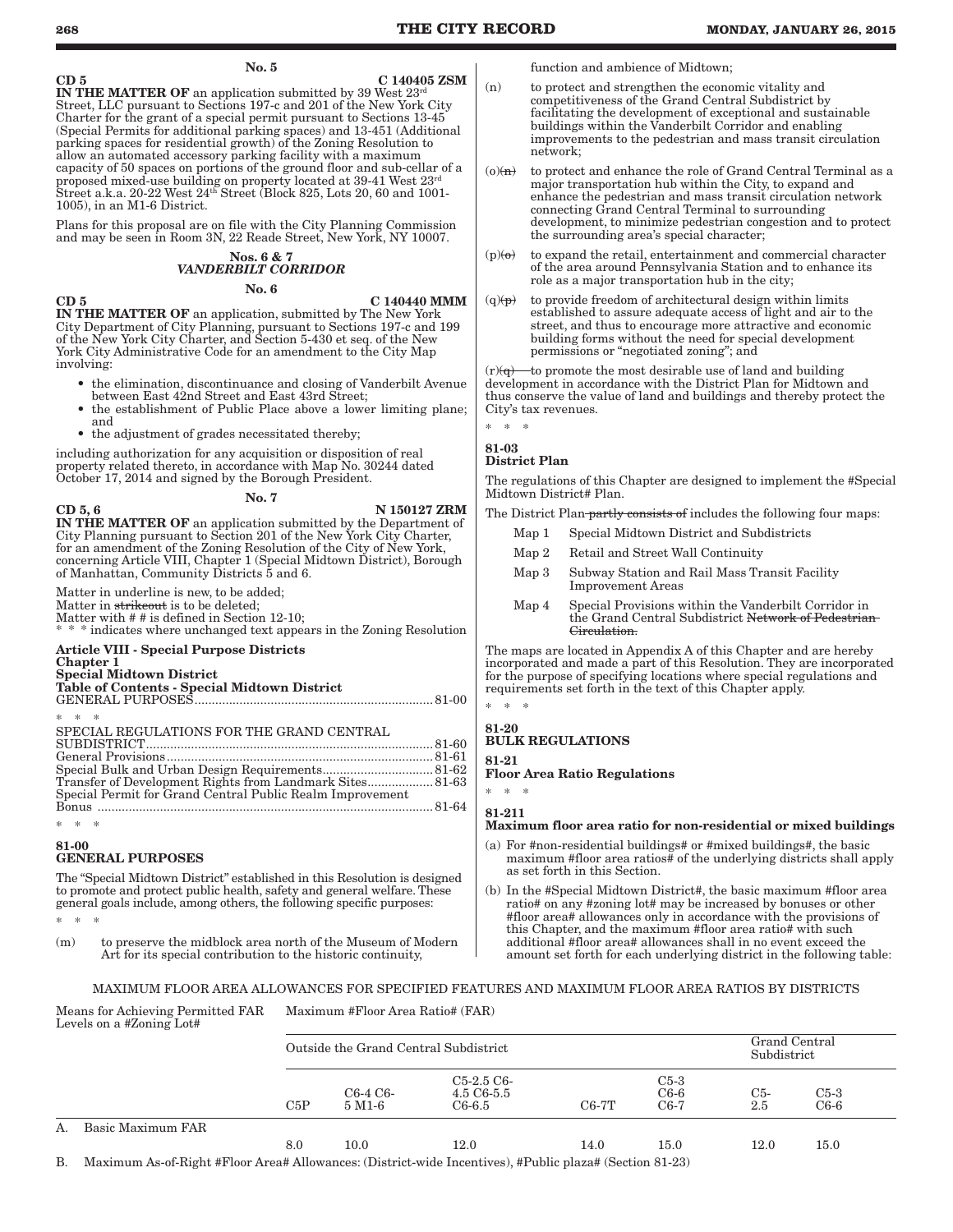No. 5

 $CD 5$   $C 140405 ZSM$ IN THE MATTER OF an application submitted by 39 West  $23<sup>rd</sup>$ Street, LLC pursuant to Sections 197-c and 201 of the New York City Charter for the grant of a special permit pursuant to Sections 13-45 (Special Permits for additional parking spaces) and 13-451 (Additional parking spaces for residential growth) of the Zoning Resolution to allow an automated accessory parking facility with a maximum capacity of 50 spaces on portions of the ground floor and sub-cellar of a proposed mixed-use building on property located at 39-41 West 23rd Street a.k.a. 20-22 West 24th Street (Block 825, Lots 20, 60 and 1001- 1005), in an M1-6 District.

Plans for this proposal are on file with the City Planning Commission and may be seen in Room 3N, 22 Reade Street, New York, NY 10007.

## Nos. 6 & 7 *VANDERBILT CORRIDOR*

No. 6

CD 5 C 140440 MMM

IN THE MATTER OF an application, submitted by The New York City Department of City Planning, pursuant to Sections 197-c and 199 of the New York City Charter, and Section 5-430 et seq. of the New York City Administrative Code for an amendment to the City Map involving:

- the elimination, discontinuance and closing of Vanderbilt Avenue between East 42nd Street and East 43rd Street;
- the establishment of Public Place above a lower limiting plane; and
- the adjustment of grades necessitated thereby;

including authorization for any acquisition or disposition of real property related thereto, in accordance with Map No. 30244 dated October 17, 2014 and signed by the Borough President.

No. 7

 $\rm CD\ 5, 6$  N  $\rm 150127\ ZRM$ IN THE MATTER OF an application submitted by the Department of City Planning pursuant to Section 201 of the New York City Charter, for an amendment of the Zoning Resolution of the City of New York, concerning Article VIII, Chapter 1 (Special Midtown District), Borough of Manhattan, Community Districts 5 and 6.

Matter in underline is new, to be added; Matter in strikeout is to be deleted; Matter with # # is defined in Section 12-10; indicates where unchanged text appears in the Zoning Resolution

#### Article VIII - Special Purpose Districts Chapter 1 Special Midtown District

## Table of Contents - Special Midtown District

GENERAL PURPOSES ..................................................................... 81-00

| $* * * *$                                                 |  |
|-----------------------------------------------------------|--|
| SPECIAL REGULATIONS FOR THE GRAND CENTRAL                 |  |
|                                                           |  |
|                                                           |  |
|                                                           |  |
| Transfer of Development Rights from Landmark Sites 81-63  |  |
| Special Permit for Grand Central Public Realm Improvement |  |
|                                                           |  |

## \* \* \* 81-00

## GENERAL PURPOSES

The "Special Midtown District" established in this Resolution is designed to promote and protect public health, safety and general welfare. These general goals include, among others, the following specific purposes:

\* \* \*

(m) to preserve the midblock area north of the Museum of Modern Art for its special contribution to the historic continuity,

function and ambience of Midtown;

- (n) to protect and strengthen the economic vitality and competitiveness of the Grand Central Subdistrict by facilitating the development of exceptional and sustainable buildings within the Vanderbilt Corridor and enabling improvements to the pedestrian and mass transit circulation network;
- $(o)(n)$  to protect and enhance the role of Grand Central Terminal as a major transportation hub within the City, to expand and enhance the pedestrian and mass transit circulation network connecting Grand Central Terminal to surrounding development, to minimize pedestrian congestion and to protect the surrounding area's special character;
- $(p)(\theta)$  to expand the retail, entertainment and commercial character of the area around Pennsylvania Station and to enhance its role as a major transportation hub in the city;
- $(q)(p)$  to provide freedom of architectural design within limits established to assure adequate access of light and air to the street, and thus to encourage more attractive and economic building forms without the need for special development permissions or "negotiated zoning"; and

 $(r)(q)$  to promote the most desirable use of land and building development in accordance with the District Plan for Midtown and thus conserve the value of land and buildings and thereby protect the City's tax revenues.

## \* \* \* 81-03

## District Plan

The regulations of this Chapter are designed to implement the #Special Midtown District# Plan.

The District Plan partly consists of includes the following four maps:

| Map 1 | Special Midtown District and Subdistricts                                                                   |
|-------|-------------------------------------------------------------------------------------------------------------|
| Map 2 | Retail and Street Wall Continuity                                                                           |
| Map 3 | Subway Station and Rail Mass Transit Facility<br><b>Improvement Areas</b>                                   |
| Map 4 | Special Provisions within the Vanderbilt Corridor in<br>the Grand Central Subdistrict Network of Pedestrian |

The maps are located in Appendix A of this Chapter and are hereby incorporated and made a part of this Resolution. They are incorporated for the purpose of specifying locations where special regulations and requirements set forth in the text of this Chapter apply.

## 81-20

## BULK REGULATIONS 81-21

Floor Area Ratio Regulations

\* \* \* 81-211

\* \* \*

## Maximum floor area ratio for non-residential or mixed buildings

- (a) For #non-residential buildings# or #mixed buildings#, the basic maximum #floor area ratios# of the underlying districts shall apply as set forth in this Section.
- (b) In the #Special Midtown District#, the basic maximum #floor area ratio# on any #zoning lot# may be increased by bonuses or other #floor area# allowances only in accordance with the provisions of this Chapter, and the maximum #floor area ratio# with such additional #floor area# allowances shall in no event exceed the amount set forth for each underlying district in the following table:

## MAXIMUM FLOOR AREA ALLOWANCES FOR SPECIFIED FEATURES AND MAXIMUM FLOOR AREA RATIOS BY DISTRICTS

#### Means for Achieving Permitted FAR Levels on a #Zoning Lot# Maximum #Floor Area Ratio# (FAR)

|    |                   | Outside the Grand Central Subdistrict | Grand Central<br>Subdistrict |                                             |         |                            |                         |                  |
|----|-------------------|---------------------------------------|------------------------------|---------------------------------------------|---------|----------------------------|-------------------------|------------------|
|    |                   | C5P                                   | C6-4 C6-<br>$5\,$ M1-6       | $C_{5-2.5}C_{6-}$<br>4.5 C6-5.5<br>$C6-6.5$ | $C6-7T$ | $C5-3$<br>$C6-6$<br>$C6-7$ | C <sub>5</sub> -<br>2.5 | $C5-3$<br>$C6-6$ |
| Α. | Basic Maximum FAR |                                       |                              |                                             |         |                            |                         |                  |
|    |                   | 8.0                                   | 10.0                         | 12.0                                        | 14.0    | $15.0\,$                   | $12.0\,$                | $15.0\,$         |

B. Maximum As-of-Right #Floor Area# Allowances: (District-wide Incentives), #Public plaza# (Section 81-23)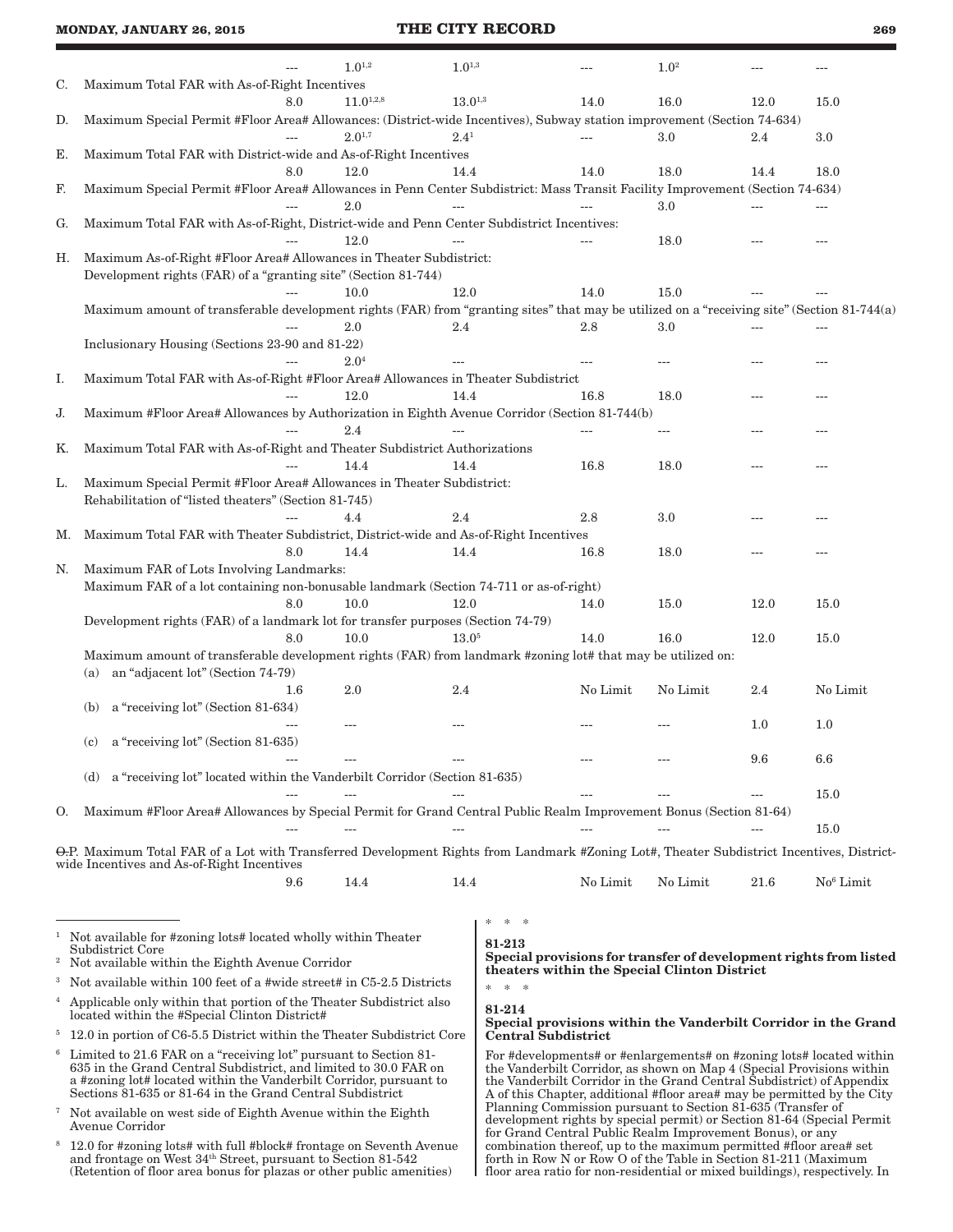|    |                                                                                                                                             |                     | $1.0^{1,2}$                                                    | $1.0^{1,3}$      |                                                                   |          | $1.0^{2}$                                                                                                                                        |      |                       |
|----|---------------------------------------------------------------------------------------------------------------------------------------------|---------------------|----------------------------------------------------------------|------------------|-------------------------------------------------------------------|----------|--------------------------------------------------------------------------------------------------------------------------------------------------|------|-----------------------|
| C. | Maximum Total FAR with As-of-Right Incentives                                                                                               | 8.0                 | $11.0^{1,2,8}$                                                 | $13.0^{\rm 1,3}$ |                                                                   | 14.0     | 16.0                                                                                                                                             | 12.0 |                       |
| D. | Maximum Special Permit #Floor Area# Allowances: (District-wide Incentives), Subway station improvement (Section 74-634)                     |                     |                                                                |                  |                                                                   |          |                                                                                                                                                  |      | 15.0                  |
|    |                                                                                                                                             |                     | $2.0^{1,7}$                                                    | $2.4^{1}$        |                                                                   |          | 3.0                                                                                                                                              | 2.4  | 3.0                   |
| Е. | Maximum Total FAR with District-wide and As-of-Right Incentives                                                                             |                     |                                                                |                  |                                                                   |          |                                                                                                                                                  |      |                       |
|    |                                                                                                                                             | 8.0                 | 12.0                                                           | 14.4             |                                                                   | 14.0     | 18.0                                                                                                                                             | 14.4 | 18.0                  |
| F. | Maximum Special Permit #Floor Area# Allowances in Penn Center Subdistrict: Mass Transit Facility Improvement (Section 74-634)               |                     |                                                                |                  |                                                                   |          |                                                                                                                                                  |      |                       |
|    |                                                                                                                                             |                     | 2.0                                                            |                  |                                                                   |          | 3.0                                                                                                                                              |      |                       |
| G. | Maximum Total FAR with As-of-Right, District-wide and Penn Center Subdistrict Incentives:                                                   |                     |                                                                |                  |                                                                   |          |                                                                                                                                                  |      |                       |
|    |                                                                                                                                             |                     | 12.0                                                           |                  |                                                                   |          | 18.0                                                                                                                                             |      |                       |
| Н. | Maximum As-of-Right #Floor Area# Allowances in Theater Subdistrict:                                                                         |                     |                                                                |                  |                                                                   |          |                                                                                                                                                  |      |                       |
|    | Development rights (FAR) of a "granting site" (Section 81-744)                                                                              |                     |                                                                |                  |                                                                   |          |                                                                                                                                                  |      |                       |
|    |                                                                                                                                             |                     | 10.0                                                           | 12.0             |                                                                   | 14.0     | 15.0                                                                                                                                             |      |                       |
|    | Maximum amount of transferable development rights (FAR) from "granting sites" that may be utilized on a "receiving site" (Section 81-744(a) |                     |                                                                |                  |                                                                   |          |                                                                                                                                                  |      |                       |
|    |                                                                                                                                             |                     | 2.0                                                            | 2.4              |                                                                   | 2.8      | 3.0                                                                                                                                              |      |                       |
|    | Inclusionary Housing (Sections 23-90 and 81-22)                                                                                             |                     |                                                                |                  |                                                                   |          |                                                                                                                                                  |      |                       |
|    |                                                                                                                                             |                     | 2.04                                                           |                  |                                                                   |          |                                                                                                                                                  |      |                       |
| Ι. | Maximum Total FAR with As-of-Right #Floor Area# Allowances in Theater Subdistrict                                                           |                     |                                                                |                  |                                                                   |          |                                                                                                                                                  |      |                       |
|    |                                                                                                                                             |                     | 12.0                                                           | 14.4             |                                                                   | 16.8     | 18.0                                                                                                                                             | ---  |                       |
| J. | Maximum #Floor Area# Allowances by Authorization in Eighth Avenue Corridor (Section 81-744(b)                                               |                     |                                                                |                  |                                                                   |          |                                                                                                                                                  |      |                       |
|    |                                                                                                                                             |                     | 2.4                                                            |                  |                                                                   |          | ---                                                                                                                                              |      |                       |
| Κ. | Maximum Total FAR with As-of-Right and Theater Subdistrict Authorizations                                                                   |                     | 14.4                                                           | 14.4             |                                                                   | 16.8     |                                                                                                                                                  |      |                       |
|    | Maximum Special Permit #Floor Area# Allowances in Theater Subdistrict:                                                                      |                     |                                                                |                  |                                                                   |          | 18.0                                                                                                                                             |      |                       |
| L. | Rehabilitation of "listed theaters" (Section 81-745)                                                                                        |                     |                                                                |                  |                                                                   |          |                                                                                                                                                  |      |                       |
|    |                                                                                                                                             |                     | 4.4                                                            | 2.4              |                                                                   | 2.8      | 3.0                                                                                                                                              |      |                       |
| Μ. | Maximum Total FAR with Theater Subdistrict, District-wide and As-of-Right Incentives                                                        |                     |                                                                |                  |                                                                   |          |                                                                                                                                                  |      |                       |
|    |                                                                                                                                             | 8.0                 | 14.4                                                           | 14.4             |                                                                   | 16.8     | 18.0                                                                                                                                             |      |                       |
| N. | Maximum FAR of Lots Involving Landmarks:                                                                                                    |                     |                                                                |                  |                                                                   |          |                                                                                                                                                  |      |                       |
|    | Maximum FAR of a lot containing non-bonusable landmark (Section 74-711 or as-of-right)                                                      |                     |                                                                |                  |                                                                   |          |                                                                                                                                                  |      |                       |
|    |                                                                                                                                             | 8.0                 | 10.0                                                           | 12.0             |                                                                   | 14.0     | 15.0                                                                                                                                             | 12.0 | 15.0                  |
|    | Development rights (FAR) of a landmark lot for transfer purposes (Section 74-79)                                                            |                     |                                                                |                  |                                                                   |          |                                                                                                                                                  |      |                       |
|    |                                                                                                                                             | 8.0                 | 10.0                                                           | $13.0^{5}$       |                                                                   | 14.0     | 16.0                                                                                                                                             | 12.0 | 15.0                  |
|    | Maximum amount of transferable development rights (FAR) from landmark #zoning lot# that may be utilized on:                                 |                     |                                                                |                  |                                                                   |          |                                                                                                                                                  |      |                       |
|    | an "adjacent lot" (Section 74-79)<br>(a)                                                                                                    |                     |                                                                |                  |                                                                   |          |                                                                                                                                                  |      |                       |
|    |                                                                                                                                             | 1.6                 | 2.0                                                            | 2.4              |                                                                   | No Limit | No Limit                                                                                                                                         | 2.4  | No Limit              |
|    | a "receiving lot" (Section 81-634)<br>(b)                                                                                                   |                     |                                                                |                  |                                                                   |          |                                                                                                                                                  |      |                       |
|    |                                                                                                                                             |                     | ---                                                            |                  |                                                                   |          |                                                                                                                                                  | 1.0  | 1.0                   |
|    | a "receiving lot" (Section 81-635)<br>(c)                                                                                                   |                     |                                                                |                  |                                                                   |          |                                                                                                                                                  |      |                       |
|    |                                                                                                                                             |                     |                                                                |                  |                                                                   |          |                                                                                                                                                  | 9.6  | 6.6                   |
|    | (d) a "receiving lot" located within the Vanderbilt Corridor (Section 81-635)                                                               |                     |                                                                |                  |                                                                   |          |                                                                                                                                                  |      |                       |
|    |                                                                                                                                             |                     |                                                                |                  |                                                                   |          |                                                                                                                                                  |      | 15.0                  |
| O. | Maximum #Floor Area# Allowances by Special Permit for Grand Central Public Realm Improvement Bonus (Section 81-64)                          |                     |                                                                |                  |                                                                   |          |                                                                                                                                                  |      |                       |
|    |                                                                                                                                             |                     |                                                                |                  |                                                                   |          |                                                                                                                                                  |      | 15.0                  |
|    | O.P. Maximum Total FAR of a Lot with Transferred Development Rights from Landmark #Zoning Lot#, Theater Subdistrict Incentives, District-   |                     |                                                                |                  |                                                                   |          |                                                                                                                                                  |      |                       |
|    | wide Incentives and As-of-Right Incentives                                                                                                  |                     |                                                                |                  |                                                                   |          |                                                                                                                                                  |      |                       |
|    |                                                                                                                                             | 9.6                 | 14.4                                                           | 14.4             |                                                                   | No Limit | No Limit                                                                                                                                         | 21.6 | No <sup>6</sup> Limit |
|    |                                                                                                                                             |                     |                                                                |                  |                                                                   |          |                                                                                                                                                  |      |                       |
|    |                                                                                                                                             |                     |                                                                |                  | $\ast$<br>一米                                                      |          |                                                                                                                                                  |      |                       |
|    | <sup>1</sup> Not available for #zoning lots# located wholly within Theater                                                                  |                     |                                                                |                  | 81-213                                                            |          |                                                                                                                                                  |      |                       |
|    | Subdistrict Core<br><sup>2</sup> Not available within the Eighth Avenue Corridor                                                            |                     |                                                                |                  |                                                                   |          | Special provisions for transfer of development rights from listed                                                                                |      |                       |
|    | <sup>3</sup> Not available within 100 feet of a #wide street# in C5-2.5 Districts                                                           |                     |                                                                |                  |                                                                   |          | theaters within the Special Clinton District                                                                                                     |      |                       |
|    |                                                                                                                                             |                     |                                                                |                  | $\approx$<br>$\gg$<br>*                                           |          |                                                                                                                                                  |      |                       |
|    | <sup>4</sup> Applicable only within that portion of the Theater Subdistrict also<br>located within the #Special Clinton District#           |                     | 81-214                                                         |                  |                                                                   |          |                                                                                                                                                  |      |                       |
|    | <sup>5</sup> 12.0 in portion of C6-5.5 District within the Theater Subdistrict Core                                                         | Central Subdistrict | Special provisions within the Vanderbilt Corridor in the Grand |                  |                                                                   |          |                                                                                                                                                  |      |                       |
|    | <sup>6</sup> Limited to 21.6 FAR on a "receiving lot" pursuant to Section 81-                                                               |                     |                                                                |                  |                                                                   |          | For #developments# or #enlargements# on #zoning lots# located within                                                                             |      |                       |
|    | 635 in the Grand Central Subdistrict, and limited to 30.0 FAR on                                                                            |                     |                                                                |                  |                                                                   |          | the Vanderbilt Corridor, as shown on Map 4 (Special Provisions within                                                                            |      |                       |
|    | a #zoning lot# located within the Vanderbilt Corridor, pursuant to<br>Sections 81-635 or 81-64 in the Grand Central Subdistrict             |                     |                                                                |                  |                                                                   |          | the Vanderbilt Corridor in the Grand Central Subdistrict) of Appendix<br>A of this Chapter, additional #floor area# may be permitted by the City |      |                       |
|    | <sup>7</sup> Not available on west side of Eighth Avenue within the Eighth                                                                  |                     |                                                                |                  |                                                                   |          | Planning Commission pursuant to Section 81-635 (Transfer of                                                                                      |      |                       |
|    | Avenue Corridor                                                                                                                             |                     |                                                                |                  |                                                                   |          | development rights by special permit) or Section 81-64 (Special Permit<br>for Grand Central Public Realm Improvement Bonus), or any              |      |                       |
|    | <sup>8</sup> 12.0 for #zoning lots# with full #block# frontage on Seventh Avenue                                                            |                     |                                                                |                  | combination thereof, up to the maximum permitted #floor area# set |          |                                                                                                                                                  |      |                       |

forth in Row N or Row O of the Table in Section 81-211 (Maximum floor area ratio for non-residential or mixed buildings), respectively. In

| <sup>8</sup> 12.0 for #zoning lots# with full #block# frontage on Seventh Avenue |
|----------------------------------------------------------------------------------|
| and frontage on West 34 <sup>th</sup> Street, pursuant to Section 81-542         |
| (Retention of floor area bonus for plazas or other public amenities)             |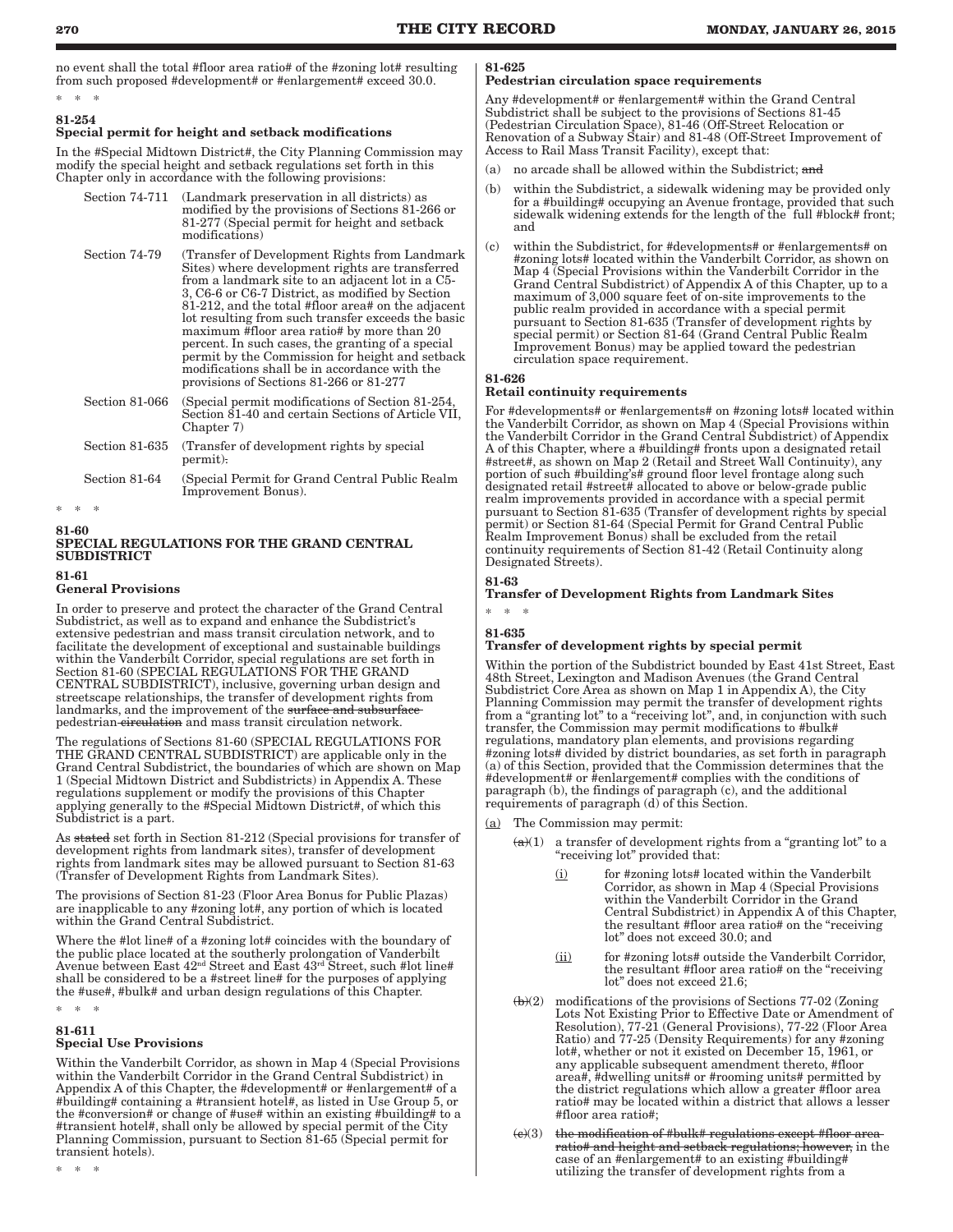no event shall the total #floor area ratio# of the #zoning lot# resulting from such proposed #development# or #enlargement# exceed 30.0.

## \* \* \* 81-254

## Special permit for height and setback modifications

In the #Special Midtown District#, the City Planning Commission may modify the special height and setback regulations set forth in this Chapter only in accordance with the following provisions:

| Section 74-711 | (Landmark preservation in all districts) as<br>modified by the provisions of Sections 81-266 or<br>81-277 (Special permit for height and setback)<br>modifications)                                                                                                                                                                                                                                                                                                                                                                                                     |
|----------------|-------------------------------------------------------------------------------------------------------------------------------------------------------------------------------------------------------------------------------------------------------------------------------------------------------------------------------------------------------------------------------------------------------------------------------------------------------------------------------------------------------------------------------------------------------------------------|
| Section 74-79  | (Transfer of Development Rights from Landmark)<br>Sites) where development rights are transferred<br>from a landmark site to an adjacent lot in a C5-<br>3, C6-6 or C6-7 District, as modified by Section<br>81-212, and the total #floor area# on the adjacent<br>lot resulting from such transfer exceeds the basic<br>maximum #floor area ratio# by more than 20<br>percent. In such cases, the granting of a special<br>permit by the Commission for height and setback<br>modifications shall be in accordance with the<br>provisions of Sections 81-266 or 81-277 |
| Section 81-066 | (Special permit modifications of Section 81-254,<br>Section 81-40 and certain Sections of Article VII,<br>Chapter 7)                                                                                                                                                                                                                                                                                                                                                                                                                                                    |
| Section 81-635 | (Transfer of development rights by special)<br>permit).                                                                                                                                                                                                                                                                                                                                                                                                                                                                                                                 |
| Section 81-64  | (Special Permit for Grand Central Public Realm)<br>Improvement Bonus).                                                                                                                                                                                                                                                                                                                                                                                                                                                                                                  |

 $\ast$ 

#### 81-60

## SPECIAL REGULATIONS FOR THE GRAND CENTRAL SUBDISTRICT

81-61

## General Provisions

In order to preserve and protect the character of the Grand Central Subdistrict, as well as to expand and enhance the Subdistrict's extensive pedestrian and mass transit circulation network, and to facilitate the development of exceptional and sustainable buildings within the Vanderbilt Corridor, special regulations are set forth in Section 81-60 (SPECIAL REGULATIONS FOR THE GRAND CENTRAL SUBDISTRICT), inclusive, governing urban design and streetscape relationships, the transfer of development rights from landmarks, and the improvement of the surface and subsurface pedestrian circulation and mass transit circulation network.

The regulations of Sections 81-60 (SPECIAL REGULATIONS FOR THE GRAND CENTRAL SUBDISTRICT) are applicable only in the Grand Central Subdistrict, the boundaries of which are shown on Map 1 (Special Midtown District and Subdistricts) in Appendix A. These regulations supplement or modify the provisions of this Chapter applying generally to the #Special Midtown District#, of which this Subdistrict is a part.

As stated set forth in Section 81-212 (Special provisions for transfer of development rights from landmark sites), transfer of development rights from landmark sites may be allowed pursuant to Section 81-63 (Transfer of Development Rights from Landmark Sites).

The provisions of Section 81-23 (Floor Area Bonus for Public Plazas) are inapplicable to any #zoning lot#, any portion of which is located within the Grand Central Subdistrict.

Where the #lot line# of a #zoning lot# coincides with the boundary of the public place located at the southerly prolongation of Vanderbilt Avenue between East 42nd Street and East 43rd Street, such #lot line# shall be considered to be a #street line# for the purposes of applying the #use#, #bulk# and urban design regulations of this Chapter.

\* \* \*

## 81-611

\* \* \*

## Special Use Provisions

Within the Vanderbilt Corridor, as shown in Map 4 (Special Provisions within the Vanderbilt Corridor in the Grand Central Subdistrict) in Appendix A of this Chapter, the #development# or #enlargement# of a #building# containing a #transient hotel#, as listed in Use Group 5, or the #conversion# or change of #use# within an existing #building# to a #transient hotel#, shall only be allowed by special permit of the City Planning Commission, pursuant to Section 81-65 (Special permit for transient hotels).

#### 81-625

## Pedestrian circulation space requirements

Any #development# or #enlargement# within the Grand Central Subdistrict shall be subject to the provisions of Sections 81-45 (Pedestrian Circulation Space), 81-46 (Off-Street Relocation or Renovation of a Subway Stair) and 81-48 (Off-Street Improvement of Access to Rail Mass Transit Facility), except that:

- (a) no arcade shall be allowed within the Subdistrict; and
- (b) within the Subdistrict, a sidewalk widening may be provided only for a #building# occupying an Avenue frontage, provided that such sidewalk widening extends for the length of the full #block# front; and
- (c) within the Subdistrict, for #developments# or #enlargements# on #zoning lots# located within the Vanderbilt Corridor, as shown on Map 4 (Special Provisions within the Vanderbilt Corridor in the Grand Central Subdistrict) of Appendix A of this Chapter, up to a maximum of 3,000 square feet of on-site improvements to the public realm provided in accordance with a special permit pursuant to Section 81-635 (Transfer of development rights by special permit) or Section 81-64 (Grand Central Public Realm Improvement Bonus) may be applied toward the pedestrian circulation space requirement.

#### 81-626

## Retail continuity requirements

For #developments# or #enlargements# on #zoning lots# located within the Vanderbilt Corridor, as shown on Map 4 (Special Provisions within the Vanderbilt Corridor in the Grand Central Subdistrict) of Appendix A of this Chapter, where a #building# fronts upon a designated retail #street#, as shown on Map 2 (Retail and Street Wall Continuity), any portion of such #building's# ground floor level frontage along such designated retail #street# allocated to above or below-grade public realm improvements provided in accordance with a special permit pursuant to Section 81-635 (Transfer of development rights by special permit) or Section 81-64 (Special Permit for Grand Central Public Realm Improvement Bonus) shall be excluded from the retail continuity requirements of Section 81-42 (Retail Continuity along Designated Streets).

## 81-63

## Transfer of Development Rights from Landmark Sites

## \* \* \* 81-635

## Transfer of development rights by special permit

Within the portion of the Subdistrict bounded by East 41st Street, East 48th Street, Lexington and Madison Avenues (the Grand Central Subdistrict Core Area as shown on Map 1 in Appendix A), the City Planning Commission may permit the transfer of development rights from a "granting lot" to a "receiving lot", and, in conjunction with such transfer, the Commission may permit modifications to #bulk# regulations, mandatory plan elements, and provisions regarding #zoning lots# divided by district boundaries, as set forth in paragraph (a) of this Section, provided that the Commission determines that the #development# or #enlargement# complies with the conditions of paragraph (b), the findings of paragraph (c), and the additional requirements of paragraph (d) of this Section.

- (a) The Commission may permit:
	- $(a)(1)$  a transfer of development rights from a "granting lot" to a "receiving lot" provided that:
		- (i) for #zoning lots# located within the Vanderbilt Corridor, as shown in Map 4 (Special Provisions within the Vanderbilt Corridor in the Grand Central Subdistrict) in Appendix A of this Chapter, the resultant #floor area ratio# on the "receiving lot" does not exceed 30.0; and
		- (ii) for #zoning lots# outside the Vanderbilt Corridor, the resultant #floor area ratio# on the "receiving lot" does not exceed 21.6;
	- (b)(2) modifications of the provisions of Sections 77-02 (Zoning Lots Not Existing Prior to Effective Date or Amendment of Resolution), 77-21 (General Provisions), 77-22 (Floor Area Ratio) and 77-25 (Density Requirements) for any #zoning lot#, whether or not it existed on December 15, 1961, or any applicable subsequent amendment thereto, #floor area#, #dwelling units# or #rooming units# permitted by the district regulations which allow a greater #floor area ratio# may be located within a district that allows a lesser #floor area ratio#;
	- $(e)(3)$  the modification of #bulk# regulations except #floor area ratio# and height and setback regulations; however, in the case of an #enlargement# to an existing #building# utilizing the transfer of development rights from a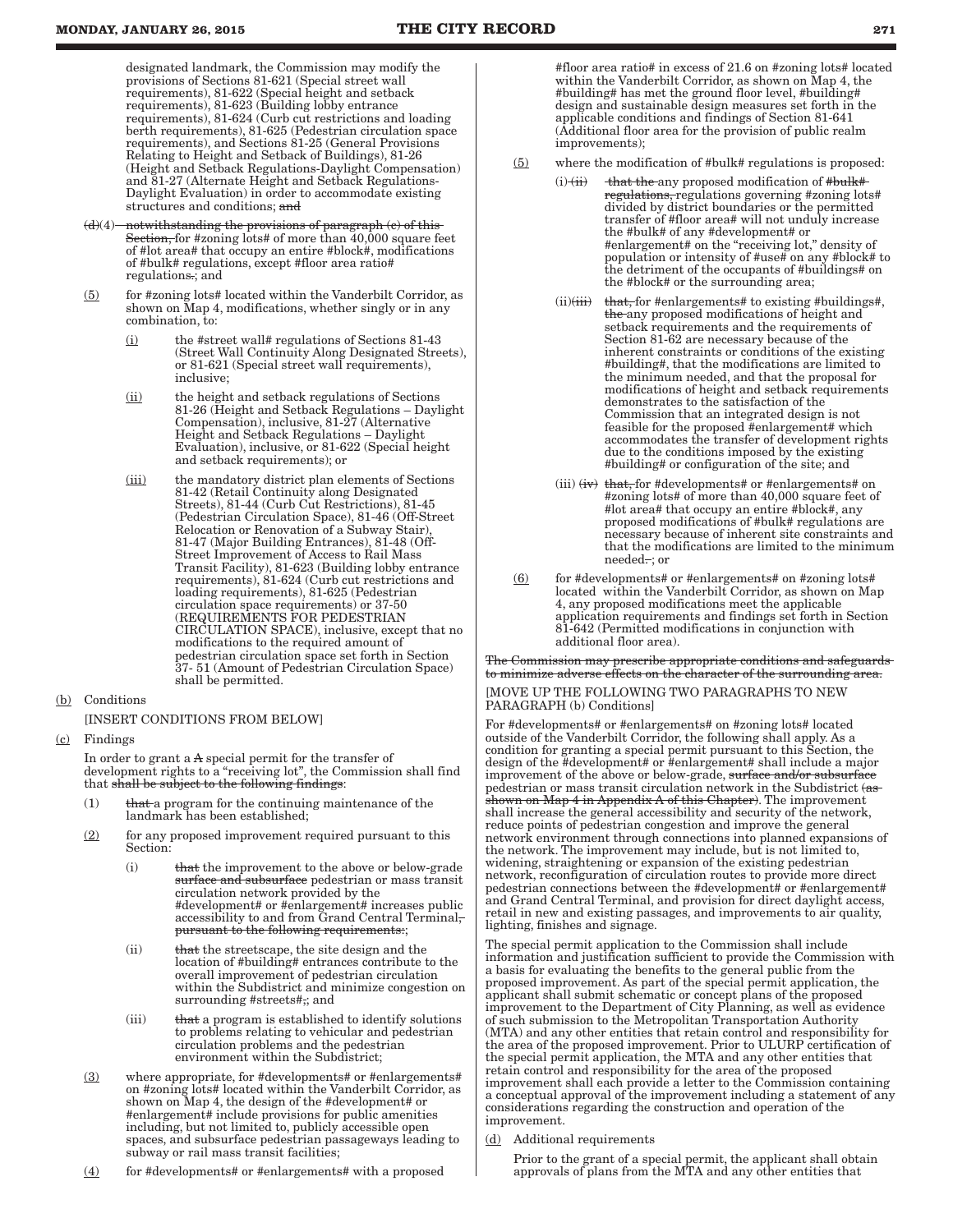designated landmark, the Commission may modify the provisions of Sections 81-621 (Special street wall requirements), 81-622 (Special height and setback requirements), 81-623 (Building lobby entrance requirements), 81-624 (Curb cut restrictions and loading berth requirements), 81-625 (Pedestrian circulation space requirements), and Sections 81-25 (General Provisions Relating to Height and Setback of Buildings), 81-26 (Height and Setback Regulations-Daylight Compensation) and 81-27 (Alternate Height and Setback Regulations-Daylight Evaluation) in order to accommodate existing structures and conditions; and

- $(d)(4)$  notwithstanding the provisions of paragraph  $(e)$  of this Section, for #zoning lots# of more than 40,000 square feet of #lot area# that occupy an entire #block#, modifications of #bulk# regulations, except #floor area ratio# regulations.; and
- $(5)$  for #zoning lots# located within the Vanderbilt Corridor, as shown on Map 4, modifications, whether singly or in any combination, to:
	- (i) the #street wall# regulations of Sections 81-43 (Street Wall Continuity Along Designated Streets), or 81-621 (Special street wall requirements), inclusive;
	- (ii) the height and setback regulations of Sections 81-26 (Height and Setback Regulations – Daylight Compensation), inclusive, 81-27 (Alternative Height and Setback Regulations – Daylight Evaluation), inclusive, or 81-622 (Special height and setback requirements); or
	- (iii) the mandatory district plan elements of Sections 81-42 (Retail Continuity along Designated Streets), 81-44 (Curb Cut Restrictions), 81-45 (Pedestrian Circulation Space), 81-46 (Off-Street Relocation or Renovation of a Subway Stair), 81-47 (Major Building Entrances), 81-48 (Off-Street Improvement of Access to Rail Mass Transit Facility), 81-623 (Building lobby entrance requirements), 81-624 (Curb cut restrictions and loading requirements), 81-625 (Pedestrian circulation space requirements) or 37-50 (REQUIREMENTS FOR PEDESTRIAN CIRCULATION SPACE), inclusive, except that no modifications to the required amount of pedestrian circulation space set forth in Section 37- 51 (Amount of Pedestrian Circulation Space) shall be permitted.
- (b) Conditions

[INSERT CONDITIONS FROM BELOW]

(c) Findings

In order to grant a A special permit for the transfer of development rights to a "receiving lot", the Commission shall find that shall be subject to the following findings:

- $(1)$  that a program for the continuing maintenance of the landmark has been established;
- $(2)$  for any proposed improvement required pursuant to this Section:
	- (i) that the improvement to the above or below-grade surface and subsurface pedestrian or mass transit circulation network provided by the #development# or #enlargement# increases public accessibility to and from Grand Central Terminal, pursuant to the following requirements:;
	- (ii) that the streetscape, the site design and the location of #building# entrances contribute to the overall improvement of pedestrian circulation within the Subdistrict and minimize congestion on surrounding #streets#,; and
	- (iii) that a program is established to identify solutions to problems relating to vehicular and pedestrian circulation problems and the pedestrian environment within the Subdistrict;
- $(3)$  where appropriate, for #developments# or #enlargements# on #zoning lots# located within the Vanderbilt Corridor, as shown on Map 4, the design of the #development# or #enlargement# include provisions for public amenities including, but not limited to, publicly accessible open spaces, and subsurface pedestrian passageways leading to subway or rail mass transit facilities;
- (4) for #developments# or #enlargements# with a proposed

#floor area ratio# in excess of 21.6 on #zoning lots# located within the Vanderbilt Corridor, as shown on Map 4, the #building# has met the ground floor level, #building# design and sustainable design measures set forth in the applicable conditions and findings of Section 81-641 (Additional floor area for the provision of public realm improvements);

- (5) where the modification of #bulk# regulations is proposed:
	- (i) (ii) that the any proposed modification of #bulk# regulations, regulations governing #zoning lots# divided by district boundaries or the permitted transfer of #floor area# will not unduly increase the #bulk# of any #development# or #enlargement# on the "receiving lot," density of population or intensity of #use# on any #block# to the detriment of the occupants of #buildings# on the #block# or the surrounding area;
	- (ii) $(\overrightarrow{iii})$  that, for #enlargements# to existing #buildings#, the any proposed modifications of height and setback requirements and the requirements of Section 81-62 are necessary because of the inherent constraints or conditions of the existing #building#, that the modifications are limited to the minimum needed, and that the proposal for modifications of height and setback requirements demonstrates to the satisfaction of the Commission that an integrated design is not feasible for the proposed #enlargement# which accommodates the transfer of development rights due to the conditions imposed by the existing #building# or configuration of the site; and
	- (iii)  $(iv)$  that, for #developments# or #enlargements# on #zoning lots# of more than 40,000 square feet of #lot area# that occupy an entire #block#, any proposed modifications of #bulk# regulations are necessary because of inherent site constraints and that the modifications are limited to the minimum  $need$ : or
- $(6)$  for #developments# or #enlargements# on #zoning lots# located within the Vanderbilt Corridor, as shown on Map 4, any proposed modifications meet the applicable application requirements and findings set forth in Section 81-642 (Permitted modifications in conjunction with additional floor area).

The Commission may prescribe appropriate conditions and safeguards to minimize adverse effects on the character of the surrounding area.

#### [MOVE UP THE FOLLOWING TWO PARAGRAPHS TO NEW PARAGRAPH (b) Conditions]

For #developments# or #enlargements# on #zoning lots# located outside of the Vanderbilt Corridor, the following shall apply. As a condition for granting a special permit pursuant to this Section, the design of the #development# or #enlargement# shall include a major improvement of the above or below-grade, surface and/or subsurfa pedestrian or mass transit circulation network in the Subdistrict (as shown on Map 4 in Appendix A of this Chapter). The improvement shall increase the general accessibility and security of the network, reduce points of pedestrian congestion and improve the general network environment through connections into planned expansions of the network. The improvement may include, but is not limited to, widening, straightening or expansion of the existing pedestrian network, reconfiguration of circulation routes to provide more direct pedestrian connections between the #development# or #enlargement# and Grand Central Terminal, and provision for direct daylight access, retail in new and existing passages, and improvements to air quality, lighting, finishes and signage.

The special permit application to the Commission shall include information and justification sufficient to provide the Commission with a basis for evaluating the benefits to the general public from the proposed improvement. As part of the special permit application, the applicant shall submit schematic or concept plans of the proposed improvement to the Department of City Planning, as well as evidence of such submission to the Metropolitan Transportation Authority (MTA) and any other entities that retain control and responsibility for the area of the proposed improvement. Prior to ULURP certification of the special permit application, the MTA and any other entities that retain control and responsibility for the area of the proposed improvement shall each provide a letter to the Commission containing a conceptual approval of the improvement including a statement of any considerations regarding the construction and operation of the improvement.

#### (d) Additional requirements

Prior to the grant of a special permit, the applicant shall obtain approvals of plans from the MTA and any other entities that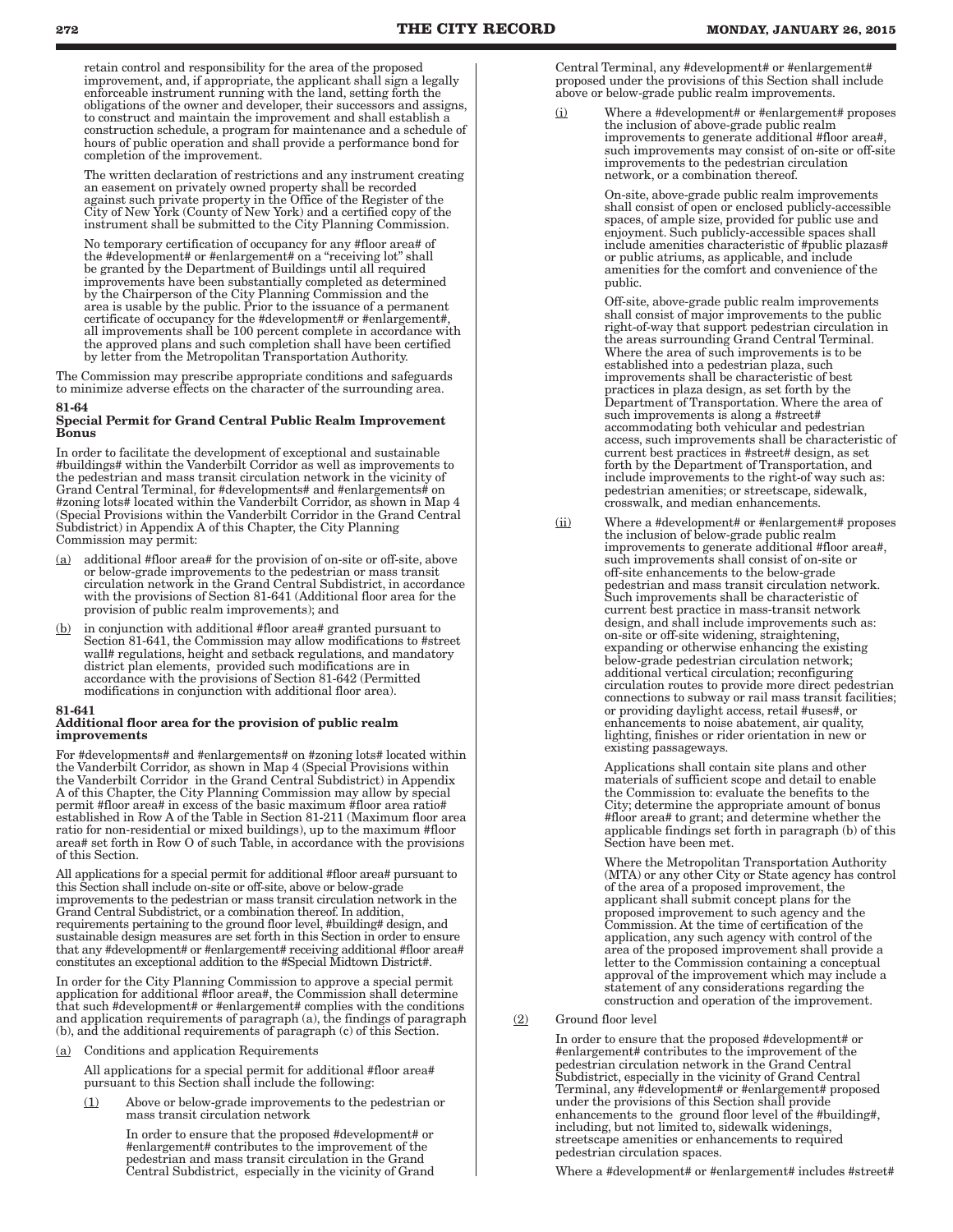retain control and responsibility for the area of the proposed improvement, and, if appropriate, the applicant shall sign a legally enforceable instrument running with the land, setting forth the obligations of the owner and developer, their successors and assigns, to construct and maintain the improvement and shall establish a construction schedule, a program for maintenance and a schedule of hours of public operation and shall provide a performance bond for completion of the improvement.

The written declaration of restrictions and any instrument creating an easement on privately owned property shall be recorded against such private property in the Office of the Register of the City of New York (County of New York) and a certified copy of the instrument shall be submitted to the City Planning Commission.

No temporary certification of occupancy for any #floor area# of the #development# or #enlargement# on a "receiving lot" shall be granted by the Department of Buildings until all required improvements have been substantially completed as determined by the Chairperson of the City Planning Commission and the area is usable by the public. Prior to the issuance of a permanent certificate of occupancy for the #development# or #enlargement#, all improvements shall be 100 percent complete in accordance with the approved plans and such completion shall have been certified by letter from the Metropolitan Transportation Authority.

The Commission may prescribe appropriate conditions and safeguards to minimize adverse effects on the character of the surrounding area.

#### 81-64 Special Permit for Grand Central Public Realm Improvement Bonus

In order to facilitate the development of exceptional and sustainable #buildings# within the Vanderbilt Corridor as well as improvements to the pedestrian and mass transit circulation network in the vicinity of Grand Central Terminal, for #developments# and #enlargements# on #zoning lots# located within the Vanderbilt Corridor, as shown in Map 4 (Special Provisions within the Vanderbilt Corridor in the Grand Central Subdistrict) in Appendix A of this Chapter, the City Planning Commission may permit:

- (a) additional #floor area# for the provision of on-site or off-site, above or below-grade improvements to the pedestrian or mass transit circulation network in the Grand Central Subdistrict, in accordance with the provisions of Section 81-641 (Additional floor area for the provision of public realm improvements); and
- $(b)$  in conjunction with additional #floor area# granted pursuant to Section 81-641, the Commission may allow modifications to #street wall# regulations, height and setback regulations, and mandatory district plan elements, provided such modifications are in accordance with the provisions of Section 81-642 (Permitted modifications in conjunction with additional floor area).

## 81-641

#### Additional floor area for the provision of public realm improvements

For #developments# and #enlargements# on #zoning lots# located within the Vanderbilt Corridor, as shown in Map 4 (Special Provisions within the Vanderbilt Corridor in the Grand Central Subdistrict) in Appendix A of this Chapter, the City Planning Commission may allow by special permit #floor area# in excess of the basic maximum #floor area ratio# established in Row A of the Table in Section 81-211 (Maximum floor area ratio for non-residential or mixed buildings), up to the maximum #floor area# set forth in Row O of such Table, in accordance with the provisions of this Section.

All applications for a special permit for additional #floor area# pursuant to this Section shall include on-site or off-site, above or below-grade improvements to the pedestrian or mass transit circulation network in the Grand Central Subdistrict, or a combination thereof. In addition, requirements pertaining to the ground floor level, #building# design, and sustainable design measures are set forth in this Section in order to ensure that any #development# or #enlargement# receiving additional #floor area# constitutes an exceptional addition to the #Special Midtown District#.

In order for the City Planning Commission to approve a special permit application for additional #floor area#, the Commission shall determine that such #development# or #enlargement# complies with the conditions and application requirements of paragraph (a), the findings of paragraph (b), and the additional requirements of paragraph (c) of this Section.

(a) Conditions and application Requirements

All applications for a special permit for additional #floor area# pursuant to this Section shall include the following:

(1) Above or below-grade improvements to the pedestrian or mass transit circulation network

> In order to ensure that the proposed #development# or #enlargement# contributes to the improvement of the pedestrian and mass transit circulation in the Grand Central Subdistrict, especially in the vicinity of Grand

Central Terminal, any #development# or #enlargement# proposed under the provisions of this Section shall include above or below-grade public realm improvements.

Where a #development# or #enlargement# proposes the inclusion of above-grade public realm improvements to generate additional #floor area#, such improvements may consist of on-site or off-site improvements to the pedestrian circulation network, or a combination thereof.

> On-site, above-grade public realm improvements shall consist of open or enclosed publicly-accessible spaces, of ample size, provided for public use and enjoyment. Such publicly-accessible spaces shall include amenities characteristic of #public plazas# or public atriums, as applicable, and include amenities for the comfort and convenience of the public.

Off-site, above-grade public realm improvements shall consist of major improvements to the public right-of-way that support pedestrian circulation in the areas surrounding Grand Central Terminal. Where the area of such improvements is to be established into a pedestrian plaza, such improvements shall be characteristic of best practices in plaza design, as set forth by the Department of Transportation. Where the area of such improvements is along a #street# accommodating both vehicular and pedestrian access, such improvements shall be characteristic of current best practices in #street# design, as set forth by the Department of Transportation, and include improvements to the right-of way such as: pedestrian amenities; or streetscape, sidewalk, crosswalk, and median enhancements.

(ii) Where a #development# or #enlargement# proposes the inclusion of below-grade public realm improvements to generate additional #floor area#, such improvements shall consist of on-site or off-site enhancements to the below-grade pedestrian and mass transit circulation network. Such improvements shall be characteristic of current best practice in mass-transit network design, and shall include improvements such as: on-site or off-site widening, straightening, expanding or otherwise enhancing the existing below-grade pedestrian circulation network; additional vertical circulation; reconfiguring circulation routes to provide more direct pedestrian connections to subway or rail mass transit facilities; or providing daylight access, retail #uses#, or enhancements to noise abatement, air quality, lighting, finishes or rider orientation in new or existing passageways.

> Applications shall contain site plans and other materials of sufficient scope and detail to enable the Commission to: evaluate the benefits to the City; determine the appropriate amount of bonus #floor area# to grant; and determine whether the applicable findings set forth in paragraph (b) of this Section have been met.

> Where the Metropolitan Transportation Authority (MTA) or any other City or State agency has control of the area of a proposed improvement, the applicant shall submit concept plans for the proposed improvement to such agency and the Commission. At the time of certification of the application, any such agency with control of the area of the proposed improvement shall provide a letter to the Commission containing a conceptual approval of the improvement which may include a statement of any considerations regarding the construction and operation of the improvement.

## (2) Ground floor level

In order to ensure that the proposed #development# or #enlargement# contributes to the improvement of the pedestrian circulation network in the Grand Central Subdistrict, especially in the vicinity of Grand Central Terminal, any #development# or #enlargement# proposed under the provisions of this Section shall provide enhancements to the ground floor level of the #building#, including, but not limited to, sidewalk widenings, streetscape amenities or enhancements to required pedestrian circulation spaces.

Where a #development# or #enlargement# includes #street#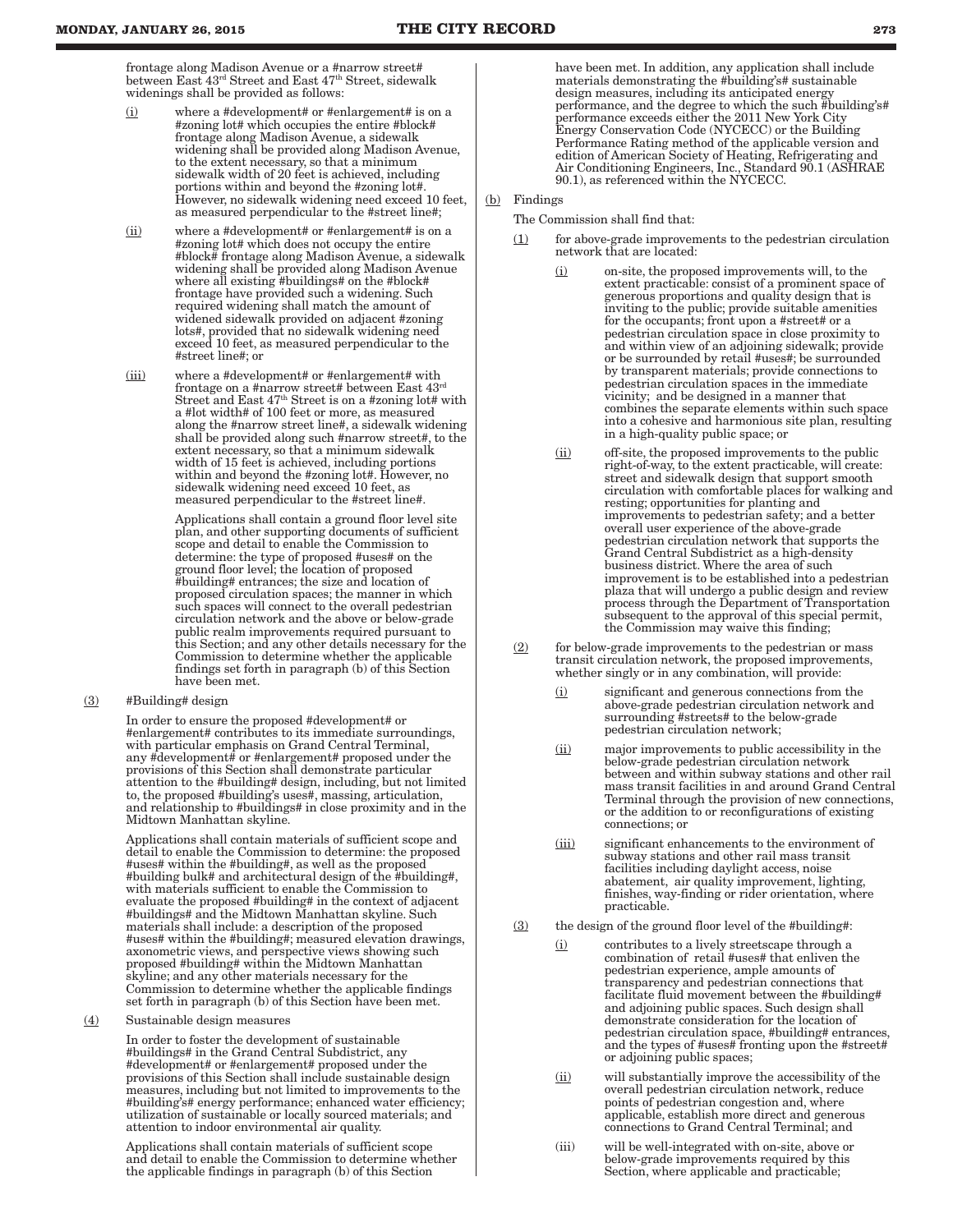frontage along Madison Avenue or a #narrow street# between East 43rd Street and East 47th Street, sidewalk widenings shall be provided as follows:

- (i) where a #development# or #enlargement# is on a #zoning lot# which occupies the entire #block# frontage along Madison Avenue, a sidewalk widening shall be provided along Madison Avenue, to the extent necessary, so that a minimum sidewalk width of 20 feet is achieved, including portions within and beyond the #zoning lot#. However, no sidewalk widening need exceed 10 feet, as measured perpendicular to the #street line#;
- (ii) where a #development# or #enlargement# is on a #zoning lot# which does not occupy the entire #block# frontage along Madison Avenue, a sidewalk widening shall be provided along Madison Avenue where all existing #buildings# on the #block# frontage have provided such a widening. Such required widening shall match the amount of widened sidewalk provided on adjacent #zoning lots#, provided that no sidewalk widening need exceed 10 feet, as measured perpendicular to the #street line#; or
- (iii) where a #development# or #enlargement# with frontage on a #narrow street# between East 43rd Street and East  $47<sup>th</sup>$  Street is on a #zoning lot# with a #lot width# of 100 feet or more, as measured along the #narrow street line#, a sidewalk widening shall be provided along such #narrow street#, to the extent necessary, so that a minimum sidewalk width of 15 feet is achieved, including portions within and beyond the #zoning lot#. However, no sidewalk widening need exceed 10 feet, as measured perpendicular to the #street line#.

Applications shall contain a ground floor level site plan, and other supporting documents of sufficient scope and detail to enable the Commission to determine: the type of proposed #uses# on the ground floor level; the location of proposed #building# entrances; the size and location of proposed circulation spaces; the manner in which such spaces will connect to the overall pedestrian circulation network and the above or below-grade public realm improvements required pursuant to this Section; and any other details necessary for the Commission to determine whether the applicable findings set forth in paragraph (b) of this Section have been met.

 $(3)$  #Building# design

In order to ensure the proposed #development# or #enlargement# contributes to its immediate surroundings, with particular emphasis on Grand Central Terminal, any #development# or #enlargement# proposed under the provisions of this Section shall demonstrate particular attention to the #building# design, including, but not limited to, the proposed #building's uses#, massing, articulation, and relationship to #buildings# in close proximity and in the Midtown Manhattan skyline.

Applications shall contain materials of sufficient scope and detail to enable the Commission to determine: the proposed #uses# within the #building#, as well as the proposed #building bulk# and architectural design of the #building#, with materials sufficient to enable the Commission to evaluate the proposed #building# in the context of adjacent #buildings# and the Midtown Manhattan skyline. Such materials shall include: a description of the proposed #uses# within the #building#; measured elevation drawings, axonometric views, and perspective views showing such proposed #building# within the Midtown Manhattan skyline; and any other materials necessary for the Commission to determine whether the applicable findings set forth in paragraph (b) of this Section have been met.

(4) Sustainable design measures

In order to foster the development of sustainable #buildings# in the Grand Central Subdistrict, any #development# or #enlargement# proposed under the provisions of this Section shall include sustainable design measures, including but not limited to improvements to the #building's# energy performance; enhanced water efficiency; utilization of sustainable or locally sourced materials; and attention to indoor environmental air quality.

Applications shall contain materials of sufficient scope and detail to enable the Commission to determine whether the applicable findings in paragraph (b) of this Section

have been met. In addition, any application shall include materials demonstrating the #building's# sustainable design measures, including its anticipated energy performance, and the degree to which the such #building's# performance exceeds either the 2011 New York City Energy Conservation Code (NYCECC) or the Building Performance Rating method of the applicable version and edition of American Society of Heating, Refrigerating and Air Conditioning Engineers, Inc., Standard 90.1 (ASHRAE 90.1), as referenced within the NYCECC.

#### (b) Findings

The Commission shall find that:

- (1) for above-grade improvements to the pedestrian circulation network that are located:
	- (i) on-site, the proposed improvements will, to the extent practicable: consist of a prominent space of generous proportions and quality design that is inviting to the public; provide suitable amenities for the occupants; front upon a #street# or a pedestrian circulation space in close proximity to and within view of an adjoining sidewalk; provide or be surrounded by retail #uses#; be surrounded by transparent materials; provide connections to pedestrian circulation spaces in the immediate vicinity; and be designed in a manner that combines the separate elements within such space into a cohesive and harmonious site plan, resulting in a high-quality public space; or
	- (ii) off-site, the proposed improvements to the public right-of-way, to the extent practicable, will create: street and sidewalk design that support smooth circulation with comfortable places for walking and resting; opportunities for planting and improvements to pedestrian safety; and a better overall user experience of the above-grade pedestrian circulation network that supports the Grand Central Subdistrict as a high-density business district. Where the area of such improvement is to be established into a pedestrian plaza that will undergo a public design and review process through the Department of Transportation subsequent to the approval of this special permit, the Commission may waive this finding;
- $(2)$  for below-grade improvements to the pedestrian or mass transit circulation network, the proposed improvements, whether singly or in any combination, will provide:
	- (i) significant and generous connections from the above-grade pedestrian circulation network and surrounding #streets# to the below-grade pedestrian circulation network;
	- (ii) major improvements to public accessibility in the below-grade pedestrian circulation network between and within subway stations and other rail mass transit facilities in and around Grand Central Terminal through the provision of new connections, or the addition to or reconfigurations of existing connections; or
	- (iii) significant enhancements to the environment of subway stations and other rail mass transit facilities including daylight access, noise abatement, air quality improvement, lighting, finishes, way-finding or rider orientation, where practicable.
- (3) the design of the ground floor level of the #building#:
	- (i) contributes to a lively streetscape through a combination of retail #uses# that enliven the pedestrian experience, ample amounts of transparency and pedestrian connections that facilitate fluid movement between the #building# and adjoining public spaces. Such design shall demonstrate consideration for the location of pedestrian circulation space, #building# entrances, and the types of #uses# fronting upon the #street# or adjoining public spaces;
	- (ii) will substantially improve the accessibility of the overall pedestrian circulation network, reduce points of pedestrian congestion and, where applicable, establish more direct and generous connections to Grand Central Terminal; and
	- (iii) will be well-integrated with on-site, above or below-grade improvements required by this Section, where applicable and practicable;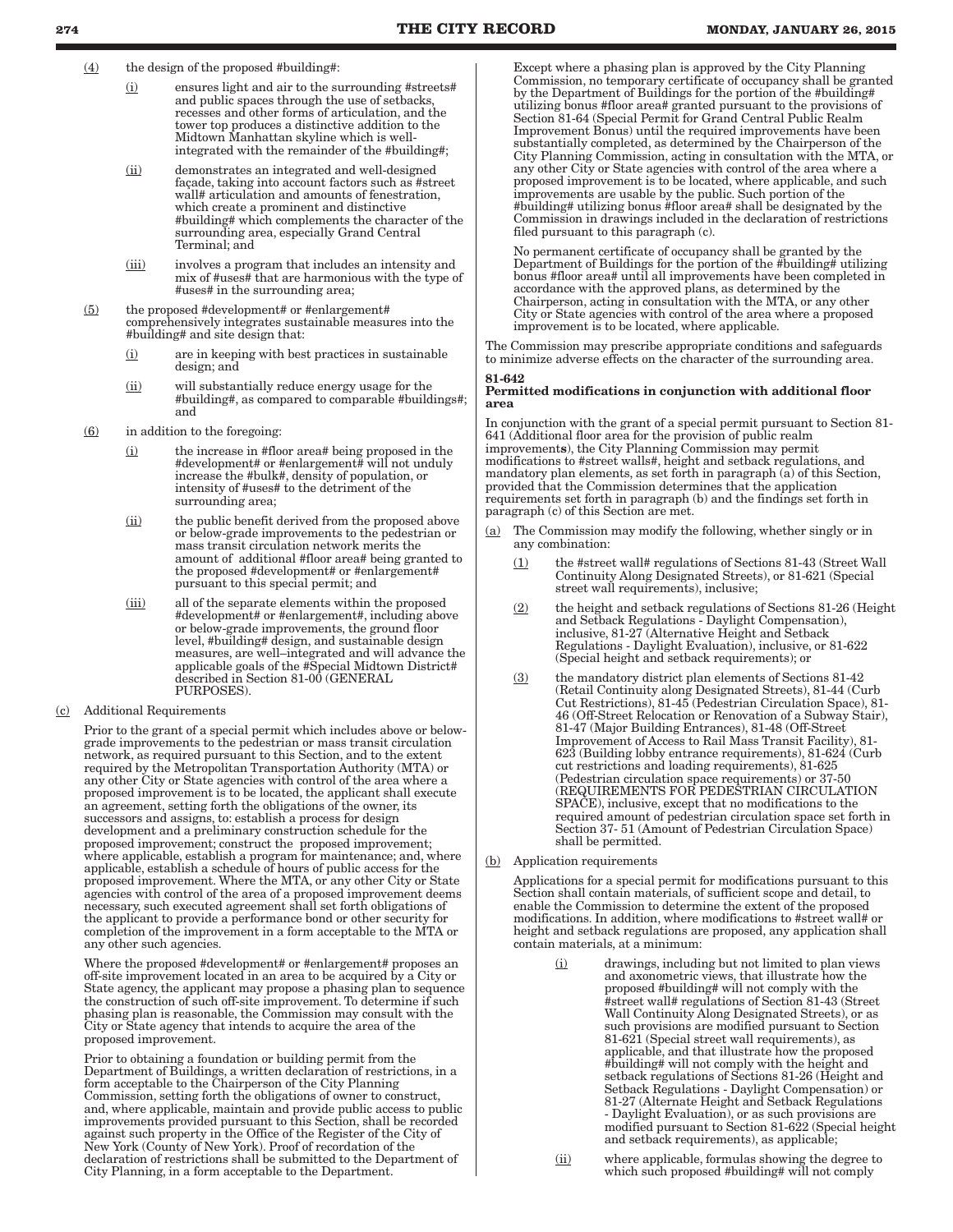(4) the design of the proposed #building#:

- (i) ensures light and air to the surrounding #streets# and public spaces through the use of setbacks, recesses and other forms of articulation, and the tower top produces a distinctive addition to the Midtown Manhattan skyline which is wellintegrated with the remainder of the #building#;
- (ii) demonstrates an integrated and well-designed façade, taking into account factors such as #street wall# articulation and amounts of fenestration, which create a prominent and distinctive #building# which complements the character of the surrounding area, especially Grand Central Terminal; and
- (iii) involves a program that includes an intensity and mix of #uses# that are harmonious with the type of #uses# in the surrounding area;
- (5) the proposed #development# or #enlargement# comprehensively integrates sustainable measures into the #building# and site design that:
	- (i) are in keeping with best practices in sustainable design; and
	- (ii) will substantially reduce energy usage for the #building#, as compared to comparable #buildings#; and
- (6) in addition to the foregoing:
	- (i) the increase in #floor area# being proposed in the #development# or #enlargement# will not unduly increase the #bulk#, density of population, or intensity of #uses# to the detriment of the surrounding area;
	- (ii) the public benefit derived from the proposed above or below-grade improvements to the pedestrian or mass transit circulation network merits the amount of additional #floor area# being granted to the proposed #development# or #enlargement# pursuant to this special permit; and
	- (iii) all of the separate elements within the proposed #development# or #enlargement#, including above or below-grade improvements, the ground floor level, #building# design, and sustainable design measures, are well–integrated and will advance the applicable goals of the #Special Midtown District# described in Section 81-00 (GENERAL PURPOSES).
- (c) Additional Requirements

Prior to the grant of a special permit which includes above or belowgrade improvements to the pedestrian or mass transit circulation network, as required pursuant to this Section, and to the extent required by the Metropolitan Transportation Authority (MTA) or any other City or State agencies with control of the area where a proposed improvement is to be located, the applicant shall execute an agreement, setting forth the obligations of the owner, its successors and assigns, to: establish a process for design development and a preliminary construction schedule for the proposed improvement; construct the proposed improvement; where applicable, establish a program for maintenance; and, where applicable, establish a schedule of hours of public access for the proposed improvement. Where the MTA, or any other City or State agencies with control of the area of a proposed improvement deems necessary, such executed agreement shall set forth obligations of the applicant to provide a performance bond or other security for completion of the improvement in a form acceptable to the MTA or any other such agencies.

Where the proposed #development# or #enlargement# proposes an off-site improvement located in an area to be acquired by a City or State agency, the applicant may propose a phasing plan to sequence the construction of such off-site improvement. To determine if such phasing plan is reasonable, the Commission may consult with the City or State agency that intends to acquire the area of the proposed improvement.

Prior to obtaining a foundation or building permit from the Department of Buildings, a written declaration of restrictions, in a form acceptable to the Chairperson of the City Planning Commission, setting forth the obligations of owner to construct, and, where applicable, maintain and provide public access to public improvements provided pursuant to this Section, shall be recorded against such property in the Office of the Register of the City of New York (County of New York). Proof of recordation of the declaration of restrictions shall be submitted to the Department of City Planning, in a form acceptable to the Department.

Except where a phasing plan is approved by the City Planning Commission, no temporary certificate of occupancy shall be granted by the Department of Buildings for the portion of the #building# utilizing bonus #floor area# granted pursuant to the provisions of Section 81-64 (Special Permit for Grand Central Public Realm Improvement Bonus) until the required improvements have been substantially completed, as determined by the Chairperson of the City Planning Commission, acting in consultation with the MTA, or any other City or State agencies with control of the area where a proposed improvement is to be located, where applicable, and such improvements are usable by the public. Such portion of the #building# utilizing bonus #floor area# shall be designated by the Commission in drawings included in the declaration of restrictions filed pursuant to this paragraph (c).

No permanent certificate of occupancy shall be granted by the Department of Buildings for the portion of the #building# utilizing bonus #floor area# until all improvements have been completed in accordance with the approved plans, as determined by the Chairperson, acting in consultation with the MTA, or any other City or State agencies with control of the area where a proposed improvement is to be located, where applicable.

The Commission may prescribe appropriate conditions and safeguards to minimize adverse effects on the character of the surrounding area.

#### 81-642

#### Permitted modifications in conjunction with additional floor area

In conjunction with the grant of a special permit pursuant to Section 81- 641 (Additional floor area for the provision of public realm improvements), the City Planning Commission may permit modifications to #street walls#, height and setback regulations, and mandatory plan elements, as set forth in paragraph (a) of this Section, provided that the Commission determines that the application requirements set forth in paragraph (b) and the findings set forth in paragraph (c) of this Section are met.

- (a) The Commission may modify the following, whether singly or in any combination:
	- (1) the #street wall# regulations of Sections 81-43 (Street Wall Continuity Along Designated Streets), or 81-621 (Special street wall requirements), inclusive;
	- (2) the height and setback regulations of Sections 81-26 (Height and Setback Regulations - Daylight Compensation), inclusive, 81-27 (Alternative Height and Setback Regulations - Daylight Evaluation), inclusive, or 81-622 (Special height and setback requirements); or
	- (3) the mandatory district plan elements of Sections 81-42 (Retail Continuity along Designated Streets), 81-44 (Curb Cut Restrictions), 81-45 (Pedestrian Circulation Space), 81- 46 (Off-Street Relocation or Renovation of a Subway Stair), 81-47 (Major Building Entrances), 81-48 (Off-Street Improvement of Access to Rail Mass Transit Facility), 81- 623 (Building lobby entrance requirements), 81-624 (Curb cut restrictions and loading requirements), 81-625 (Pedestrian circulation space requirements) or 37-50 (REQUIREMENTS FOR PEDESTRIAN CIRCULATION SPACE), inclusive, except that no modifications to the required amount of pedestrian circulation space set forth in Section 37- 51 (Amount of Pedestrian Circulation Space) shall be permitted.
- (b) Application requirements

Applications for a special permit for modifications pursuant to this Section shall contain materials, of sufficient scope and detail, to enable the Commission to determine the extent of the proposed modifications. In addition, where modifications to #street wall# or height and setback regulations are proposed, any application shall contain materials, at a minimum:

- drawings, including but not limited to plan views and axonometric views, that illustrate how the proposed #building# will not comply with the #street wall# regulations of Section 81-43 (Street Wall Continuity Along Designated Streets), or as such provisions are modified pursuant to Section 81-621 (Special street wall requirements), as applicable, and that illustrate how the proposed #building# will not comply with the height and setback regulations of Sections 81-26 (Height and Setback Regulations - Daylight Compensation) or 81-27 (Alternate Height and Setback Regulations - Daylight Evaluation), or as such provisions are modified pursuant to Section 81-622 (Special height and setback requirements), as applicable;
- (ii) where applicable, formulas showing the degree to which such proposed #building# will not comply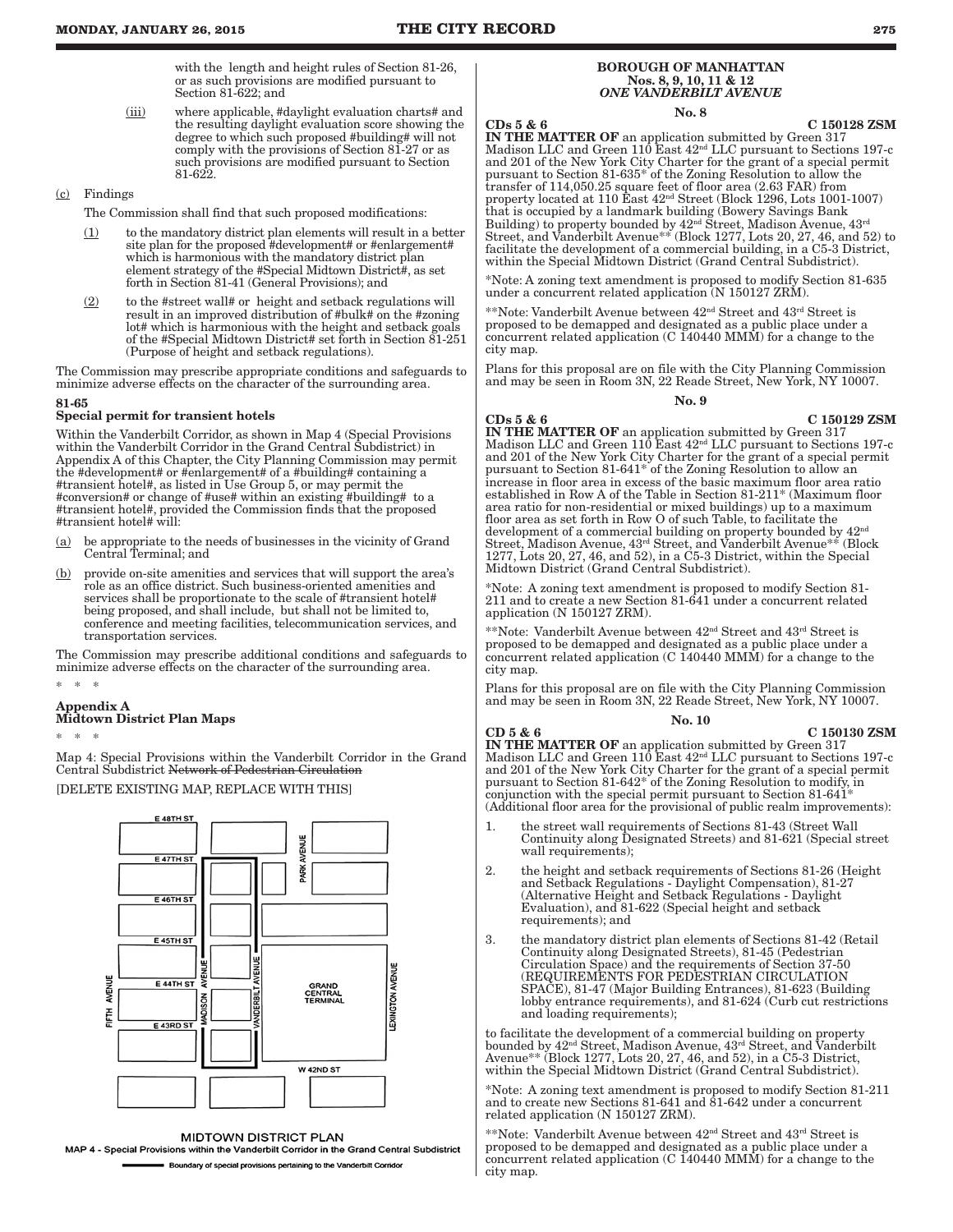with the length and height rules of Section 81-26, or as such provisions are modified pursuant to Section 81-622; and

(iii) where applicable, #daylight evaluation charts# and the resulting daylight evaluation score showing the degree to which such proposed #building# will not comply with the provisions of Section 81-27 or as such provisions are modified pursuant to Section 81-622.

## (c) Findings

The Commission shall find that such proposed modifications:

- $(1)$  to the mandatory district plan elements will result in a better site plan for the proposed #development# or #enlargement# which is harmonious with the mandatory district plan element strategy of the #Special Midtown District#, as set forth in Section 81-41 (General Provisions); and
- $(2)$  to the #street wall# or height and setback regulations will result in an improved distribution of #bulk# on the #zoning lot# which is harmonious with the height and setback goals of the #Special Midtown District# set forth in Section 81-251 (Purpose of height and setback regulations).

The Commission may prescribe appropriate conditions and safeguards to minimize adverse effects on the character of the surrounding area.

## 81-65

## Special permit for transient hotels

Within the Vanderbilt Corridor, as shown in Map 4 (Special Provisions within the Vanderbilt Corridor in the Grand Central Subdistrict) in Appendix A of this Chapter, the City Planning Commission may permit the #development# or #enlargement# of a #building# containing a #transient hotel#, as listed in Use Group 5, or may permit the #conversion# or change of #use# within an existing #building# to a #transient hotel#, provided the Commission finds that the proposed #transient hotel# will:

- (a) be appropriate to the needs of businesses in the vicinity of Grand Central Terminal; and
- (b) provide on-site amenities and services that will support the area's role as an office district. Such business-oriented amenities and services shall be proportionate to the scale of #transient hotel# being proposed, and shall include, but shall not be limited to, conference and meeting facilities, telecommunication services, and transportation services.

The Commission may prescribe additional conditions and safeguards to minimize adverse effects on the character of the surrounding area.

## Appendix A Midtown District Plan Maps

\* \* \*

\* \* \*

Map 4: Special Provisions within the Vanderbilt Corridor in the Grand Central Subdistrict Network of Pedestrian Circulation

## [DELETE EXISTING MAP, REPLACE WITH THIS]



**MIDTOWN DISTRICT PLAN** 

MAP 4 - Special Provisions within the Vanderbilt Corridor in the Grand Central Subdistrict **Boundary of special provisions pertaining to the Vanderbilt Corridor** 

## BOROUGH OF MANHATTAN Nos. 8, 9, 10, 11 & 12 *ONE VANDERBILT AVENUE*

No. 8

CDs 5 & 6<br>IN THE MATTER OF an application submitted by Green 317<br>Madison LLC and Green 110 East 42<sup>nd</sup> LLC pursuant to Sections 197-c and 201 of the New York City Charter for the grant of a special permit pursuant to Section 81-635\* of the Zoning Resolution to allow the transfer of 114,050.25 square feet of floor area (2.63 FAR) from<br>property located at 110 East  $42^{\text{nd}}$  Street (Block 1296, Lots 1001-1007)<br>that is occupied by a landmark building (Bowery Savings Bank<br>Building) to proper within the Special Midtown District (Grand Central Subdistrict).

\*Note: A zoning text amendment is proposed to modify Section 81-635 under a concurrent related application (N 150127 ZRM).

\*\*Note: Vanderbilt Avenue between 42nd Street and 43rd Street is proposed to be demapped and designated as a public place under a concurrent related application (C 140440 MMM) for a change to the city map.

Plans for this proposal are on file with the City Planning Commission and may be seen in Room 3N, 22 Reade Street, New York, NY 10007.

 $N_0$  9

CDs 5 & 6 C 150129 ZSM IN THE MATTER OF an application submitted by Green 317 Madison LLC and Green 110 East 42nd LLC pursuant to Sections 197-c and 201 of the New York City Charter for the grant of a special permit pursuant to Section 81-641\* of the Zoning Resolution to allow an increase in floor area in excess of the basic maximum floor area ratio established in Row A of the Table in Section 81-211\* (Maximum floor area ratio for non-residential or mixed buildings) up to a maximum floor area as set forth in Row O of such Table, to facilitate the<br>development of a commercial building on property bounded by 42nd Street, Madison Avenue, 43rd Street, and Vanderbilt Avenue\*\* (Block 1277, Lots 20, 27, 46, and 52), in a C5-3 District, within the Special Midtown District (Grand Central Subdistrict).

\*Note: A zoning text amendment is proposed to modify Section 81- 211 and to create a new Section 81-641 under a concurrent related application (N 150127 ZRM).

\*\*Note: Vanderbilt Avenue between 42nd Street and 43rd Street is proposed to be demapped and designated as a public place under a concurrent related application (C 140440 MMM) for a change to the city map.

Plans for this proposal are on file with the City Planning Commission and may be seen in Room 3N, 22 Reade Street, New York, NY 10007.

#### No. 10

CD 5 & 6 C 150130 ZSM IN THE MATTER OF an application submitted by Green 317 Madison LLC and Green 110 East  $42<sup>nd</sup>$  LLC pursuant to Sections 197-c and 201 of the New York City Charter for the grant of a special permit pursuant to Section 81-642\* of the Zoning Resolution to modify, in conjunction with the special permit pursuant to Section 81-641\* (Additional floor area for the provisional of public realm improvements):

- 1. the street wall requirements of Sections 81-43 (Street Wall Continuity along Designated Streets) and 81-621 (Special street wall requirements);
- 2. the height and setback requirements of Sections 81-26 (Height and Setback Regulations - Daylight Compensation), 81-27 (Alternative Height and Setback Regulations - Daylight Evaluation), and 81-622 (Special height and setback requirements); and
- 3. the mandatory district plan elements of Sections 81-42 (Retail Continuity along Designated Streets), 81-45 (Pedestrian Circulation Space) and the requirements of Section 37-50 (REQUIREMENTS FOR PEDESTRIAN CIRCULATION SPACE), 81-47 (Major Building Entrances), 81-623 (Building lobby entrance requirements), and 81-624 (Curb cut restrictions and loading requirements);

to facilitate the development of a commercial building on property bounded by 42<sup>nd</sup> Street, Madison Avenue, 43<sup>rd</sup> Street, and Vanderbilt<br>Avenue\*\* (Block 1277, Lots 20, 27, 46, and 52), in a C5-3 District, within the Special Midtown District (Grand Central Subdistrict).

\*Note: A zoning text amendment is proposed to modify Section 81-211 and to create new Sections 81-641 and 81-642 under a concurrent related application (N 150127 ZRM).

\*\*Note: Vanderbilt Avenue between 42nd Street and 43rd Street is proposed to be demapped and designated as a public place under a concurrent related application (C 140440 MMM) for a change to the city map.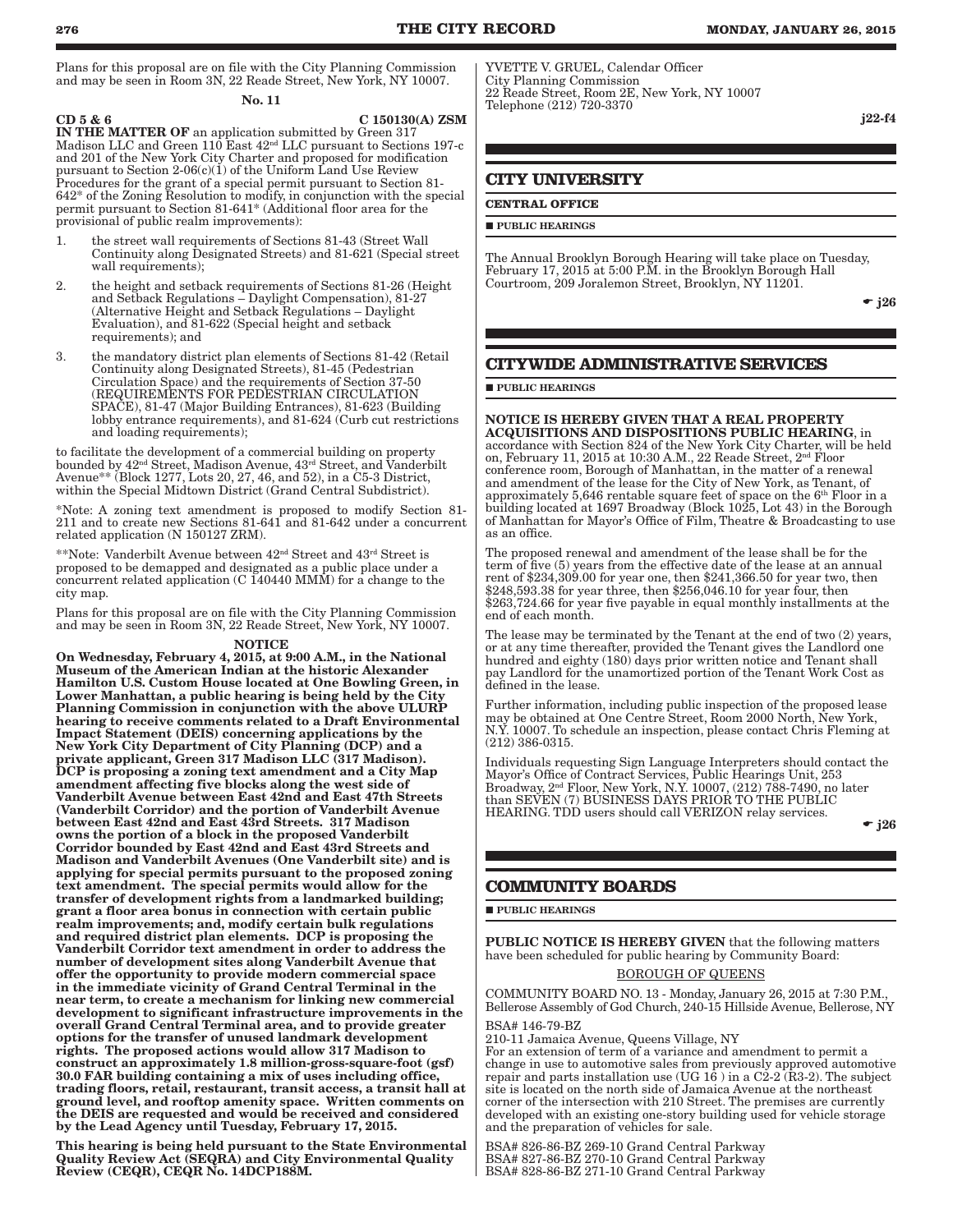Plans for this proposal are on file with the City Planning Commission and may be seen in Room 3N, 22 Reade Street, New York, NY 10007.

No. 11

 $CD 5 & 6$  C 150130(A) ZSM IN THE MATTER OF an application submitted by Green 317 Madison LLC and Green 110 East 42nd LLC pursuant to Sections 197-c and 201 of the New York City Charter and proposed for modification pursuant to Section 2-06(c)(1) of the Uniform Land Use Review Procedures for the grant of a special permit pursuant to Section 81- 642\* of the Zoning Resolution to modify, in conjunction with the special permit pursuant to Section 81-641\* (Additional floor area for the provisional of public realm improvements):

- 1. the street wall requirements of Sections 81-43 (Street Wall Continuity along Designated Streets) and 81-621 (Special street wall requirements);
- 2. the height and setback requirements of Sections 81-26 (Height and Setback Regulations – Daylight Compensation), 81-27 (Alternative Height and Setback Regulations – Daylight Evaluation), and 81-622 (Special height and setback requirements); and
- 3. the mandatory district plan elements of Sections 81-42 (Retail Continuity along Designated Streets), 81-45 (Pedestrian Circulation Space) and the requirements of Section 37-50 (REQUIREMENTS FOR PEDESTRIAN CIRCULATION SPACE), 81-47 (Major Building Entrances), 81-623 (Building lobby entrance requirements), and 81-624 (Curb cut restrictions and loading requirements);

to facilitate the development of a commercial building on property bounded by  $42^{\text{nd}}$  Street, Madison Avenue,  $43^{\text{rd}}$  Street, and Vanderbilt Avenue\*\* (Block 1277, Lots 20, 27, 46, and 52), in a C5-3 District, within the Special Midtown District (Grand Central Subdistrict).

\*Note: A zoning text amendment is proposed to modify Section 81- 211 and to create new Sections 81-641 and 81-642 under a concurrent related application (N 150127 ZRM).

\*\*Note: Vanderbilt Avenue between 42nd Street and 43rd Street is proposed to be demapped and designated as a public place under a concurrent related application (C 140440 MMM) for a change to the city map.

Plans for this proposal are on file with the City Planning Commission and may be seen in Room 3N, 22 Reade Street, New York, NY 10007.

#### NOTICE

On Wednesday, February 4, 2015, at 9:00 A.M., in the National Museum of the American Indian at the historic Alexander Hamilton U.S. Custom House located at One Bowling Green, in Lower Manhattan, a public hearing is being held by the City Planning Commission in conjunction with the above ULURP hearing to receive comments related to a Draft Environmental Impact Statement (DEIS) concerning applications by the New York City Department of City Planning (DCP) and a private applicant, Green 317 Madison LLC (317 Madison). DCP is proposing a zoning text amendment and a City Map amendment affecting five blocks along the west side of Vanderbilt Avenue between East 42nd and East 47th Streets (Vanderbilt Corridor) and the portion of Vanderbilt Avenue between East 42nd and East 43rd Streets. 317 Madison owns the portion of a block in the proposed Vanderbilt Corridor bounded by East 42nd and East 43rd Streets and Madison and Vanderbilt Avenues (One Vanderbilt site) and is applying for special permits pursuant to the proposed zoning text amendment. The special permits would allow for the transfer of development rights from a landmarked building; grant a floor area bonus in connection with certain public realm improvements; and, modify certain bulk regulations and required district plan elements. DCP is proposing the Vanderbilt Corridor text amendment in order to address the number of development sites along Vanderbilt Avenue that offer the opportunity to provide modern commercial space in the immediate vicinity of Grand Central Terminal in the near term, to create a mechanism for linking new commercial development to significant infrastructure improvements in the overall Grand Central Terminal area, and to provide greater options for the transfer of unused landmark development rights. The proposed actions would allow 317 Madison to construct an approximately 1.8 million-gross-square-foot (gsf) 30.0 FAR building containing a mix of uses including office, trading floors, retail, restaurant, transit access, a transit hall at ground level, and rooftop amenity space. Written comments on the DEIS are requested and would be received and considered by the Lead Agency until Tuesday, February 17, 2015.

This hearing is being held pursuant to the State Environmental Quality Review Act (SEQRA) and City Environmental Quality Review (CEQR), CEQR No. 14DCP188M.

YVETTE V. GRUEL, Calendar Officer City Planning Commission 22 Reade Street, Room 2E, New York, NY 10007 Telephone (212) 720-3370

j22-f4

## **CITY UNIVERSITY**

## **CENTRAL OFFICE**

#### **PUBLIC HEARINGS**

The Annual Brooklyn Borough Hearing will take place on Tuesday, February 17, 2015 at 5:00 P.M. in the Brooklyn Borough Hall Courtroom, 209 Joralemon Street, Brooklyn, NY 11201.

 $\bullet$  j26

## **CITYWIDE ADMINISTRATIVE SERVICES**

#### **PUBLIC HEARINGS**

NOTICE IS HEREBY GIVEN THAT A REAL PROPERTY ACQUISITIONS AND DISPOSITIONS PUBLIC HEARING, in accordance with Section 824 of the New York City Charter, will be held on, February 11, 2015 at 10:30 A.M., 22 Reade Street, 2nd Floor conference room, Borough of Manhattan, in the matter of a renewal and amendment of the lease for the City of New York, as Tenant, of approximately 5,646 rentable square feet of space on the 6th Floor in a building located at 1697 Broadway (Block 1025, Lot 43) in the Borough of Manhattan for Mayor's Office of Film, Theatre & Broadcasting to use as an office.

The proposed renewal and amendment of the lease shall be for the term of five (5) years from the effective date of the lease at an annual rent of \$234,309.00 for year one, then \$241,366.50 for year two, then \$248,593.38 for year three, then \$256,046.10 for year four, then \$263,724.66 for year five payable in equal monthly installments at the end of each month.

The lease may be terminated by the Tenant at the end of two (2) years, or at any time thereafter, provided the Tenant gives the Landlord one hundred and eighty (180) days prior written notice and Tenant shall pay Landlord for the unamortized portion of the Tenant Work Cost as defined in the lease.

Further information, including public inspection of the proposed lease may be obtained at One Centre Street, Room 2000 North, New York, N.Y. 10007. To schedule an inspection, please contact Chris Fleming at (212) 386-0315.

Individuals requesting Sign Language Interpreters should contact the Mayor's Office of Contract Services, Public Hearings Unit, 253 Broadway, 2nd Floor, New York, N.Y. 10007, (212) 788-7490, no later than SEVEN (7) BUSINESS DAYS PRIOR TO THE PUBLIC HEARING. TDD users should call VERIZON relay services.

 $\bullet$  j26

## **COMMUNITY BOARDS**

**PUBLIC HEARINGS** 

PUBLIC NOTICE IS HEREBY GIVEN that the following matters have been scheduled for public hearing by Community Board:

## BOROUGH OF QUEENS

COMMUNITY BOARD NO. 13 - Monday, January 26, 2015 at 7:30 P.M., Bellerose Assembly of God Church, 240-15 Hillside Avenue, Bellerose, NY BSA# 146-79-BZ

210-11 Jamaica Avenue, Queens Village, NY

For an extension of term of a variance and amendment to permit a change in use to automotive sales from previously approved automotive repair and parts installation use (UG  $16$  ) in a C2-2 (R3-2). The subject site is located on the north side of Jamaica Avenue at the northeast corner of the intersection with 210 Street. The premises are currently developed with an existing one-story building used for vehicle storage and the preparation of vehicles for sale.

BSA# 826-86-BZ 269-10 Grand Central Parkway BSA# 827-86-BZ 270-10 Grand Central Parkway BSA# 828-86-BZ 271-10 Grand Central Parkway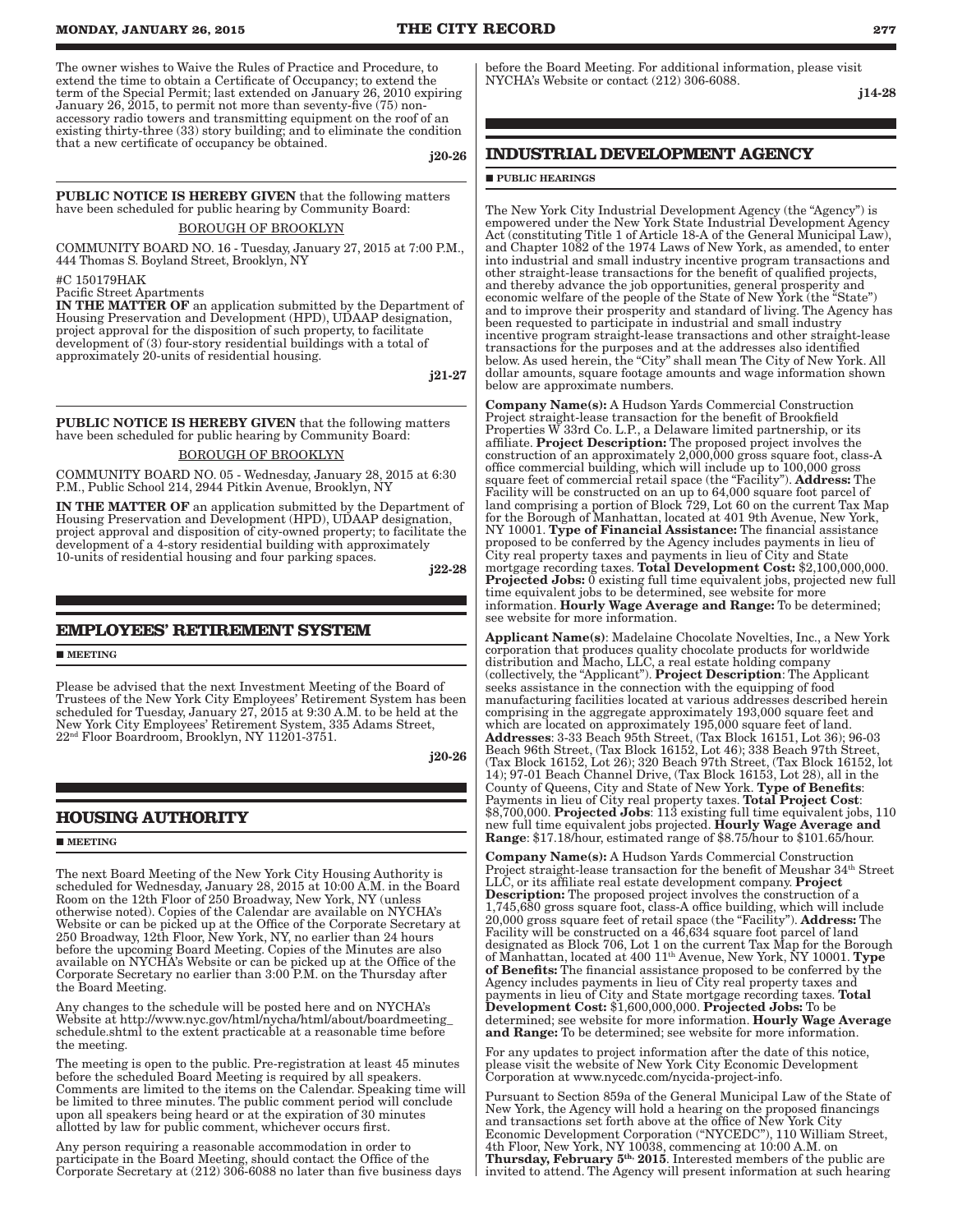The owner wishes to Waive the Rules of Practice and Procedure, to extend the time to obtain a Certificate of Occupancy; to extend the term of the Special Permit; last extended on January 26, 2010 expiring January 26, 2015, to permit not more than seventy-five (75) nonaccessory radio towers and transmitting equipment on the roof of an existing thirty-three (33) story building; and to eliminate the condition that a new certificate of occupancy be obtained.

j20-26

PUBLIC NOTICE IS HEREBY GIVEN that the following matters have been scheduled for public hearing by Community Board:

BOROUGH OF BROOKLYN

COMMUNITY BOARD NO. 16 - Tuesday, January 27, 2015 at 7:00 P.M., 444 Thomas S. Boyland Street, Brooklyn, NY

#C 150179HAK

Pacific Street Apartments

IN THE MATTER OF an application submitted by the Department of Housing Preservation and Development (HPD), UDAAP designation, project approval for the disposition of such property, to facilitate development of (3) four-story residential buildings with a total of approximately 20-units of residential housing.

j21-27

PUBLIC NOTICE IS HEREBY GIVEN that the following matters have been scheduled for public hearing by Community Board:

BOROUGH OF BROOKLYN

COMMUNITY BOARD NO. 05 - Wednesday, January 28, 2015 at 6:30 P.M., Public School 214, 2944 Pitkin Avenue, Brooklyn, NY

IN THE MATTER OF an application submitted by the Department of Housing Preservation and Development (HPD), UDAAP designation, project approval and disposition of city-owned property; to facilitate the development of a 4-story residential building with approximately 10-units of residential housing and four parking spaces.

j22-28

## **EMPLOYEES' RETIREMENT SYSTEM**

**MEETING** 

Please be advised that the next Investment Meeting of the Board of Trustees of the New York City Employees' Retirement System has been scheduled for Tuesday, January 27, 2015 at 9:30 A.M. to be held at the New York City Employees' Retirement System, 335 Adams Street, 22nd Floor Boardroom, Brooklyn, NY 11201-3751.

j20-26

## **HOUSING AUTHORITY**

**MEETING** 

The next Board Meeting of the New York City Housing Authority is scheduled for Wednesday, January 28, 2015 at 10:00 A.M. in the Board Room on the 12th Floor of 250 Broadway, New York, NY (unless otherwise noted). Copies of the Calendar are available on NYCHA's Website or can be picked up at the Office of the Corporate Secretary at 250 Broadway, 12th Floor, New York, NY, no earlier than 24 hours before the upcoming Board Meeting. Copies of the Minutes are also available on NYCHA's Website or can be picked up at the Office of the Corporate Secretary no earlier than 3:00 P.M. on the Thursday after the Board Meeting.

Any changes to the schedule will be posted here and on NYCHA's Website at http://www.nyc.gov/html/nycha/html/about/boardmeeting\_ schedule.shtml to the extent practicable at a reasonable time before the meeting.

The meeting is open to the public. Pre-registration at least 45 minutes before the scheduled Board Meeting is required by all speakers. Comments are limited to the items on the Calendar. Speaking time will be limited to three minutes. The public comment period will conclude upon all speakers being heard or at the expiration of 30 minutes allotted by law for public comment, whichever occurs first.

Any person requiring a reasonable accommodation in order to participate in the Board Meeting, should contact the Office of the Corporate Secretary at (212) 306-6088 no later than five business days before the Board Meeting. For additional information, please visit NYCHA's Website or contact (212) 306-6088.

j14-28

## **INDUSTRIAL DEVELOPMENT AGENCY**

## **PUBLIC HEARINGS**

The New York City Industrial Development Agency (the "Agency") is empowered under the New York State Industrial Development Agency Act (constituting Title 1 of Article 18-A of the General Municipal Law), and Chapter 1082 of the 1974 Laws of New York, as amended, to enter into industrial and small industry incentive program transactions and other straight-lease transactions for the benefit of qualified projects, and thereby advance the job opportunities, general prosperity and economic welfare of the people of the State of New York (the "State") and to improve their prosperity and standard of living. The Agency has been requested to participate in industrial and small industry incentive program straight-lease transactions and other straight-lease transactions for the purposes and at the addresses also identified below. As used herein, the "City" shall mean The City of New York. All dollar amounts, square footage amounts and wage information shown below are approximate numbers.

Company Name(s): A Hudson Yards Commercial Construction Project straight-lease transaction for the benefit of Brookfield Properties W 33rd Co. L.P., a Delaware limited partnership, or its affiliate. Project Description: The proposed project involves the construction of an approximately 2,000,000 gross square foot, class-A office commercial building, which will include up to 100,000 gross square feet of commercial retail space (the "Facility"). Address: The Facility will be constructed on an up to 64,000 square foot parcel of land comprising a portion of Block 729, Lot 60 on the current Tax Map for the Borough of Manhattan, located at 401 9th Avenue, New York, NY 10001. Type of Financial Assistance: The financial assistance proposed to be conferred by the Agency includes payments in lieu of City real property taxes and payments in lieu of City and State mortgage recording taxes. Total Development Cost: \$2,100,000,000. Projected Jobs: 0 existing full time equivalent jobs, projected new full time equivalent jobs to be determined, see website for more information. Hourly Wage Average and Range: To be determined; see website for more information.

Applicant Name(s): Madelaine Chocolate Novelties, Inc., a New York corporation that produces quality chocolate products for worldwide distribution and Macho, LLC, a real estate holding company (collectively, the "Applicant"). Project Description: The Applicant seeks assistance in the connection with the equipping of food manufacturing facilities located at various addresses described herein comprising in the aggregate approximately 193,000 square feet and which are located on approximately 195,000 square feet of land. Addresses: 3-33 Beach 95th Street, (Tax Block 16151, Lot 36); 96-03 Beach 96th Street, (Tax Block 16152, Lot 46); 338 Beach 97th Street, (Tax Block 16152, Lot 26); 320 Beach 97th Street, (Tax Block 16152, lot 14); 97-01 Beach Channel Drive, (Tax Block 16153, Lot 28), all in the County of Queens, City and State of New York. Type of Benefits: Payments in lieu of City real property taxes. Total Project Cost: \$8,700,000. Projected Jobs: 113 existing full time equivalent jobs, 110 new full time equivalent jobs projected. Hourly Wage Average and Range: \$17.18/hour, estimated range of \$8.75/hour to \$101.65/hour.

Company Name(s): A Hudson Yards Commercial Construction Project straight-lease transaction for the benefit of Meushar 34<sup>th</sup> Street LLC, or its affiliate real estate development company. Project Description: The proposed project involves the construction of a 1,745,680 gross square foot, class-A office building, which will include  $20,000$  gross square feet of retail space (the "Facility"). **Address:** The Facility will be constructed on a 46,634 square foot parcel of land designated as Block 706, Lot 1 on the current Tax Map for the Borough of Manhattan, located at 400  $11^{\text{th}}$  Avenue, New York, NY 10001. Type of Benefits: The financial assistance proposed to be conferred by the Agency includes payments in lieu of City real property taxes and payments in lieu of City and State mortgage recording taxes. Total Development Cost: \$1,600,000,000. Projected Jobs: To be determined; see website for more information. Hourly Wage Average and Range: To be determined; see website for more information.

For any updates to project information after the date of this notice, please visit the website of New York City Economic Development Corporation at www.nycedc.com/nycida-project-info.

Pursuant to Section 859a of the General Municipal Law of the State of New York, the Agency will hold a hearing on the proposed financings and transactions set forth above at the office of New York City Economic Development Corporation ("NYCEDC"), 110 William Street, 4th Floor, New York, NY 10038, commencing at 10:00 A.M. on Thursday, February 5<sup>th,</sup> 2015. Interested members of the public are invited to attend. The Agency will present information at such hearing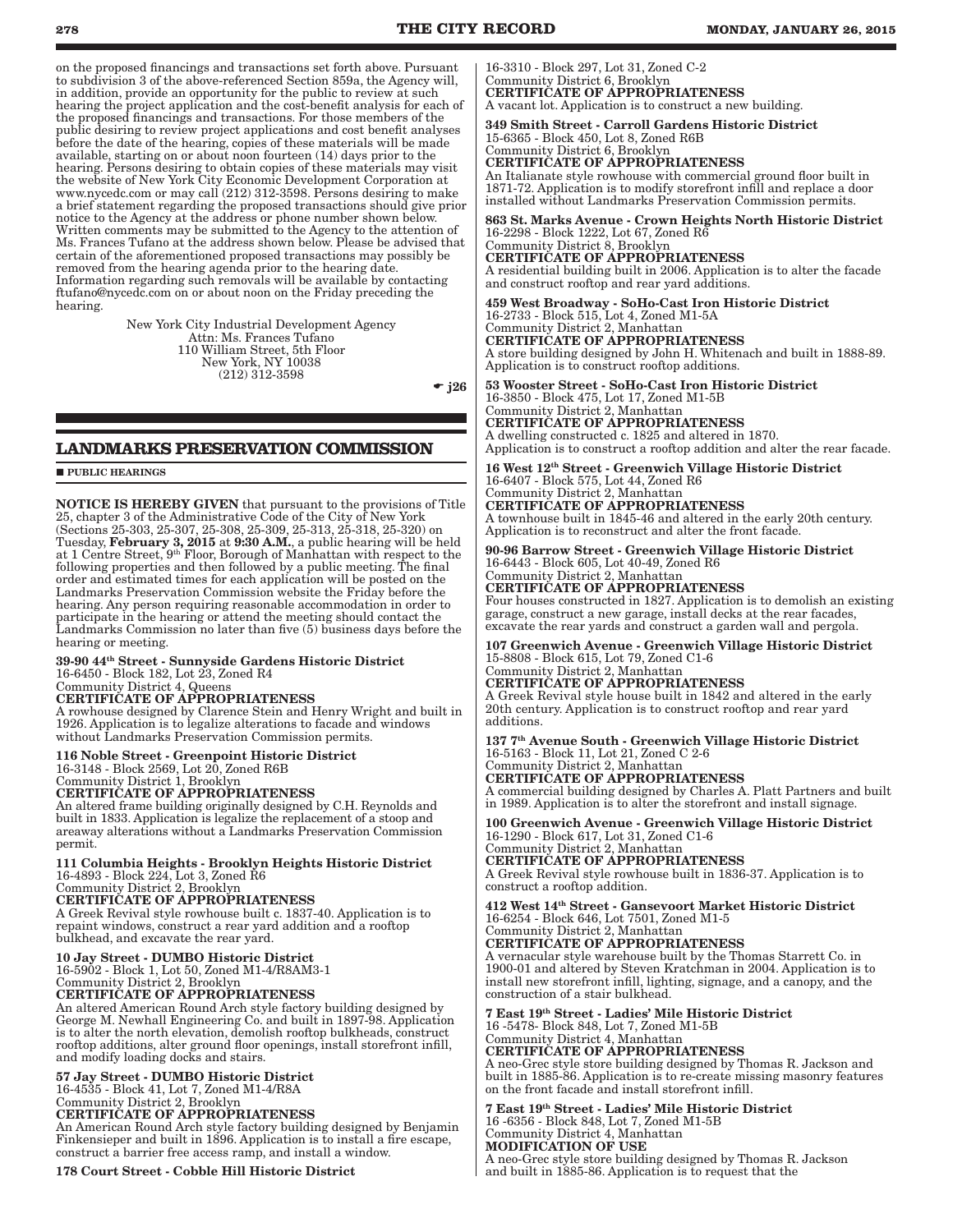on the proposed financings and transactions set forth above. Pursuant to subdivision 3 of the above-referenced Section 859a, the Agency will, in addition, provide an opportunity for the public to review at such hearing the project application and the cost-benefit analysis for each of the proposed financings and transactions. For those members of the public desiring to review project applications and cost benefit analyses before the date of the hearing, copies of these materials will be made available, starting on or about noon fourteen (14) days prior to the hearing. Persons desiring to obtain copies of these materials may visit the website of New York City Economic Development Corporation at www.nycedc.com or may call (212) 312-3598. Persons desiring to make a brief statement regarding the proposed transactions should give prior notice to the Agency at the address or phone number shown below. Written comments may be submitted to the Agency to the attention of Ms. Frances Tufano at the address shown below. Please be advised that certain of the aforementioned proposed transactions may possibly be removed from the hearing agenda prior to the hearing date. Information regarding such removals will be available by contacting ftufano@nycedc.com on or about noon on the Friday preceding the hearing.

> New York City Industrial Development Agency Attn: Ms. Frances Tufano 110 William Street, 5th Floor New York, NY 10038 (212) 312-3598

 $\div$  j26

## **LANDMARKS PRESERVATION COMMISSION**

**PUBLIC HEARINGS** 

NOTICE IS HEREBY GIVEN that pursuant to the provisions of Title 25, chapter 3 of the Administrative Code of the City of New York (Sections 25-303, 25-307, 25-308, 25-309, 25-313, 25-318, 25-320) on Tuesday, February 3, 2015 at 9:30 A.M., a public hearing will be held at 1 Centre Street, 9th Floor, Borough of Manhattan with respect to the following properties and then followed by a public meeting. The final order and estimated times for each application will be posted on the Landmarks Preservation Commission website the Friday before the hearing. Any person requiring reasonable accommodation in order to participate in the hearing or attend the meeting should contact the Landmarks Commission no later than five (5) business days before the hearing or meeting.

#### 39-90 44th Street - Sunnyside Gardens Historic District 16-6450 - Block 182, Lot 23, Zoned R4

Community District 4, Queens

## CERTIFICATE OF APPROPRIATENESS

A rowhouse designed by Clarence Stein and Henry Wright and built in 1926. Application is to legalize alterations to facade and windows without Landmarks Preservation Commission permits.

# 116 Noble Street - Greenpoint Historic District

16-3148 - Block 2569, Lot 20, Zoned R6B Community District 1, Brooklyn

CERTIFICATE OF APPROPRIATENESS

An altered frame building originally designed by C.H. Reynolds and built in 1833. Application is legalize the replacement of a stoop and areaway alterations without a Landmarks Preservation Commission permit.

111 Columbia Heights - Brooklyn Heights Historic District 16-4893 - Block 224, Lot 3, Zoned R6

Community District 2, Brooklyn CERTIFICATE OF APPROPRIATENESS

A Greek Revival style rowhouse built c. 1837-40. Application is to repaint windows, construct a rear yard addition and a rooftop bulkhead, and excavate the rear yard.

# 10 Jay Street - DUMBO Historic District

16-5902 - Block 1, Lot 50, Zoned M1-4/R8AM3-1 Community District 2, Brooklyn

CERTIFICATE OF APPROPRIATENESS

An altered American Round Arch style factory building designed by George M. Newhall Engineering Co. and built in 1897-98. Application is to alter the north elevation, demolish rooftop bulkheads, construct rooftop additions, alter ground floor openings, install storefront infill, and modify loading docks and stairs.

#### 57 Jay Street - DUMBO Historic District 16-4535 - Block 41, Lot 7, Zoned M1-4/R8A

Community District 2, Brooklyn

CERTIFICATE OF APPROPRIATENESS

An American Round Arch style factory building designed by Benjamin Finkensieper and built in 1896. Application is to install a fire escape, construct a barrier free access ramp, and install a window.

178 Court Street - Cobble Hill Historic District

16-3310 - Block 297, Lot 31, Zoned C-2 Community District 6, Brooklyn CERTIFICATE OF APPROPRIATENESS A vacant lot. Application is to construct a new building.

349 Smith Street - Carroll Gardens Historic District 15-6365 - Block 450, Lot 8, Zoned R6B Community District 6, Brooklyn

CERTIFICATE OF APPROPRIATENESS An Italianate style rowhouse with commercial ground floor built in

1871-72. Application is to modify storefront infill and replace a door installed without Landmarks Preservation Commission permits.

863 St. Marks Avenue - Crown Heights North Historic District 16-2298 - Block 1222, Lot 67, Zoned R6 Community District 8, Brooklyn CERTIFICATE OF APPROPRIATENESS A residential building built in 2006. Application is to alter the facade and construct rooftop and rear yard additions.

459 West Broadway - SoHo-Cast Iron Historic District 16-2733 - Block 515, Lot 4, Zoned M1-5A Community District 2, Manhattan

CERTIFICATE OF APPROPRIATENESS A store building designed by John H. Whitenach and built in 1888-89. Application is to construct rooftop additions.

53 Wooster Street - SoHo-Cast Iron Historic District 16-3850 - Block 475, Lot 17, Zoned M1-5B

Community District 2, Manhattan CERTIFICATE OF APPROPRIATENESS A dwelling constructed c. 1825 and altered in 1870. Application is to construct a rooftop addition and alter the rear facade.

16 West 12th Street - Greenwich Village Historic District 16-6407 - Block 575, Lot 44, Zoned R6

Community District 2, Manhattan CERTIFICATE OF APPROPRIATENESS A townhouse built in 1845-46 and altered in the early 20th century. Application is to reconstruct and alter the front facade.

#### 90-96 Barrow Street - Greenwich Village Historic District 16-6443 - Block 605, Lot 40-49, Zoned R6 Community District 2, Manhattan

CERTIFICATE OF APPROPRIATENESS Four houses constructed in 1827. Application is to demolish an existing garage, construct a new garage, install decks at the rear facades, excavate the rear yards and construct a garden wall and pergola.

107 Greenwich Avenue - Greenwich Village Historic District 15-8808 - Block 615, Lot 79, Zoned C1-6

Community District 2, Manhattan CERTIFICATE OF APPROPRIATENESS A Greek Revival style house built in 1842 and altered in the early 20th century. Application is to construct rooftop and rear yard additions.

137 7th Avenue South - Greenwich Village Historic District 16-5163 - Block 11, Lot 21, Zoned C 2-6

Community District 2, Manhattan CERTIFICATE OF APPROPRIATENESS A commercial building designed by Charles A. Platt Partners and built in 1989. Application is to alter the storefront and install signage.

100 Greenwich Avenue - Greenwich Village Historic District 16-1290 - Block 617, Lot 31, Zoned C1-6

Community District 2, Manhattan CERTIFICATE OF APPROPRIATENESS A Greek Revival style rowhouse built in 1836-37. Application is to construct a rooftop addition.

412 West 14th Street - Gansevoort Market Historic District 16-6254 - Block 646, Lot 7501, Zoned M1-5 Community District 2, Manhattan

CERTIFICATE OF APPROPRIATENESS

A vernacular style warehouse built by the Thomas Starrett Co. in 1900-01 and altered by Steven Kratchman in 2004. Application is to install new storefront infill, lighting, signage, and a canopy, and the construction of a stair bulkhead.

7 East 19th Street - Ladies' Mile Historic District 16 -5478- Block 848, Lot 7, Zoned M1-5B Community District 4, Manhattan CERTIFICATE OF APPROPRIATENESS

A neo-Grec style store building designed by Thomas R. Jackson and built in 1885-86. Application is to re-create missing masonry features on the front facade and install storefront infill.

7 East 19th Street - Ladies' Mile Historic District 16 -6356 - Block 848, Lot 7, Zoned M1-5B Community District 4, Manhattan MODIFICATION OF USE

A neo-Grec style store building designed by Thomas R. Jackson and built in 1885-86. Application is to request that the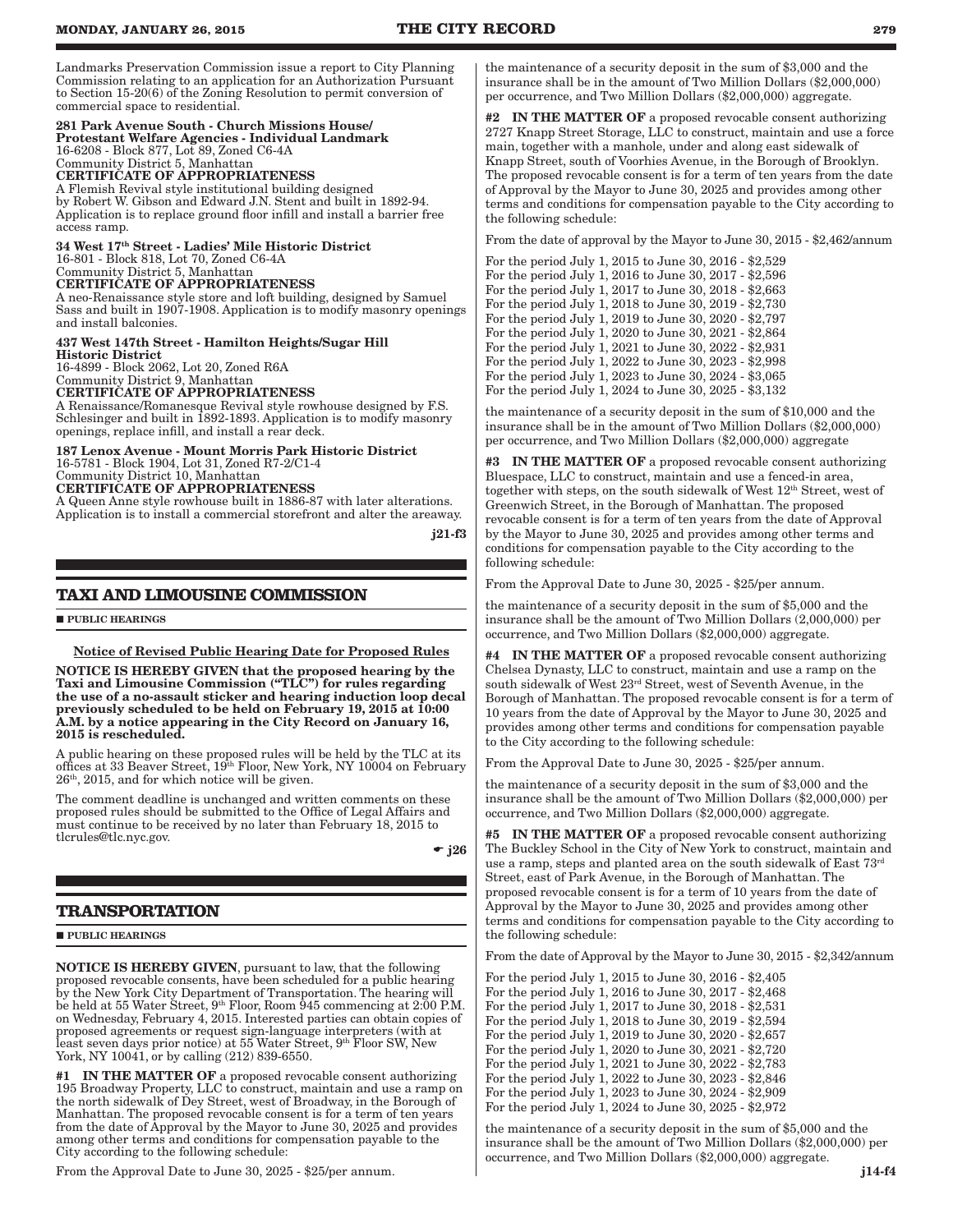Landmarks Preservation Commission issue a report to City Planning Commission relating to an application for an Authorization Pursuant to Section 15-20(6) of the Zoning Resolution to permit conversion of commercial space to residential.

## 281 Park Avenue South - Church Missions House/

Protestant Welfare Agencies - Individual Landmark 16-6208 - Block 877, Lot 89, Zoned C6-4A Community District 5, Manhattan CERTIFICATE OF APPROPRIATENESS A Flemish Revival style institutional building designed by Robert W. Gibson and Edward J.N. Stent and built in 1892-94. Application is to replace ground floor infill and install a barrier free access ramp.

34 West 17th Street - Ladies' Mile Historic District 16-801 - Block 818, Lot 70, Zoned C6-4A Community District 5, Manhattan CERTIFICATE OF APPROPRIATENESS

A neo-Renaissance style store and loft building, designed by Samuel Sass and built in 1907-1908. Application is to modify masonry openings and install balconies.

437 West 147th Street - Hamilton Heights/Sugar Hill Historic District 16-4899 - Block 2062, Lot 20, Zoned R6A

Community District 9, Manhattan

CERTIFICATE OF APPROPRIATENESS A Renaissance/Romanesque Revival style rowhouse designed by F.S. Schlesinger and built in 1892-1893. Application is to modify masonry openings, replace infill, and install a rear deck.

## 187 Lenox Avenue - Mount Morris Park Historic District 16-5781 - Block 1904, Lot 31, Zoned R7-2/C1-4

Community District 10, Manhattan CERTIFICATE OF APPROPRIATENESS

A Queen Anne style rowhouse built in 1886-87 with later alterations. Application is to install a commercial storefront and alter the areaway.

j21-f3

## **TAXI AND LIMOUSINE COMMISSION**

**PUBLIC HEARINGS** 

## Notice of Revised Public Hearing Date for Proposed Rules

NOTICE IS HEREBY GIVEN that the proposed hearing by the Taxi and Limousine Commission ("TLC") for rules regarding the use of a no-assault sticker and hearing induction loop decal previously scheduled to be held on February 19, 2015 at 10:00 A.M. by a notice appearing in the City Record on January 16, 2015 is rescheduled.

A public hearing on these proposed rules will be held by the TLC at its offices at 33 Beaver Street, 19th Floor, New York, NY 10004 on February  $26<sup>th</sup>$ ,  $2015$ , and for which notice will be given.

The comment deadline is unchanged and written comments on these proposed rules should be submitted to the Office of Legal Affairs and must continue to be received by no later than February 18, 2015 to tlcrules@tlc.nyc.gov.

 $\bullet$  j26

## **TRANSPORTATION**

**PUBLIC HEARINGS** 

NOTICE IS HEREBY GIVEN, pursuant to law, that the following proposed revocable consents, have been scheduled for a public hearing by the New York City Department of Transportation. The hearing will be held at 55 Water Street, 9th Floor, Room 945 commencing at 2:00 P.M. on Wednesday, February 4, 2015. Interested parties can obtain copies of proposed agreements or request sign-language interpreters (with at least seven days prior notice) at 55 Water Street, 9<sup>th</sup> Floor SW, New York, NY 10041, or by calling (212) 839-6550.

 $\ensuremath{\text{\textbf{IN}}}\xspace$  THE MATTER OF a proposed revocable consent authorizing 195 Broadway Property, LLC to construct, maintain and use a ramp on the north sidewalk of Dey Street, west of Broadway, in the Borough of Manhattan. The proposed revocable consent is for a term of ten years from the date of Approval by the Mayor to June 30, 2025 and provides among other terms and conditions for compensation payable to the City according to the following schedule:

From the Approval Date to June 30, 2025 - \$25/per annum.

the maintenance of a security deposit in the sum of \$3,000 and the insurance shall be in the amount of Two Million Dollars (\$2,000,000) per occurrence, and Two Million Dollars (\$2,000,000) aggregate.

#2 IN THE MATTER OF a proposed revocable consent authorizing 2727 Knapp Street Storage, LLC to construct, maintain and use a force main, together with a manhole, under and along east sidewalk of Knapp Street, south of Voorhies Avenue, in the Borough of Brooklyn. The proposed revocable consent is for a term of ten years from the date of Approval by the Mayor to June 30, 2025 and provides among other terms and conditions for compensation payable to the City according to the following schedule:

From the date of approval by the Mayor to June 30, 2015 - \$2,462/annum

For the period July 1, 2015 to June 30, 2016 - \$2,529 For the period July 1, 2016 to June 30, 2017 - \$2,596 For the period July 1, 2017 to June 30, 2018 - \$2,663 For the period July 1, 2018 to June 30, 2019 - \$2,730 For the period July 1, 2019 to June 30, 2020 - \$2,797 For the period July 1, 2020 to June 30, 2021 - \$2,864 For the period July 1, 2021 to June 30, 2022 - \$2,931 For the period July 1, 2022 to June 30, 2023 - \$2,998 For the period July 1, 2023 to June 30, 2024 - \$3,065 For the period July 1, 2024 to June 30, 2025 - \$3,132

the maintenance of a security deposit in the sum of \$10,000 and the insurance shall be in the amount of Two Million Dollars (\$2,000,000) per occurrence, and Two Million Dollars (\$2,000,000) aggregate

#3 IN THE MATTER OF a proposed revocable consent authorizing Bluespace, LLC to construct, maintain and use a fenced-in area, together with steps, on the south sidewalk of West 12th Street, west of Greenwich Street, in the Borough of Manhattan. The proposed revocable consent is for a term of ten years from the date of Approval by the Mayor to June 30, 2025 and provides among other terms and conditions for compensation payable to the City according to the following schedule:

From the Approval Date to June 30, 2025 - \$25/per annum.

the maintenance of a security deposit in the sum of \$5,000 and the insurance shall be the amount of Two Million Dollars (2,000,000) per occurrence, and Two Million Dollars (\$2,000,000) aggregate.

#4 IN THE MATTER OF a proposed revocable consent authorizing Chelsea Dynasty, LLC to construct, maintain and use a ramp on the south sidewalk of West 23rd Street, west of Seventh Avenue, in the Borough of Manhattan. The proposed revocable consent is for a term of 10 years from the date of Approval by the Mayor to June 30, 2025 and provides among other terms and conditions for compensation payable to the City according to the following schedule:

From the Approval Date to June 30, 2025 - \$25/per annum.

the maintenance of a security deposit in the sum of \$3,000 and the insurance shall be the amount of Two Million Dollars (\$2,000,000) per occurrence, and Two Million Dollars (\$2,000,000) aggregate.

#5 IN THE MATTER OF a proposed revocable consent authorizing The Buckley School in the City of New York to construct, maintain and use a ramp, steps and planted area on the south sidewalk of East  $73<sup>rd</sup>$ Street, east of Park Avenue, in the Borough of Manhattan. The proposed revocable consent is for a term of 10 years from the date of Approval by the Mayor to June 30, 2025 and provides among other terms and conditions for compensation payable to the City according to the following schedule:

From the date of Approval by the Mayor to June 30, 2015 - \$2,342/annum

For the period July 1, 2015 to June 30, 2016 - \$2,405 For the period July 1, 2016 to June 30, 2017 - \$2,468 For the period July 1, 2017 to June 30, 2018 - \$2,531 For the period July 1, 2018 to June 30, 2019 - \$2,594 For the period July 1, 2019 to June 30, 2020 - \$2,657 For the period July 1, 2020 to June 30, 2021 - \$2,720 For the period July 1, 2021 to June 30, 2022 - \$2,783 For the period July 1, 2022 to June 30, 2023 - \$2,846 For the period July 1, 2023 to June 30, 2024 - \$2,909 For the period July 1, 2024 to June 30, 2025 - \$2,972

the maintenance of a security deposit in the sum of \$5,000 and the insurance shall be the amount of Two Million Dollars (\$2,000,000) per occurrence, and Two Million Dollars (\$2,000,000) aggregate.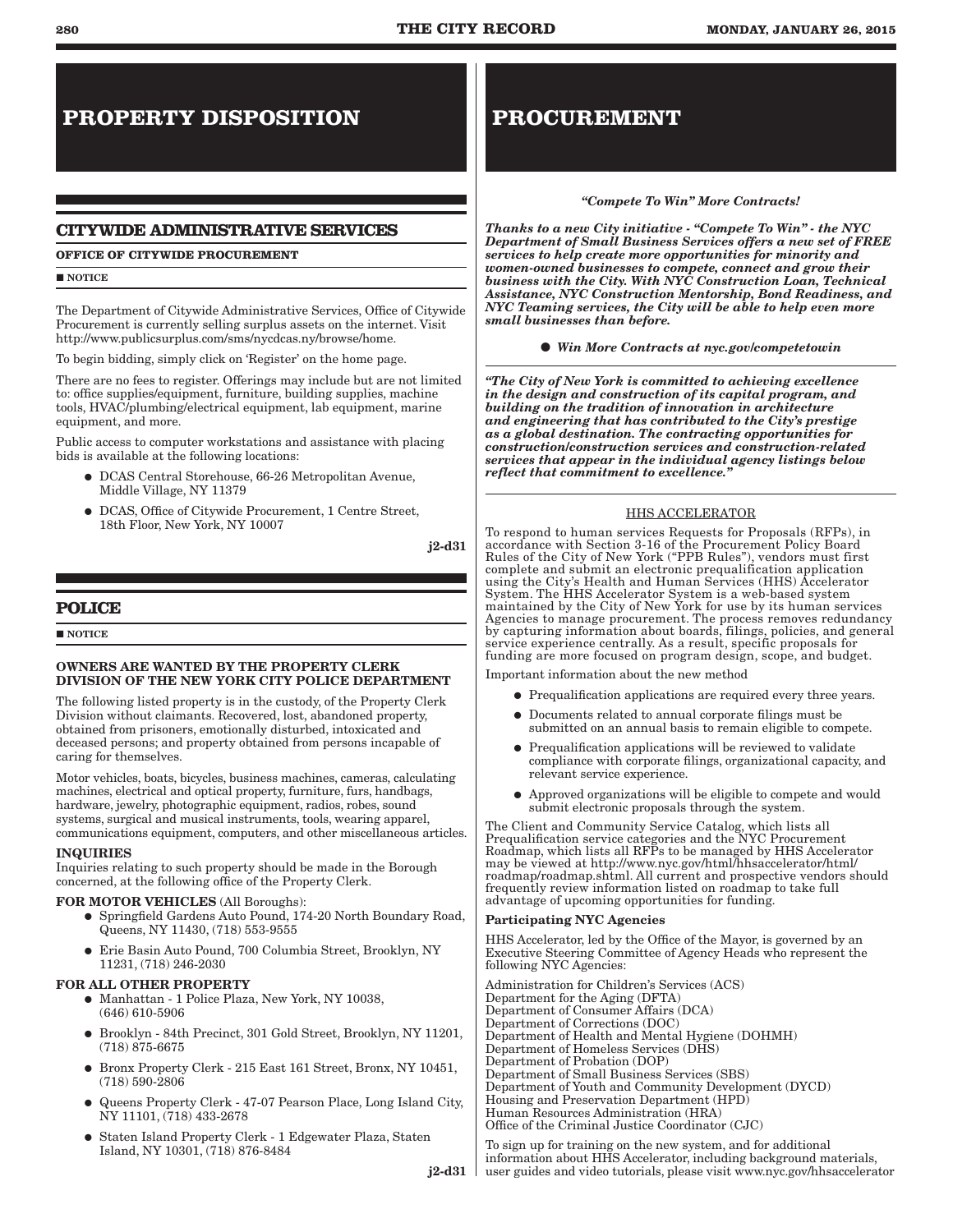# **PROPERTY DISPOSITION**

## **CITYWIDE ADMINISTRATIVE SERVICES**

## **OFFICE OF CITYWIDE PROCUREMENT**

**NOTICE** 

The Department of Citywide Administrative Services, Office of Citywide Procurement is currently selling surplus assets on the internet. Visit http://www.publicsurplus.com/sms/nycdcas.ny/browse/home.

To begin bidding, simply click on 'Register' on the home page.

There are no fees to register. Offerings may include but are not limited to: office supplies/equipment, furniture, building supplies, machine tools, HVAC/plumbing/electrical equipment, lab equipment, marine equipment, and more.

Public access to computer workstations and assistance with placing bids is available at the following locations:

- � DCAS Central Storehouse, 66-26 Metropolitan Avenue, Middle Village, NY 11379
- � DCAS, Office of Citywide Procurement, 1 Centre Street, 18th Floor, New York, NY 10007

j2-d31

 $j2-d31$ 

## **POLICE**

**NOTICE** 

## OWNERS ARE WANTED BY THE PROPERTY CLERK DIVISION OF THE NEW YORK CITY POLICE DEPARTMENT

The following listed property is in the custody, of the Property Clerk Division without claimants. Recovered, lost, abandoned property, obtained from prisoners, emotionally disturbed, intoxicated and deceased persons; and property obtained from persons incapable of caring for themselves.

Motor vehicles, boats, bicycles, business machines, cameras, calculating machines, electrical and optical property, furniture, furs, handbags, hardware, jewelry, photographic equipment, radios, robes, sound systems, surgical and musical instruments, tools, wearing apparel, communications equipment, computers, and other miscellaneous articles.

## INQUIRIES

Inquiries relating to such property should be made in the Borough concerned, at the following office of the Property Clerk.

## FOR MOTOR VEHICLES (All Boroughs):

- � Springfield Gardens Auto Pound, 174-20 North Boundary Road, Queens, NY 11430, (718) 553-9555
- � Erie Basin Auto Pound, 700 Columbia Street, Brooklyn, NY 11231, (718) 246-2030

## FOR ALL OTHER PROPERTY

- � Manhattan 1 Police Plaza, New York, NY 10038, (646) 610-5906
- � Brooklyn 84th Precinct, 301 Gold Street, Brooklyn, NY 11201, (718) 875-6675
- � Bronx Property Clerk 215 East 161 Street, Bronx, NY 10451, (718) 590-2806
- � Queens Property Clerk 47-07 Pearson Place, Long Island City, NY 11101, (718) 433-2678
- � Staten Island Property Clerk 1 Edgewater Plaza, Staten Island, NY 10301, (718) 876-8484

# **PROCUREMENT**

## *"Compete To Win" More Contracts!*

*Thanks to a new City initiative - "Compete To Win" - the NYC Department of Small Business Services offers a new set of FREE services to help create more opportunities for minority and women-owned businesses to compete, connect and grow their business with the City. With NYC Construction Loan, Technical Assistance, NYC Construction Mentorship, Bond Readiness, and NYC Teaming services, the City will be able to help even more small businesses than before.* 

*Win More Contracts at nyc.gov/competetowin*

*"The City of New York is committed to achieving excellence in the design and construction of its capital program, and building on the tradition of innovation in architecture and engineering that has contributed to the City's prestige as a global destination. The contracting opportunities for construction/construction services and construction-related services that appear in the individual agency listings below reflect that commitment to excellence."*

## HHS ACCELERATOR

To respond to human services Requests for Proposals (RFPs), in accordance with Section 3-16 of the Procurement Policy Board Rules of the City of New York ("PPB Rules"), vendors must first complete and submit an electronic prequalification application using the City's Health and Human Services (HHS) Accelerator System. The HHS Accelerator System is a web-based system maintained by the City of New York for use by its human services Agencies to manage procurement. The process removes redundancy by capturing information about boards, filings, policies, and general service experience centrally. As a result, specific proposals for funding are more focused on program design, scope, and budget.

Important information about the new method

- � Prequalification applications are required every three years.
- � Documents related to annual corporate filings must be submitted on an annual basis to remain eligible to compete.
- � Prequalification applications will be reviewed to validate compliance with corporate filings, organizational capacity, and relevant service experience.
- � Approved organizations will be eligible to compete and would submit electronic proposals through the system.

The Client and Community Service Catalog, which lists all Prequalification service categories and the NYC Procurement Roadmap, which lists all RFPs to be managed by HHS Accelerator may be viewed at http://www.nyc.gov/html/hhsaccelerator/html/ roadmap/roadmap.shtml. All current and prospective vendors should frequently review information listed on roadmap to take full advantage of upcoming opportunities for funding.

## Participating NYC Agencies

HHS Accelerator, led by the Office of the Mayor, is governed by an Executive Steering Committee of Agency Heads who represent the following NYC Agencies:

Administration for Children's Services (ACS) Department for the Aging (DFTA) Department of Consumer Affairs (DCA) Department of Corrections (DOC) Department of Health and Mental Hygiene (DOHMH) Department of Homeless Services (DHS) Department of Probation (DOP) Department of Small Business Services (SBS) Department of Youth and Community Development (DYCD) Housing and Preservation Department (HPD) Human Resources Administration (HRA) Office of the Criminal Justice Coordinator (CJC)

To sign up for training on the new system, and for additional information about HHS Accelerator, including background materials, user guides and video tutorials, please visit www.nyc.gov/hhsaccelerator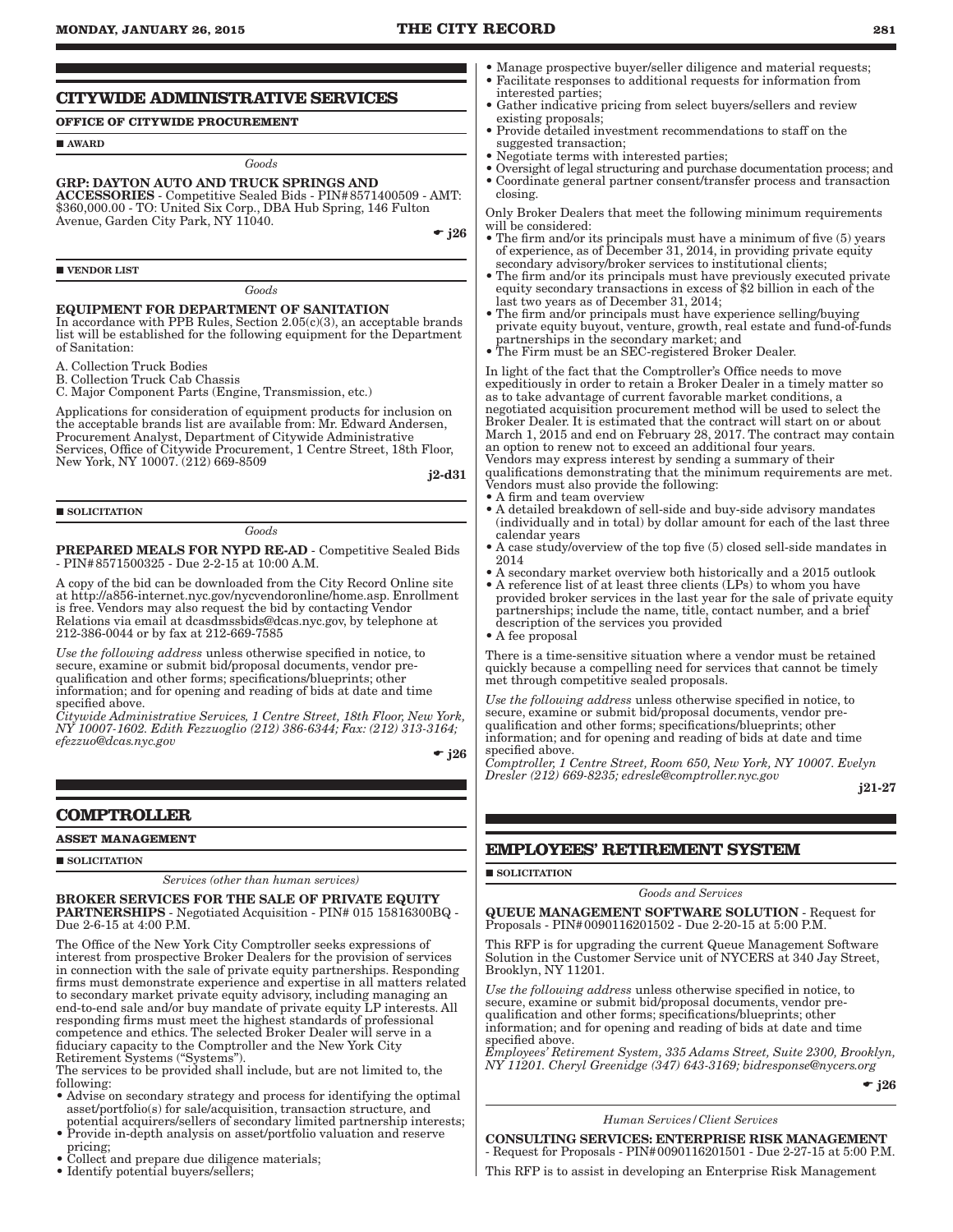## **MONDAY, JANUARY 26, 2015 THE CITY RECORD 281**

## **CITYWIDE ADMINISTRATIVE SERVICES**

## **OFFICE OF CITYWIDE PROCUREMENT**

**AWARD** 

*Goods*

#### GRP: DAYTON AUTO AND TRUCK SPRINGS AND

ACCESSORIES - Competitive Sealed Bids - PIN#8571400509 - AMT: \$360,000.00 - TO: United Six Corp., DBA Hub Spring, 146 Fulton Avenue, Garden City Park, NY 11040.

 $\div$  i26

**VENDOR LIST** 

*Goods*

## EQUIPMENT FOR DEPARTMENT OF SANITATION

In accordance with PPB Rules, Section  $2.05(c)(3)$ , an acceptable brands list will be established for the following equipment for the Department of Sanitation:

A. Collection Truck Bodies

B. Collection Truck Cab Chassis

C. Major Component Parts (Engine, Transmission, etc.)

Applications for consideration of equipment products for inclusion on the acceptable brands list are available from: Mr. Edward Andersen, Procurement Analyst, Department of Citywide Administrative Services, Office of Citywide Procurement, 1 Centre Street, 18th Floor, New York, NY 10007. (212) 669-8509

j2-d31

## SOLICITATION

*Goods*

PREPARED MEALS FOR NYPD RE-AD - Competitive Sealed Bids - PIN#8571500325 - Due 2-2-15 at 10:00 A.M.

A copy of the bid can be downloaded from the City Record Online site at http://a856-internet.nyc.gov/nycvendoronline/home.asp. Enrollment is free. Vendors may also request the bid by contacting Vendor Relations via email at dcasdmssbids@dcas.nyc.gov, by telephone at 212-386-0044 or by fax at 212-669-7585

*Use the following address* unless otherwise specified in notice, to secure, examine or submit bid/proposal documents, vendor prequalification and other forms; specifications/blueprints; other information; and for opening and reading of bids at date and time specified above.

*Citywide Administrative Services, 1 Centre Street, 18th Floor, New York, NY 10007-1602. Edith Fezzuoglio (212) 386-6344; Fax: (212) 313-3164; efezzuo@dcas.nyc.gov*

 $\bullet$  j26

## **COMPTROLLER**

#### **ASSET MANAGEMENT**

#### **SOLICITATION**

*Services (other than human services)*

BROKER SERVICES FOR THE SALE OF PRIVATE EQUITY PARTNERSHIPS - Negotiated Acquisition - PIN# 015 15816300BQ - Due 2-6-15 at 4:00 P.M.

The Office of the New York City Comptroller seeks expressions of interest from prospective Broker Dealers for the provision of services in connection with the sale of private equity partnerships. Responding firms must demonstrate experience and expertise in all matters related to secondary market private equity advisory, including managing an end-to-end sale and/or buy mandate of private equity LP interests. All responding firms must meet the highest standards of professional competence and ethics. The selected Broker Dealer will serve in a fiduciary capacity to the Comptroller and the New York City Retirement Systems ("Systems").

The services to be provided shall include, but are not limited to, the following:

- Advise on secondary strategy and process for identifying the optimal asset/portfolio(s) for sale/acquisition, transaction structure, and potential acquirers/sellers of secondary limited partnership interests;
- Provide in-depth analysis on asset/portfolio valuation and reserve pricing;
- Collect and prepare due diligence materials;
- Identify potential buyers/sellers;
- Manage prospective buyer/seller diligence and material requests; • Facilitate responses to additional requests for information from
- interested parties; • Gather indicative pricing from select buyers/sellers and review existing proposals;
- Provide detailed investment recommendations to staff on the suggested transaction;
- Negotiate terms with interested parties;
- Oversight of legal structuring and purchase documentation process; and
- Coordinate general partner consent/transfer process and transaction closing.

Only Broker Dealers that meet the following minimum requirements will be considered:

- The firm and/or its principals must have a minimum of five (5) years of experience, as of December 31, 2014, in providing private equity secondary advisory/broker services to institutional clients;
- The firm and/or its principals must have previously executed private equity secondary transactions in excess of \$2 billion in each of the last two years as of December 31, 2014;
- The firm and/or principals must have experience selling/buying private equity buyout, venture, growth, real estate and fund-of-funds partnerships in the secondary market; and
- The Firm must be an SEC-registered Broker Dealer.

In light of the fact that the Comptroller's Office needs to move expeditiously in order to retain a Broker Dealer in a timely matter so as to take advantage of current favorable market conditions, a negotiated acquisition procurement method will be used to select the Broker Dealer. It is estimated that the contract will start on or about March 1, 2015 and end on February 28, 2017. The contract may contain an option to renew not to exceed an additional four years. Vendors may express interest by sending a summary of their

qualifications demonstrating that the minimum requirements are met. Vendors must also provide the following:

- A firm and team overview
- A detailed breakdown of sell-side and buy-side advisory mandates (individually and in total) by dollar amount for each of the last three calendar years
- A case study/overview of the top five (5) closed sell-side mandates in 2014
- A secondary market overview both historically and a 2015 outlook
- A reference list of at least three clients (LPs) to whom you have provided broker services in the last year for the sale of private equity partnerships; include the name, title, contact number, and a brief description of the services you provided

• A fee proposal

There is a time-sensitive situation where a vendor must be retained quickly because a compelling need for services that cannot be timely met through competitive sealed proposals.

*Use the following address* unless otherwise specified in notice, to secure, examine or submit bid/proposal documents, vendor prequalification and other forms; specifications/blueprints; other information; and for opening and reading of bids at date and time specified above.

*Comptroller, 1 Centre Street, Room 650, New York, NY 10007. Evelyn Dresler (212) 669-8235; edresle@comptroller.nyc.gov*

j21-27

## **EMPLOYEES' RETIREMENT SYSTEM**

## SOLICITATION

*Goods and Services*

QUEUE MANAGEMENT SOFTWARE SOLUTION - Request for Proposals - PIN#0090116201502 - Due 2-20-15 at 5:00 P.M.

This RFP is for upgrading the current Queue Management Software Solution in the Customer Service unit of NYCERS at 340 Jay Street, Brooklyn, NY 11201.

*Use the following address* unless otherwise specified in notice, to secure, examine or submit bid/proposal documents, vendor prequalification and other forms; specifications/blueprints; other information; and for opening and reading of bids at date and time specified above.

*Employees' Retirement System, 335 Adams Street, Suite 2300, Brooklyn, NY 11201. Cheryl Greenidge (347) 643-3169; bidresponse@nycers.org*

 $\div$  j26

#### *Human Services/Client Services*

CONSULTING SERVICES: ENTERPRISE RISK MANAGEMENT - Request for Proposals - PIN#0090116201501 - Due 2-27-15 at 5:00 P.M.

This RFP is to assist in developing an Enterprise Risk Management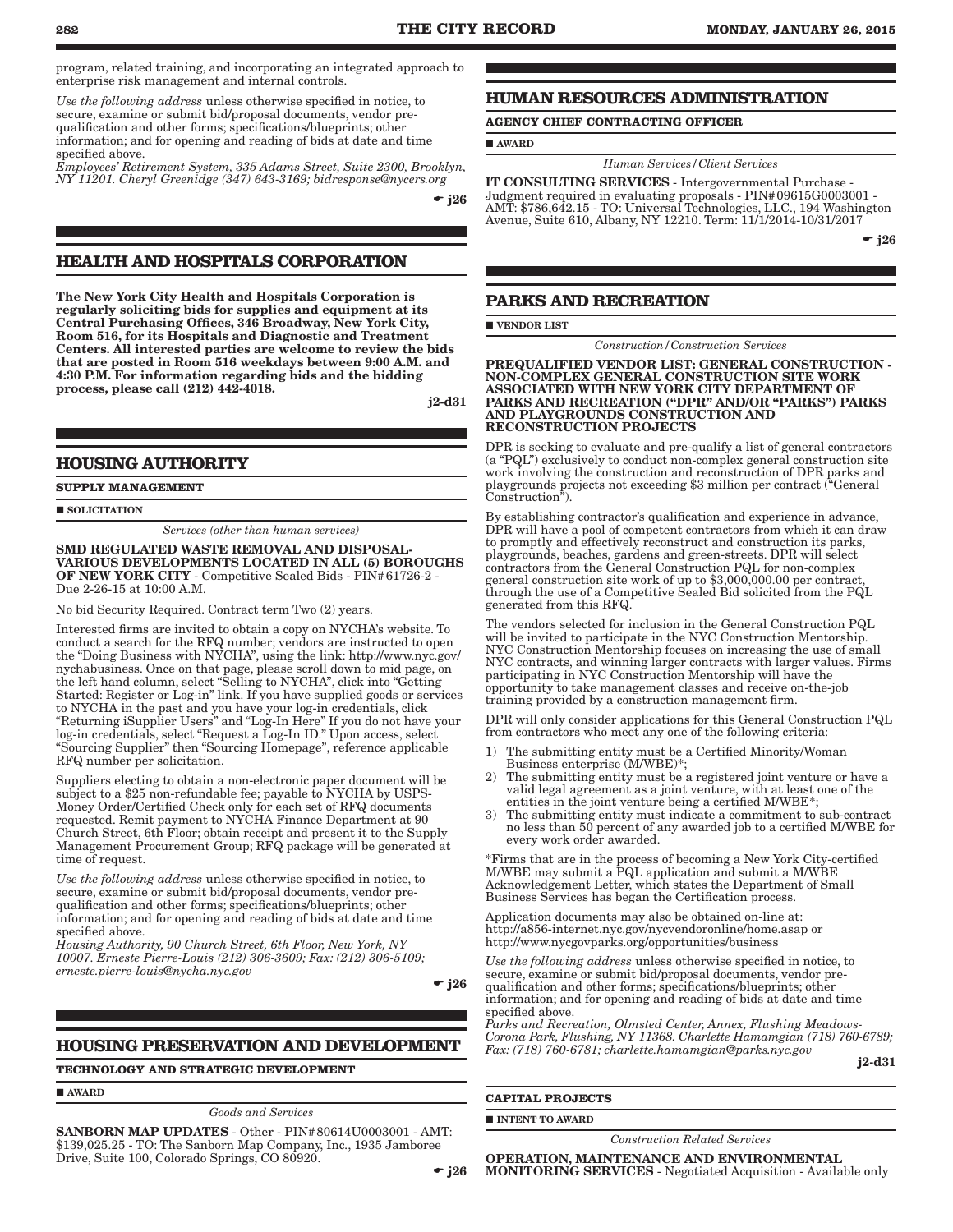program, related training, and incorporating an integrated approach to enterprise risk management and internal controls.

*Use the following address* unless otherwise specified in notice, to secure, examine or submit bid/proposal documents, vendor prequalification and other forms; specifications/blueprints; other information; and for opening and reading of bids at date and time specified above.

*Employees' Retirement System, 335 Adams Street, Suite 2300, Brooklyn, NY 11201. Cheryl Greenidge (347) 643-3169; bidresponse@nycers.org*

 $\div$  i26

## **HEALTH AND HOSPITALS CORPORATION**

The New York City Health and Hospitals Corporation is regularly soliciting bids for supplies and equipment at its Central Purchasing Offices, 346 Broadway, New York City, Room 516, for its Hospitals and Diagnostic and Treatment Centers. All interested parties are welcome to review the bids that are posted in Room 516 weekdays between 9:00 A.M. and 4:30 P.M. For information regarding bids and the bidding process, please call (212) 442-4018.

j2-d31

## **HOUSING AUTHORITY**

**SUPPLY MANAGEMENT**

SOLICITATION

*Services (other than human services)*

SMD REGULATED WASTE REMOVAL AND DISPOSAL-VARIOUS DEVELOPMENTS LOCATED IN ALL (5) BOROUGHS OF NEW YORK CITY - Competitive Sealed Bids - PIN#61726-2 - Due 2-26-15 at 10:00 A.M.

No bid Security Required. Contract term Two (2) years.

Interested firms are invited to obtain a copy on NYCHA's website. To conduct a search for the RFQ number; vendors are instructed to open the "Doing Business with NYCHA", using the link: http://www.nyc.gov/ nychabusiness. Once on that page, please scroll down to mid page, on the left hand column, select "Selling to NYCHA", click into "Getting Started: Register or Log-in" link. If you have supplied goods or services to NYCHA in the past and you have your log-in credentials, click "Returning iSupplier Users" and "Log-In Here" If you do not have your log-in credentials, select "Request a Log-In ID." Upon access, select "Sourcing Supplier" then "Sourcing Homepage", reference applicable RFQ number per solicitation.

Suppliers electing to obtain a non-electronic paper document will be subject to a \$25 non-refundable fee; payable to NYCHA by USPS-Money Order/Certified Check only for each set of RFQ documents requested. Remit payment to NYCHA Finance Department at 90 Church Street, 6th Floor; obtain receipt and present it to the Supply Management Procurement Group; RFQ package will be generated at time of request.

*Use the following address* unless otherwise specified in notice, to secure, examine or submit bid/proposal documents, vendor prequalification and other forms; specifications/blueprints; other information; and for opening and reading of bids at date and time specified above.

*Housing Authority, 90 Church Street, 6th Floor, New York, NY 10007. Erneste Pierre-Louis (212) 306-3609; Fax: (212) 306-5109; erneste.pierre-louis@nycha.nyc.gov*

 $-$  j26

## **HOUSING PRESERVATION AND DEVELOPMENT**

## **TECHNOLOGY AND STRATEGIC DEVELOPMENT**

## AWARD

*Goods and Services*

SANBORN MAP UPDATES - Other - PIN#80614U0003001 - AMT: \$139,025.25 - TO: The Sanborn Map Company, Inc., 1935 Jamboree Drive, Suite 100, Colorado Springs, CO 80920.

 $\div$  j26  $\parallel$ 

**HUMAN RESOURCES ADMINISTRATION**

**AGENCY CHIEF CONTRACTING OFFICER**

**AWARD** 

*Human Services/Client Services*

IT CONSULTING SERVICES - Intergovernmental Purchase - Judgment required in evaluating proposals - PIN#09615G0003001 - AMT: \$786,642.15 - TO: Universal Technologies, LLC., 194 Washington Avenue, Suite 610, Albany, NY 12210. Term: 11/1/2014-10/31/2017

 $\bullet$  j26

## **PARKS AND RECREATION**

**VENDOR LIST** 

*Construction/Construction Services*

PREQUALIFIED VENDOR LIST: GENERAL CONSTRUCTION - NON-COMPLEX GENERAL CONSTRUCTION SITE WORK ASSOCIATED WITH NEW YORK CITY DEPARTMENT OF PARKS AND RECREATION (''DPR" AND/OR "PARKS") PARKS AND PLAYGROUNDS CONSTRUCTION AND RECONSTRUCTION PROJECTS

DPR is seeking to evaluate and pre-qualify a list of general contractors (a "PQL") exclusively to conduct non-complex general construction site work involving the construction and reconstruction of DPR parks and playgrounds projects not exceeding \$3 million per contract (''General Construction").

By establishing contractor's qualification and experience in advance, DPR will have a pool of competent contractors from which it can draw to promptly and effectively reconstruct and construction its parks, playgrounds, beaches, gardens and green-streets. DPR will select contractors from the General Construction PQL for non-complex general construction site work of up to \$3,000,000.00 per contract, through the use of a Competitive Sealed Bid solicited from the PQL generated from this RFQ.

The vendors selected for inclusion in the General Construction PQL will be invited to participate in the NYC Construction Mentorship. NYC Construction Mentorship focuses on increasing the use of small NYC contracts, and winning larger contracts with larger values. Firms participating in NYC Construction Mentorship will have the opportunity to take management classes and receive on-the-job training provided by a construction management firm.

DPR will only consider applications for this General Construction PQL from contractors who meet any one of the following criteria:

- 1) The submitting entity must be a Certified Minority/Woman Business enterprise (M/WBE)\*;
- 2) The submitting entity must be a registered joint venture or have a valid legal agreement as a joint venture, with at least one of the entities in the joint venture being a certified M/WBE\*;
- 3) The submitting entity must indicate a commitment to sub-contract no less than 50 percent of any awarded job to a certified M/WBE for every work order awarded.

\*Firms that are in the process of becoming a New York City-certified M/WBE may submit a PQL application and submit a M/WBE Acknowledgement Letter, which states the Department of Small Business Services has began the Certification process.

Application documents may also be obtained on-line at: http://a856-internet.nyc.gov/nycvendoronline/home.asap or http://www.nycgovparks.org/opportunities/business

*Use the following address* unless otherwise specified in notice, to secure, examine or submit bid/proposal documents, vendor prequalification and other forms; specifications/blueprints; other information; and for opening and reading of bids at date and time specified above.

*Parks and Recreation, Olmsted Center, Annex, Flushing Meadows-Corona Park, Flushing, NY 11368. Charlette Hamamgian (718) 760-6789; Fax: (718) 760-6781; charlette.hamamgian@parks.nyc.gov*

#### **CAPITAL PROJECTS**

**INTENT TO AWARD** 

## *Construction Related Services*

OPERATION, MAINTENANCE AND ENVIRONMENTAL MONITORING SERVICES - Negotiated Acquisition - Available only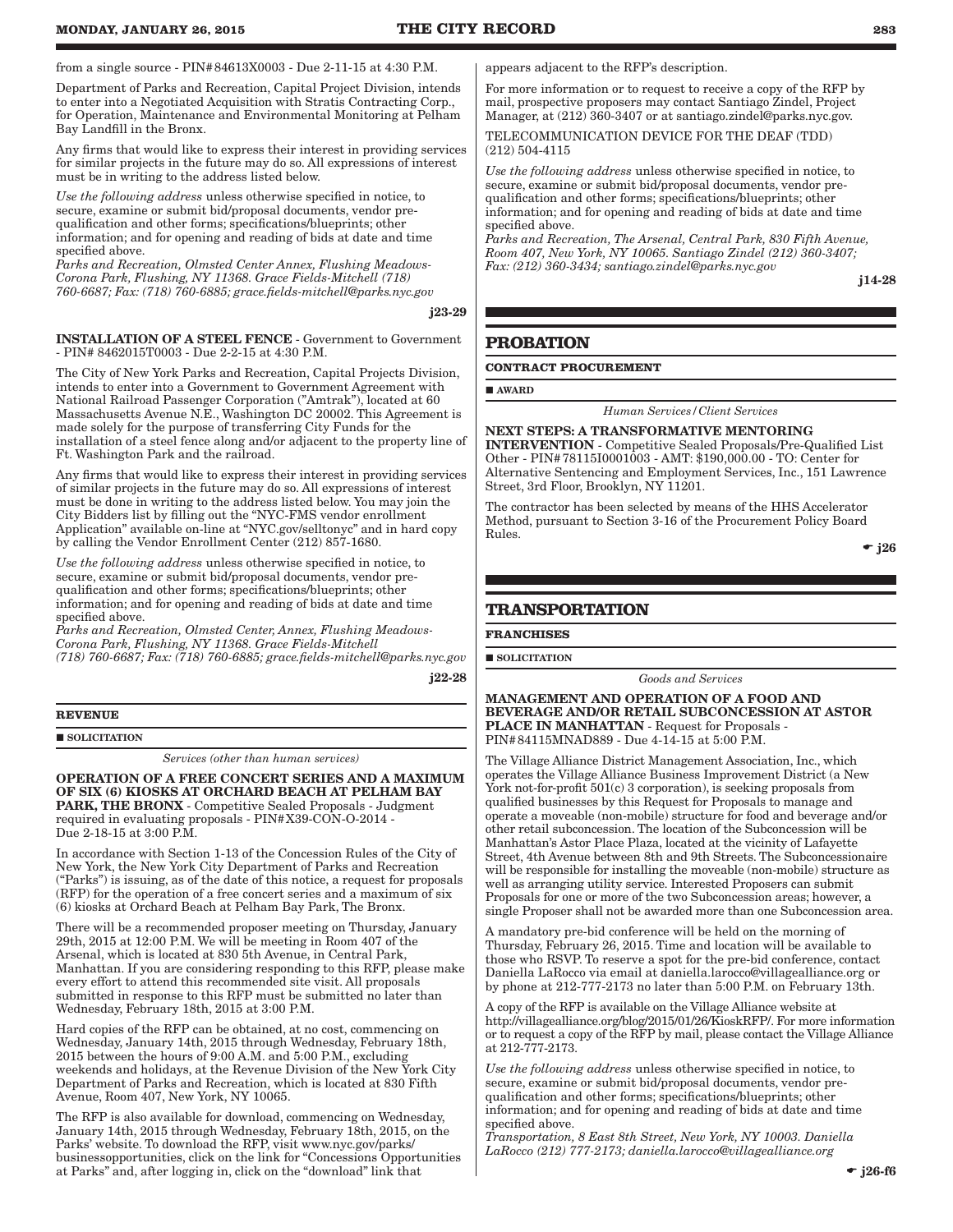from a single source - PIN#84613X0003 - Due 2-11-15 at 4:30 P.M.

Department of Parks and Recreation, Capital Project Division, intends to enter into a Negotiated Acquisition with Stratis Contracting Corp., for Operation, Maintenance and Environmental Monitoring at Pelham Bay Landfill in the Bronx.

Any firms that would like to express their interest in providing services for similar projects in the future may do so. All expressions of interest must be in writing to the address listed below.

*Use the following address* unless otherwise specified in notice, to secure, examine or submit bid/proposal documents, vendor prequalification and other forms; specifications/blueprints; other information; and for opening and reading of bids at date and time specified above.

*Parks and Recreation, Olmsted Center Annex, Flushing Meadows-Corona Park, Flushing, NY 11368. Grace Fields-Mitchell (718) 760-6687; Fax: (718) 760-6885; grace.fields-mitchell@parks.nyc.gov*

j23-29

INSTALLATION OF A STEEL FENCE - Government to Government - PIN# 8462015T0003 - Due 2-2-15 at 4:30 P.M.

The City of New York Parks and Recreation, Capital Projects Division, intends to enter into a Government to Government Agreement with National Railroad Passenger Corporation ("Amtrak"), located at 60 Massachusetts Avenue N.E., Washington DC 20002. This Agreement is made solely for the purpose of transferring City Funds for the installation of a steel fence along and/or adjacent to the property line of Ft. Washington Park and the railroad.

Any firms that would like to express their interest in providing services of similar projects in the future may do so. All expressions of interest must be done in writing to the address listed below. You may join the City Bidders list by filling out the "NYC-FMS vendor enrollment Application" available on-line at "NYC.gov/selltonyc" and in hard copy by calling the Vendor Enrollment Center (212) 857-1680.

*Use the following address* unless otherwise specified in notice, to secure, examine or submit bid/proposal documents, vendor prequalification and other forms; specifications/blueprints; other information; and for opening and reading of bids at date and time specified above.

*Parks and Recreation, Olmsted Center, Annex, Flushing Meadows-Corona Park, Flushing, NY 11368. Grace Fields-Mitchell (718) 760-6687; Fax: (718) 760-6885; grace.fields-mitchell@parks.nyc.gov*

j22-28

**REVENUE**

SOLICITATION

*Services (other than human services)*

OPERATION OF A FREE CONCERT SERIES AND A MAXIMUM OF SIX (6) KIOSKS AT ORCHARD BEACH AT PELHAM BAY PARK, THE BRONX - Competitive Sealed Proposals - Judgment required in evaluating proposals - PIN#X39-CON-O-2014 - Due 2-18-15 at 3:00 P.M.

In accordance with Section 1-13 of the Concession Rules of the City of New York, the New York City Department of Parks and Recreation ("Parks") is issuing, as of the date of this notice, a request for proposals (RFP) for the operation of a free concert series and a maximum of six (6) kiosks at Orchard Beach at Pelham Bay Park, The Bronx.

There will be a recommended proposer meeting on Thursday, January 29th, 2015 at 12:00 P.M. We will be meeting in Room 407 of the Arsenal, which is located at 830 5th Avenue, in Central Park, Manhattan. If you are considering responding to this RFP, please make every effort to attend this recommended site visit. All proposals submitted in response to this RFP must be submitted no later than Wednesday, February 18th, 2015 at 3:00 P.M.

Hard copies of the RFP can be obtained, at no cost, commencing on Wednesday, January 14th, 2015 through Wednesday, February 18th, 2015 between the hours of 9:00 A.M. and 5:00 P.M., excluding weekends and holidays, at the Revenue Division of the New York City Department of Parks and Recreation, which is located at 830 Fifth Avenue, Room 407, New York, NY 10065.

The RFP is also available for download, commencing on Wednesday, January 14th, 2015 through Wednesday, February 18th, 2015, on the Parks' website. To download the RFP, visit www.nyc.gov/parks/ businessopportunities, click on the link for "Concessions Opportunities at Parks" and, after logging in, click on the "download" link that

appears adjacent to the RFP's description.

For more information or to request to receive a copy of the RFP by mail, prospective proposers may contact Santiago Zindel, Project Manager, at (212) 360-3407 or at santiago.zindel@parks.nyc.gov.

TELECOMMUNICATION DEVICE FOR THE DEAF (TDD) (212) 504-4115

*Use the following address* unless otherwise specified in notice, to secure, examine or submit bid/proposal documents, vendor prequalification and other forms; specifications/blueprints; other information; and for opening and reading of bids at date and time specified above.

*Parks and Recreation, The Arsenal, Central Park, 830 Fifth Avenue, Room 407, New York, NY 10065. Santiago Zindel (212) 360-3407; Fax: (212) 360-3434; santiago.zindel@parks.nyc.gov*

j14-28

## **PROBATION**

#### **CONTRACT PROCUREMENT**

AWARD

*Human Services/Client Services*

NEXT STEPS: A TRANSFORMATIVE MENTORING INTERVENTION - Competitive Sealed Proposals/Pre-Qualified List Other - PIN#78115I0001003 - AMT: \$190,000.00 - TO: Center for Alternative Sentencing and Employment Services, Inc., 151 Lawrence Street, 3rd Floor, Brooklyn, NY 11201.

The contractor has been selected by means of the HHS Accelerator Method, pursuant to Section 3-16 of the Procurement Policy Board Rules.

 $\div$  i26

## **TRANSPORTATION**

**FRANCHISES**

 $\blacksquare$  SOLICITATION

*Goods and Services*

MANAGEMENT AND OPERATION OF A FOOD AND BEVERAGE AND/OR RETAIL SUBCONCESSION AT ASTOR PLACE IN MANHATTAN - Request for Proposals - PIN#84115MNAD889 - Due 4-14-15 at 5:00 P.M.

The Village Alliance District Management Association, Inc., which operates the Village Alliance Business Improvement District (a New York not-for-profit  $501(c)$  3 corporation), is seeking proposals from qualified businesses by this Request for Proposals to manage and operate a moveable (non-mobile) structure for food and beverage and/or other retail subconcession. The location of the Subconcession will be Manhattan's Astor Place Plaza, located at the vicinity of Lafayette Street, 4th Avenue between 8th and 9th Streets. The Subconcessionaire will be responsible for installing the moveable (non-mobile) structure as well as arranging utility service. Interested Proposers can submit Proposals for one or more of the two Subconcession areas; however, a single Proposer shall not be awarded more than one Subconcession area.

A mandatory pre-bid conference will be held on the morning of Thursday, February 26, 2015. Time and location will be available to those who RSVP. To reserve a spot for the pre-bid conference, contact Daniella LaRocco via email at daniella.larocco@villagealliance.org or by phone at 212-777-2173 no later than 5:00 P.M. on February 13th.

A copy of the RFP is available on the Village Alliance website at http://villagealliance.org/blog/2015/01/26/KioskRFP/. For more information or to request a copy of the RFP by mail, please contact the Village Alliance at  $212 - 777 - 2173$ .

*Use the following address* unless otherwise specified in notice, to secure, examine or submit bid/proposal documents, vendor prequalification and other forms; specifications/blueprints; other information; and for opening and reading of bids at date and time specified above.

*Transportation, 8 East 8th Street, New York, NY 10003. Daniella LaRocco (212) 777-2173; daniella.larocco@villagealliance.org*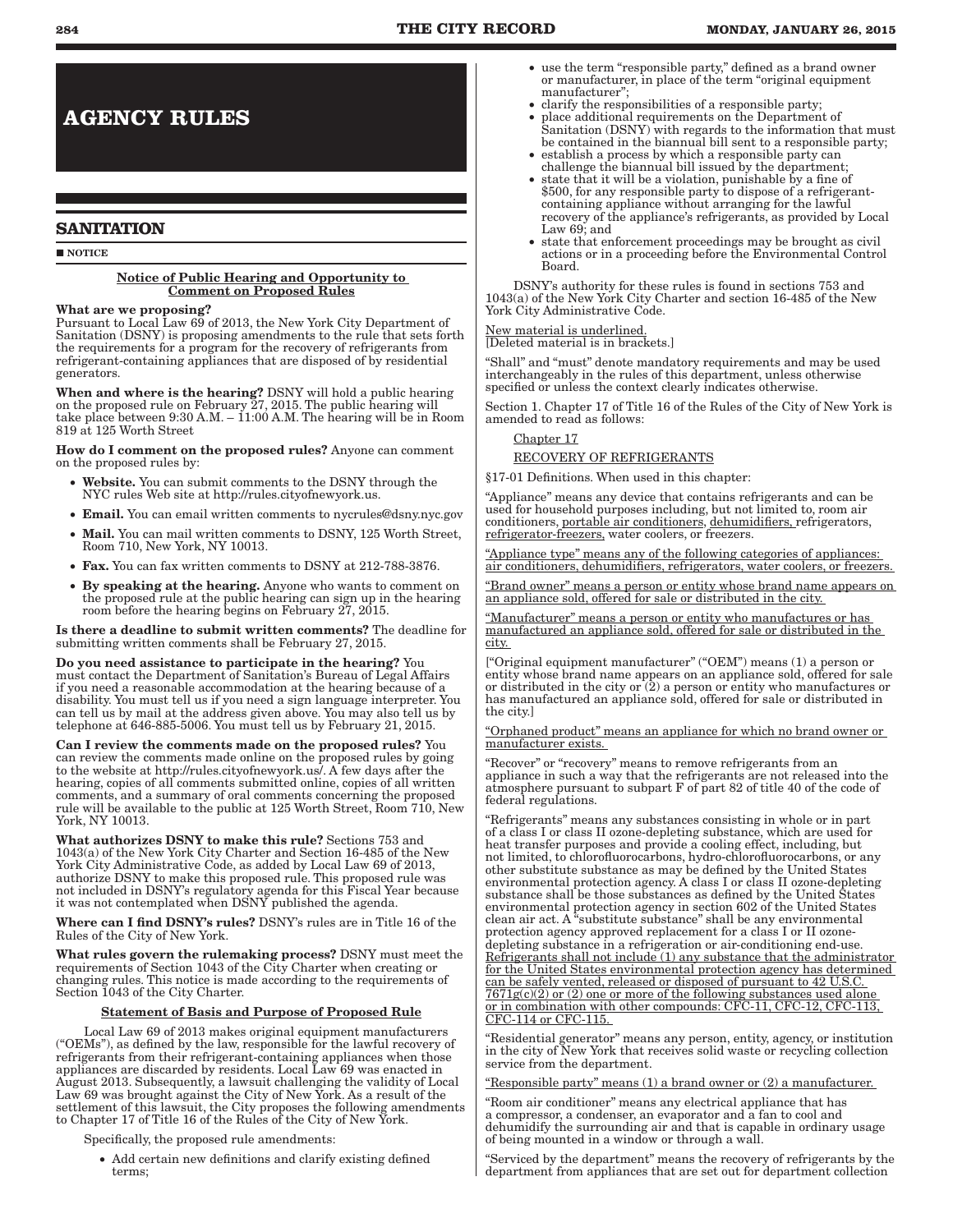# **AGENCY RULES**

## **SANITATION**

**NOTICE** 

#### Notice of Public Hearing and Opportunity to Comment on Proposed Rules

#### What are we proposing?

Pursuant to Local Law 69 of 2013, the New York City Department of Sanitation (DSNY) is proposing amendments to the rule that sets forth the requirements for a program for the recovery of refrigerants from refrigerant-containing appliances that are disposed of by residential generators.

When and where is the hearing? DSNY will hold a public hearing on the proposed rule on February 27, 2015. The public hearing will take place between  $9:30$  A.M. –  $11:00$  A.M. The hearing will be in Room 819 at 125 Worth Street

#### How do I comment on the proposed rules? Anyone can comment on the proposed rules by:

- Website. You can submit comments to the DSNY through the NYC rules Web site at http://rules.cityofnewyork.us.
- Email. You can email written comments to nycrules@dsny.nyc.gov
- Mail. You can mail written comments to DSNY, 125 Worth Street, Room 710, New York, NY 10013.
- Fax. You can fax written comments to DSNY at 212-788-3876.
- By speaking at the hearing. Anyone who wants to comment on the proposed rule at the public hearing can sign up in the hearing room before the hearing begins on February 27, 2015.

Is there a deadline to submit written comments? The deadline for submitting written comments shall be February 27, 2015.

Do you need assistance to participate in the hearing? You must contact the Department of Sanitation's Bureau of Legal Affairs if you need a reasonable accommodation at the hearing because of a disability. You must tell us if you need a sign language interpreter. You can tell us by mail at the address given above. You may also tell us by telephone at 646-885-5006. You must tell us by February 21, 2015.

Can I review the comments made on the proposed rules? You can review the comments made online on the proposed rules by going to the website at http://rules.cityofnewyork.us/. A few days after the hearing, copies of all comments submitted online, copies of all written comments, and a summary of oral comments concerning the proposed rule will be available to the public at 125 Worth Street, Room 710, New York, NY 10013.

What authorizes DSNY to make this rule? Sections 753 and 1043(a) of the New York City Charter and Section 16-485 of the New York City Administrative Code, as added by Local Law 69 of 2013, authorize DSNY to make this proposed rule. This proposed rule was not included in DSNY's regulatory agenda for this Fiscal Year because it was not contemplated when DSNY published the agenda.

Where can I find DSNY's rules? DSNY's rules are in Title 16 of the Rules of the City of New York.

What rules govern the rulemaking process? DSNY must meet the requirements of Section 1043 of the City Charter when creating or changing rules. This notice is made according to the requirements of Section 1043 of the City Charter.

## Statement of Basis and Purpose of Proposed Rule

Local Law 69 of 2013 makes original equipment manufacturers ("OEMs"), as defined by the law, responsible for the lawful recovery of refrigerants from their refrigerant-containing appliances when those appliances are discarded by residents. Local Law 69 was enacted in August 2013. Subsequently, a lawsuit challenging the validity of Local Law 69 was brought against the City of New York. As a result of the settlement of this lawsuit, the City proposes the following amendments to Chapter 17 of Title 16 of the Rules of the City of New York.

Specifically, the proposed rule amendments:

• Add certain new definitions and clarify existing defined terms;

- use the term "responsible party," defined as a brand owner or manufacturer, in place of the term "original equipment manufacturer";
- clarify the responsibilities of a responsible party;
- • place additional requirements on the Department of Sanitation (DSNY) with regards to the information that must be contained in the biannual bill sent to a responsible party;
- establish a process by which a responsible party can challenge the biannual bill issued by the department;
- state that it will be a violation, punishable by a fine of \$500, for any responsible party to dispose of a refrigerantcontaining appliance without arranging for the lawful recovery of the appliance's refrigerants, as provided by Local Law 69; and
- state that enforcement proceedings may be brought as civil actions or in a proceeding before the Environmental Control Board.

DSNY's authority for these rules is found in sections 753 and 1043(a) of the New York City Charter and section 16-485 of the New York City Administrative Code.

## New material is underlined.

[Deleted material is in brackets.]

"Shall" and "must" denote mandatory requirements and may be used interchangeably in the rules of this department, unless otherwise specified or unless the context clearly indicates otherwise.

Section 1. Chapter 17 of Title 16 of the Rules of the City of New York is amended to read as follows:

## Chapter 17

RECOVERY OF REFRIGERANTS

§17-01 Definitions. When used in this chapter:

"Appliance" means any device that contains refrigerants and can be used for household purposes including, but not limited to, room air conditioners, portable air conditioners, dehumidifiers, refrigerators, refrigerator-freezers, water coolers, or freezers.

"Appliance type" means any of the following categories of appliances: air conditioners, dehumidifiers, refrigerators, water coolers, or freezers.

"Brand owner" means a person or entity whose brand name appears on an appliance sold, offered for sale or distributed in the city.

"Manufacturer" means a person or entity who manufactures or has manufactured an appliance sold, offered for sale or distributed in the city.

["Original equipment manufacturer" ("OEM") means (1) a person or entity whose brand name appears on an appliance sold, offered for sale or distributed in the city or (2) a person or entity who manufactures or has manufactured an appliance sold, offered for sale or distributed in the city.]

"Orphaned product" means an appliance for which no brand owner or manufacturer exists.

"Recover" or "recovery" means to remove refrigerants from an appliance in such a way that the refrigerants are not released into the atmosphere pursuant to subpart F of part 82 of title 40 of the code of federal regulations.

"Refrigerants" means any substances consisting in whole or in part of a class I or class II ozone-depleting substance, which are used for heat transfer purposes and provide a cooling effect, including, but not limited, to chlorofluorocarbons, hydro-chlorofluorocarbons, or any other substitute substance as may be defined by the United States environmental protection agency. A class I or class II ozone-depleting substance shall be those substances as defined by the United States environmental protection agency in section 602 of the United States clean air act. A "substitute substance" shall be any environmental protection agency approved replacement for a class I or II ozonedepleting substance in a refrigeration or air-conditioning end-use. Refrigerants shall not include (1) any substance that the administrator for the United States environmental protection agency has determined can be safely vented, released or disposed of pursuant to 42 U.S.C.  $7671g(c)(2)$  or  $(2)$  one or more of the following substances used alone or in combination with other compounds: CFC-11, CFC-12, CFC-113, CFC-114 or CFC-115.

"Residential generator" means any person, entity, agency, or institution in the city of New York that receives solid waste or recycling collection service from the department.

Responsible party" means (1) a brand owner or (2) a manufacturer.

"Room air conditioner" means any electrical appliance that has a compressor, a condenser, an evaporator and a fan to cool and dehumidify the surrounding air and that is capable in ordinary usage of being mounted in a window or through a wall.

"Serviced by the department" means the recovery of refrigerants by the department from appliances that are set out for department collection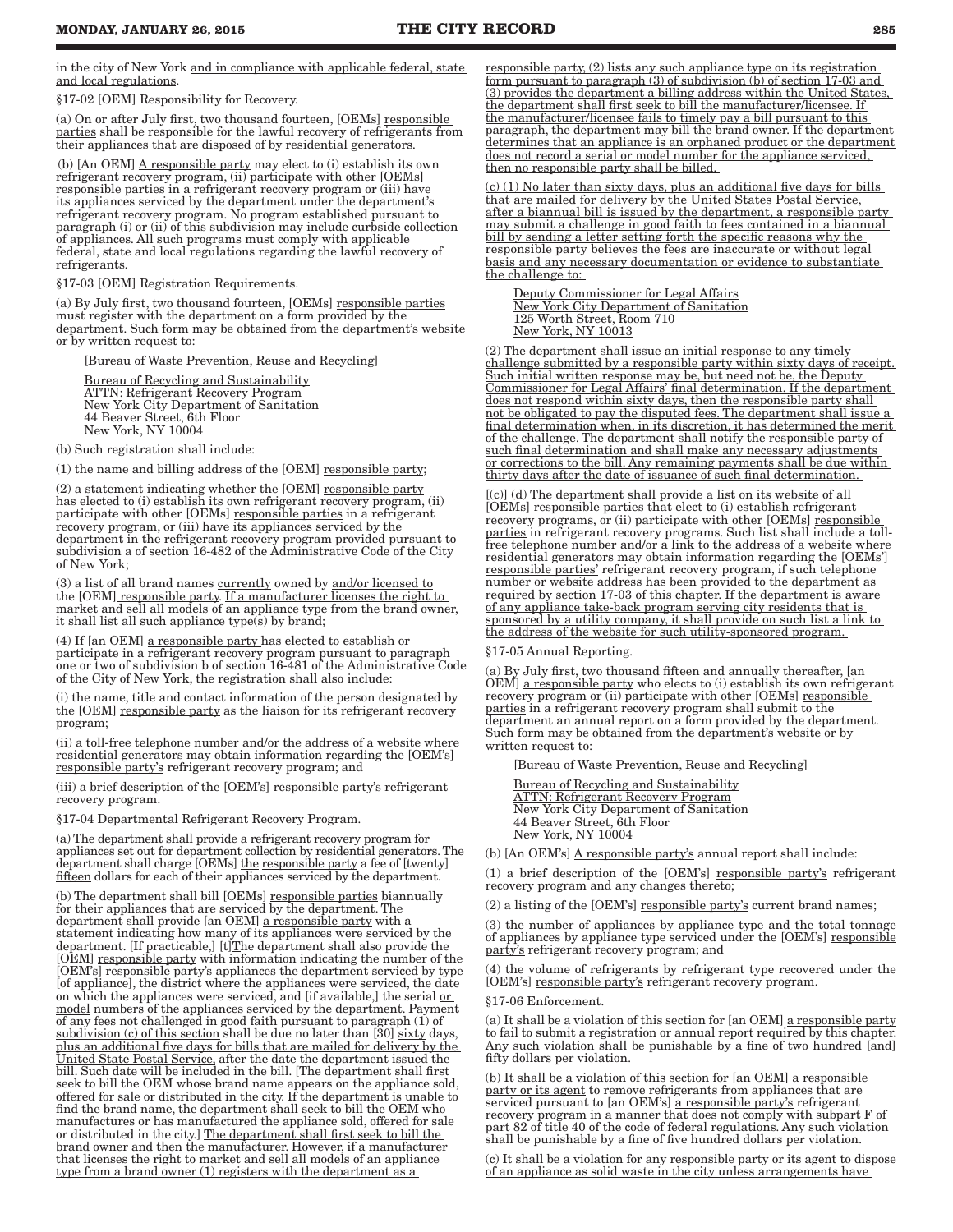in the city of New York and in compliance with applicable federal, state and local regulations.

§17-02 [OEM] Responsibility for Recovery.

(a) On or after July first, two thousand fourteen, [OEMs] responsible parties shall be responsible for the lawful recovery of refrigerants from their appliances that are disposed of by residential generators.

(b)  $[An OEM]$   $A$  responsible party may elect to (i) establish its own refrigerant recovery program, (ii) participate with other [OEMs] responsible parties in a refrigerant recovery program or (iii) have its appliances serviced by the department under the department's refrigerant recovery program. No program established pursuant to paragraph (i) or (ii) of this subdivision may include curbside collection of appliances. All such programs must comply with applicable federal, state and local regulations regarding the lawful recovery of refrigerants.

§17-03 [OEM] Registration Requirements.

(a) By July first, two thousand fourteen, [OEMs] responsible parties must register with the department on a form provided by the department. Such form may be obtained from the department's website or by written request to:

[Bureau of Waste Prevention, Reuse and Recycling]

Bureau of Recycling and Sustainability ATTN: Refrigerant Recovery Program New York City Department of Sanitation 44 Beaver Street, 6th Floor New York, NY 10004

(b) Such registration shall include:

(1) the name and billing address of the [OEM] responsible party;

(2) a statement indicating whether the [OEM] responsible party has elected to (i) establish its own refrigerant recovery program, (ii) participate with other [OEMs] responsible parties in a refrigerant recovery program, or (iii) have its appliances serviced by the department in the refrigerant recovery program provided pursuant to subdivision a of section 16-482 of the Administrative Code of the City of New York;

(3) a list of all brand names currently owned by and/or licensed to the [OEM] responsible party. If a manufacturer licenses the right to market and sell all models of an appliance type from the brand owner, it shall list all such appliance type(s) by brand;

(4) If [an OEM] a responsible party has elected to establish or participate in a refrigerant recovery program pursuant to paragraph one or two of subdivision b of section 16-481 of the Administrative Code of the City of New York, the registration shall also include:

(i) the name, title and contact information of the person designated by the [OEM] responsible party as the liaison for its refrigerant recovery program;

(ii) a toll-free telephone number and/or the address of a website where residential generators may obtain information regarding the [OEM's] responsible party's refrigerant recovery program; and

(iii) a brief description of the [OEM's] responsible party's refrigerant recovery program.

§17-04 Departmental Refrigerant Recovery Program.

(a) The department shall provide a refrigerant recovery program for appliances set out for department collection by residential generators. The department shall charge [OEMs] the responsible party a fee of [twenty] fifteen dollars for each of their appliances serviced by the department.

(b) The department shall bill [OEMs] responsible parties biannually for their appliances that are serviced by the department. The department shall provide [an OEM] a responsible party with a statement indicating how many of its appliances were serviced by the department. [If practicable,] [t]The department shall also provide the [OEM] responsible party with information indicating the number of the [OEM's] responsible party's appliances the department serviced by type [of appliance], the district where the appliances were serviced, the date on which the appliances were serviced, and [if available,] the serial or model numbers of the appliances serviced by the department. Payment of any fees not challenged in good faith pursuant to paragraph (1) of subdivision (c) of this section shall be due no later than  $[30]$  sixty days, plus an additional five days for bills that are mailed for delivery by the United State Postal Service, after the date the department issued the bill. Such date will be included in the bill. [The department shall first seek to bill the OEM whose brand name appears on the appliance sold, offered for sale or distributed in the city. If the department is unable to find the brand name, the department shall seek to bill the OEM who manufactures or has manufactured the appliance sold, offered for sale or distributed in the city.] The department shall first seek to bill the brand owner and then the manufacturer. However, if a manufacturer that licenses the right to market and sell all models of an appliance type from a brand owner (1) registers with the department as a

responsible party, (2) lists any such appliance type on its registration form pursuant to paragraph (3) of subdivision (b) of section 17-03 and (3) provides the department a billing address within the United States, the department shall first seek to bill the manufacturer/licensee. If the manufacturer/licensee fails to timely pay a bill pursuant to this paragraph, the department may bill the brand owner. If the department determines that an appliance is an orphaned product or the department does not record a serial or model number for the appliance serviced, then no responsible party shall be billed.

(c) (1) No later than sixty days, plus an additional five days for bills that are mailed for delivery by the United States Postal Service, after a biannual bill is issued by the department, a responsible party may submit a challenge in good faith to fees contained in a biannual bill by sending a letter setting forth the specific reasons why the responsible party believes the fees are inaccurate or without legal basis and any necessary documentation or evidence to substantiate the challenge to:

Deputy Commissioner for Legal Affairs New York City Department of Sanitation 125 Worth Street, Room 710 New York, NY 10013

(2) The department shall issue an initial response to any timely challenge submitted by a responsible party within sixty days of receipt. Such initial written response may be, but need not be, the Deputy Commissioner for Legal Affairs' final determination. If the department does not respond within sixty days, then the responsible party shall not be obligated to pay the disputed fees. The department shall issue a final determination when, in its discretion, it has determined the merit of the challenge. The department shall notify the responsible party of such final determination and shall make any necessary adjustments or corrections to the bill. Any remaining payments shall be due within thirty days after the date of issuance of such final determination.

[(c)] (d) The department shall provide a list on its website of all [OEMs] responsible parties that elect to (i) establish refrigerant recovery programs, or (ii) participate with other [OEMs] responsible parties in refrigerant recovery programs. Such list shall include a tollfree telephone number and/or a link to the address of a website where residential generators may obtain information regarding the [OEMs'] responsible parties' refrigerant recovery program, if such telephone number or website address has been provided to the department as required by section 17-03 of this chapter. If the department is aware of any appliance take-back program serving city residents that is sponsored by a utility company, it shall provide on such list a link to the address of the website for such utility-sponsored program.

#### §17-05 Annual Reporting.

(a) By July first, two thousand fifteen and annually thereafter, [an OEM] a responsible party who elects to (i) establish its own refrigerant recovery program or (ii) participate with other [OEMs] responsible parties in a refrigerant recovery program shall submit to the department an annual report on a form provided by the department. Such form may be obtained from the department's website or by written request to:

[Bureau of Waste Prevention, Reuse and Recycling]

Bureau of Recycling and Sustainability ATTN: Refrigerant Recovery Program New York City Department of Sanitation 44 Beaver Street, 6th Floor New York, NY 10004

(b) [An OEM's] A responsible party's annual report shall include:

(1) a brief description of the [OEM's] responsible party's refrigerant recovery program and any changes thereto;

(2) a listing of the  $[OEM's]$  responsible party's current brand names;

(3) the number of appliances by appliance type and the total tonnage of appliances by appliance type serviced under the [OEM's] responsible party's refrigerant recovery program; and

(4) the volume of refrigerants by refrigerant type recovered under the [OEM's] responsible party's refrigerant recovery program.

§17-06 Enforcement.

(a) It shall be a violation of this section for [an OEM] a responsible party to fail to submit a registration or annual report required by this chapter. Any such violation shall be punishable by a fine of two hundred [and] fifty dollars per violation.

(b) It shall be a violation of this section for [an OEM] a responsible party or its agent to remove refrigerants from appliances that are serviced pursuant to [an OEM's] a responsible party's refrigerant recovery program in a manner that does not comply with subpart F of part 82 of title 40 of the code of federal regulations. Any such violation shall be punishable by a fine of five hundred dollars per violation.

(c) It shall be a violation for any responsible party or its agent to dispose of an appliance as solid waste in the city unless arrangements have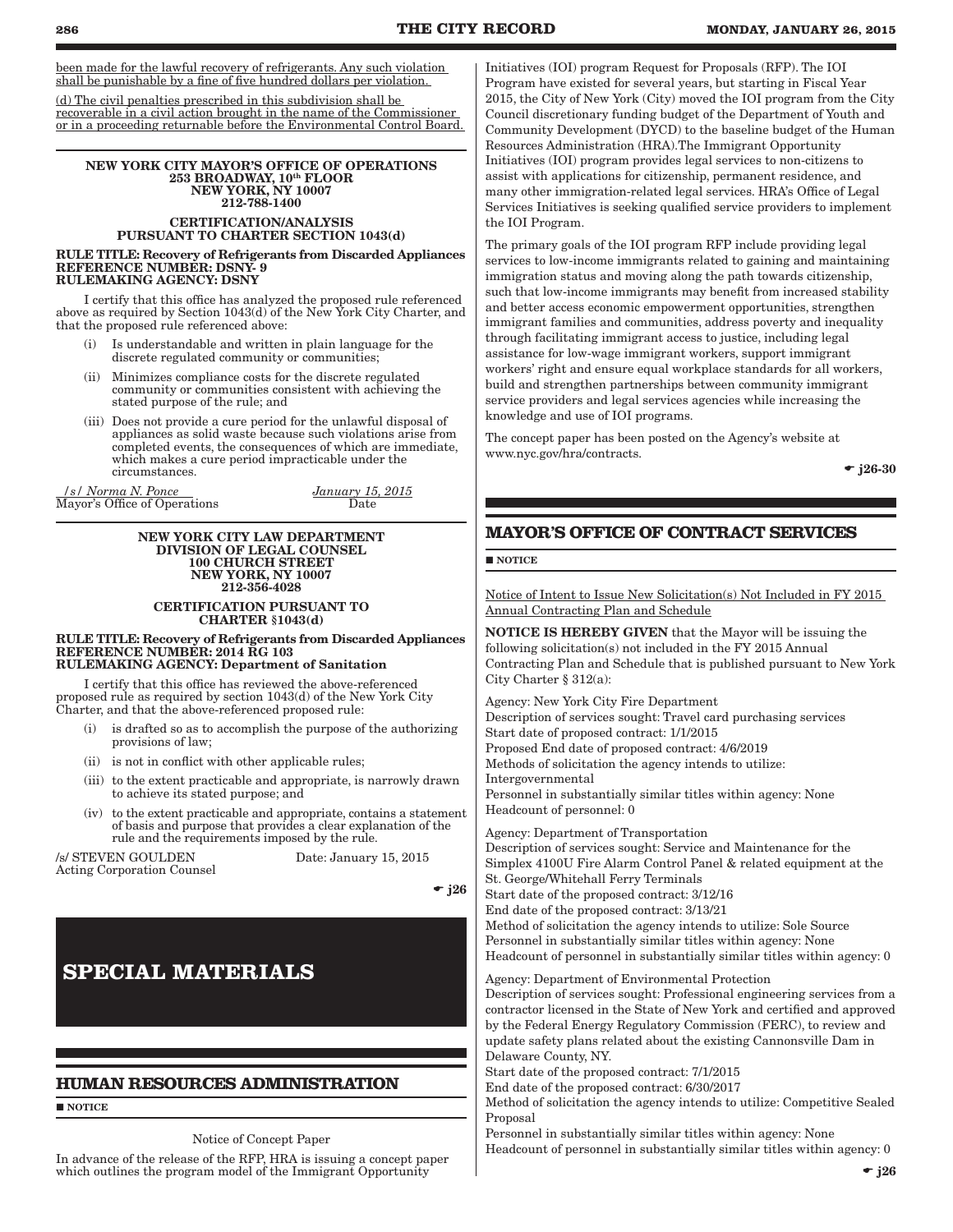been made for the lawful recovery of refrigerants. Any such violation shall be punishable by a fine of five hundred dollars per violation.

(d) The civil penalties prescribed in this subdivision shall be recoverable in a civil action brought in the name of the Commissioner or in a proceeding returnable before the Environmental Control Board.

#### NEW YORK CITY MAYOR'S OFFICE OF OPERATIONS 253 BROADWAY, 10th FLOOR NEW YORK, NY 10007 212-788-1400

## CERTIFICATION/ANALYSIS PURSUANT TO CHARTER SECTION 1043(d)

RULE TITLE: Recovery of Refrigerants from Discarded Appliances REFERENCE NUMBER: DSNY- 9 RULEMAKING AGENCY: DSNY

I certify that this office has analyzed the proposed rule referenced above as required by Section 1043(d) of the New York City Charter, and that the proposed rule referenced above:

- (i) Is understandable and written in plain language for the discrete regulated community or communities;
- (ii) Minimizes compliance costs for the discrete regulated community or communities consistent with achieving the stated purpose of the rule; and
- (iii) Does not provide a cure period for the unlawful disposal of appliances as solid waste because such violations arise from completed events, the consequences of which are immediate, which makes a cure period impracticable under the circumstances.

 */s/ Norma N. Ponce January 15, 2015* Mayor's Office of Operations

NEW YORK CITY LAW DEPARTMENT DIVISION OF LEGAL COUNSEL 100 CHURCH STREET NEW YORK, NY 10007 212-356-4028

CERTIFICATION PURSUANT TO CHARTER §1043(d)

RULE TITLE: Recovery of Refrigerants from Discarded Appliances REFERENCE NUMBER: 2014 RG 103 RULEMAKING AGENCY: Department of Sanitation

I certify that this office has reviewed the above-referenced proposed rule as required by section 1043(d) of the New York City Charter, and that the above-referenced proposed rule:

- (i) is drafted so as to accomplish the purpose of the authorizing provisions of law;
- (ii) is not in conflict with other applicable rules;
- (iii) to the extent practicable and appropriate, is narrowly drawn to achieve its stated purpose; and
- (iv) to the extent practicable and appropriate, contains a statement of basis and purpose that provides a clear explanation of the rule and the requirements imposed by the rule.

/s/ STEVEN GOULDEN Date: January 15, 2015 Acting Corporation Counsel

 $-$  j26

# **SPECIAL MATERIALS**

## **HUMAN RESOURCES ADMINISTRATION**

**NOTICE** 

Notice of Concept Paper

In advance of the release of the RFP, HRA is issuing a concept paper which outlines the program model of the Immigrant Opportunity

Initiatives (IOI) program Request for Proposals (RFP). The IOI Program have existed for several years, but starting in Fiscal Year 2015, the City of New York (City) moved the IOI program from the City Council discretionary funding budget of the Department of Youth and Community Development (DYCD) to the baseline budget of the Human Resources Administration (HRA).The Immigrant Opportunity Initiatives (IOI) program provides legal services to non-citizens to assist with applications for citizenship, permanent residence, and many other immigration-related legal services. HRA's Office of Legal Services Initiatives is seeking qualified service providers to implement the IOI Program.

The primary goals of the IOI program RFP include providing legal services to low-income immigrants related to gaining and maintaining immigration status and moving along the path towards citizenship, such that low-income immigrants may benefit from increased stability and better access economic empowerment opportunities, strengthen immigrant families and communities, address poverty and inequality through facilitating immigrant access to justice, including legal assistance for low-wage immigrant workers, support immigrant workers' right and ensure equal workplace standards for all workers, build and strengthen partnerships between community immigrant service providers and legal services agencies while increasing the knowledge and use of IOI programs.

The concept paper has been posted on the Agency's website at www.nyc.gov/hra/contracts.

 $-$  j26-30

## **MAYOR'S OFFICE OF CONTRACT SERVICES**

**NOTICE** 

Notice of Intent to Issue New Solicitation(s) Not Included in FY 2015 Annual Contracting Plan and Schedule

NOTICE IS HEREBY GIVEN that the Mayor will be issuing the following solicitation(s) not included in the FY 2015 Annual Contracting Plan and Schedule that is published pursuant to New York City Charter § 312(a):

Agency: New York City Fire Department Description of services sought: Travel card purchasing services Start date of proposed contract: 1/1/2015 Proposed End date of proposed contract: 4/6/2019 Methods of solicitation the agency intends to utilize: Intergovernmental Personnel in substantially similar titles within agency: None Headcount of personnel: 0 Agency: Department of Transportation

Description of services sought: Service and Maintenance for the Simplex 4100U Fire Alarm Control Panel & related equipment at the St. George/Whitehall Ferry Terminals Start date of the proposed contract: 3/12/16 End date of the proposed contract: 3/13/21 Method of solicitation the agency intends to utilize: Sole Source Personnel in substantially similar titles within agency: None Headcount of personnel in substantially similar titles within agency: 0

Agency: Department of Environmental Protection

Description of services sought: Professional engineering services from a contractor licensed in the State of New York and certified and approved by the Federal Energy Regulatory Commission (FERC), to review and update safety plans related about the existing Cannonsville Dam in Delaware County, NY.

Start date of the proposed contract: 7/1/2015

End date of the proposed contract: 6/30/2017

Method of solicitation the agency intends to utilize: Competitive Sealed Proposal

Personnel in substantially similar titles within agency: None Headcount of personnel in substantially similar titles within agency: 0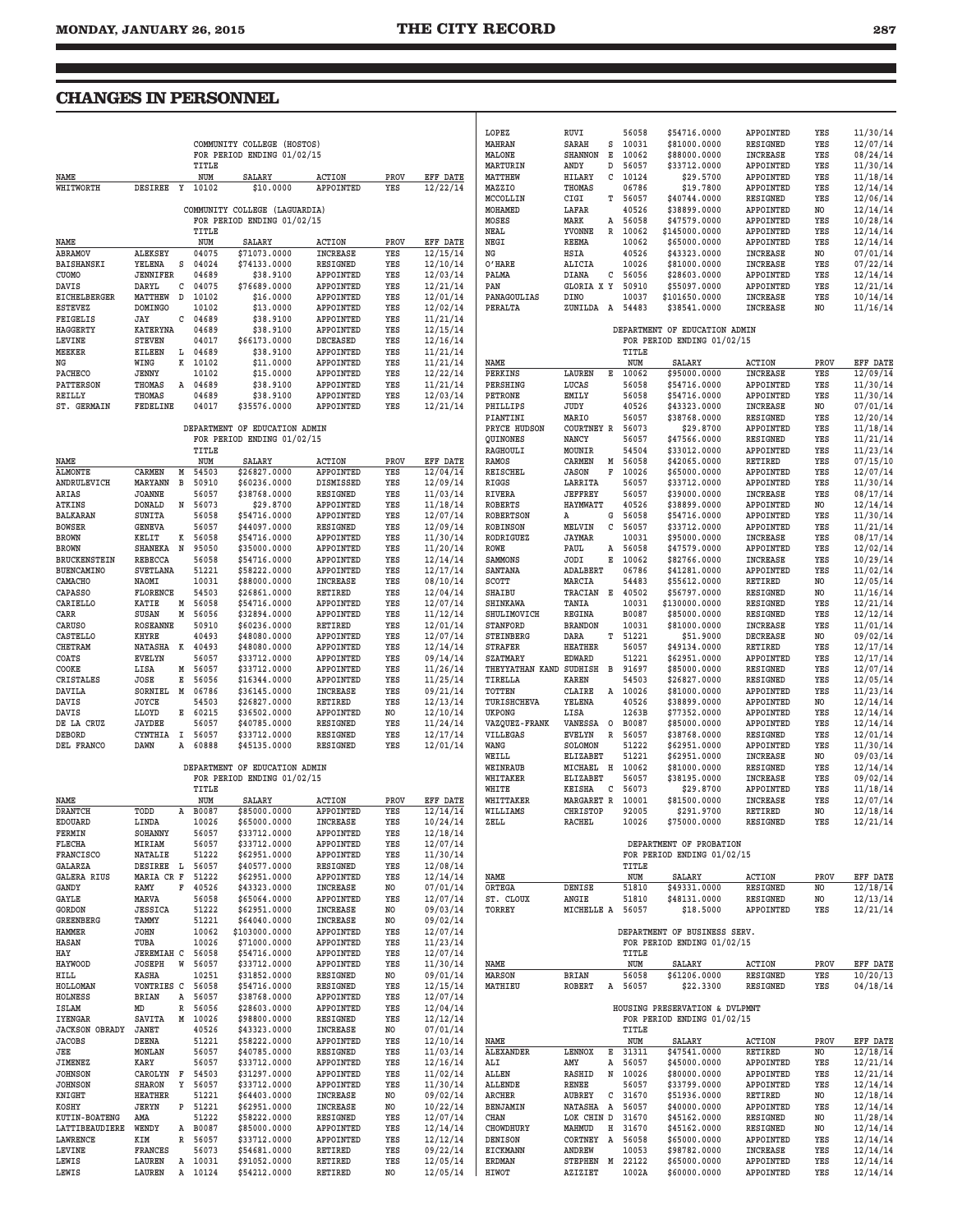<u> 1990 - Johann Barn, mars an t-Amerikaansk ferske omr</u>

т

## **CHANGES IN PERSONNEL**

|                                  |                                  |    |                    | COMMUNITY COLLEGE (HOSTOS)                                  |                              |             |                      | LOPEZ<br>MAHRAN                 | RUVI<br>SARAH<br>s                 | 56058<br>10031   | \$54716.0000<br>\$81000.0000                                 | APPOINTED<br>RESIGNED        | YES<br>YES | 11/30/14<br>12/07/14        |
|----------------------------------|----------------------------------|----|--------------------|-------------------------------------------------------------|------------------------------|-------------|----------------------|---------------------------------|------------------------------------|------------------|--------------------------------------------------------------|------------------------------|------------|-----------------------------|
|                                  |                                  |    |                    | FOR PERIOD ENDING 01/02/15                                  |                              |             |                      | MALONE                          | Е<br><b>SHANNON</b>                | 10062            | \$88000.0000                                                 | <b>INCREASE</b>              | YES        | 08/24/14                    |
|                                  |                                  |    | TITLE              |                                                             |                              |             |                      | MARTURIN                        | ANDY<br>D                          | 56057            | \$33712.0000                                                 | APPOINTED                    | YES        | 11/30/14                    |
| NAME<br>WHITWORTH                | DESIREE Y                        |    | NUM<br>10102       | SALARY<br>\$10.0000                                         | <b>ACTION</b><br>APPOINTED   | PROV<br>YES | EFF DATE<br>12/22/14 | MATTHEW<br>MAZZIO               | HILARY<br>С<br>THOMAS              | 10124<br>06786   | \$29.5700<br>\$19.7800                                       | APPOINTED<br>APPOINTED       | YES<br>YES | 11/18/14<br>12/14/14        |
|                                  |                                  |    |                    |                                                             |                              |             |                      | MCCOLLIN                        | CIGI                               | T 56057          | \$40744.0000                                                 | <b>RESIGNED</b>              | YES        | 12/06/14                    |
|                                  |                                  |    |                    | COMMUNITY COLLEGE (LAGUARDIA)                               |                              |             |                      | MOHAMED                         | LAFAR                              | 40526            | \$38899.0000                                                 | APPOINTED                    | NO         | 12/14/14                    |
|                                  |                                  |    |                    | FOR PERIOD ENDING 01/02/15                                  |                              |             |                      | MOSES                           | MARK                               | A 56058          | \$47579.0000                                                 | APPOINTED                    | YES        | 10/28/14                    |
| NAME                             |                                  |    | TITLE<br>NUM       | <b>SALARY</b>                                               | <b>ACTION</b>                | PROV        | EFF DATE             | NEAL<br>NEGI                    | YVONNE<br>REEMA                    | R 10062<br>10062 | \$145000.0000<br>\$65000.0000                                | APPOINTED<br>APPOINTED       | YES<br>YES | 12/14/14<br>12/14/14        |
| <b>ABRAMOV</b>                   | ALEKSEY                          |    | 04075              | \$71073.0000                                                | <b>INCREASE</b>              | YES         | 12/15/14             | ΝG                              | HSIA                               | 40526            | \$43323.0000                                                 | <b>INCREASE</b>              | NO         | 07/01/14                    |
| BAISHANSKI                       | YELENA                           | s  | 04024              | \$74133.0000                                                | <b>RESIGNED</b>              | YES         | 12/10/14             | O'HARE                          | ALICIA                             | 10026            | \$81000.0000                                                 | <b>INCREASE</b>              | YES        | 07/22/14                    |
| CUOMO                            | <b>JENNIFER</b>                  |    | 04689              | \$38.9100                                                   | APPOINTED                    | YES         | 12/03/14             | PALMA                           | DIANA                              | $C$ 56056        | \$28603.0000                                                 | APPOINTED                    | YES        | 12/14/14                    |
| DAVIS<br>EICHELBERGER            | DARYL<br>MATTHEW                 | D  | $C$ 04075<br>10102 | \$76689.0000<br>\$16.0000                                   | APPOINTED<br>APPOINTED       | YES<br>YES  | 12/21/14<br>12/01/14 | PAN<br>PANAGOULIAS              | GLORIA X Y<br>DINO                 | 50910<br>10037   | \$55097.0000<br>\$101650.0000                                | APPOINTED<br><b>INCREASE</b> | YES<br>YES | 12/21/14<br>10/14/14        |
| ESTEVEZ                          | <b>DOMINGO</b>                   |    | 10102              | \$13.0000                                                   | APPOINTED                    | YES         | 12/02/14             | PERALTA                         | ZUNILDA A                          | 54483            | \$38541.0000                                                 | <b>INCREASE</b>              | NO         | 11/16/14                    |
| FEIGELIS                         | JAY                              |    | $C$ 04689          | \$38.9100                                                   | APPOINTED                    | YES         | 11/21/14             |                                 |                                    |                  |                                                              |                              |            |                             |
| <b>HAGGERTY</b>                  | <b>KATERYNA</b>                  |    | 04689              | \$38.9100                                                   | APPOINTED                    | YES         | 12/15/14             |                                 |                                    |                  | DEPARTMENT OF EDUCATION ADMIN                                |                              |            |                             |
| LEVINE<br>MEEKER                 | <b>STEVEN</b><br><b>EILEEN</b>   |    | 04017<br>L 04689   | \$66173.0000<br>\$38.9100                                   | DECEASED<br>APPOINTED        | YES<br>YES  | 12/16/14<br>11/21/14 |                                 |                                    | TITLE            | FOR PERIOD ENDING 01/02/15                                   |                              |            |                             |
| ΝG                               | WING                             |    | K 10102            | \$11.0000                                                   | APPOINTED                    | YES         | 11/21/14             | NAME                            |                                    | NUM              | SALARY                                                       | ACTION                       | PROV       | <b>EFF DATE</b>             |
| <b>PACHECO</b>                   | JENNY                            |    | 10102              | \$15,0000                                                   | APPOINTED                    | YES         | 12/22/14             | PERKINS                         | LAUREN<br>Е                        | 10062            | \$95000.0000                                                 | <b>INCREASE</b>              | YES        | 12/09/14                    |
| <b>PATTERSON</b>                 | THOMAS                           |    | A 04689            | \$38.9100                                                   | APPOINTED                    | YES         | 11/21/14             | PERSHING                        | LUCAS                              | 56058            | \$54716.0000                                                 | APPOINTED                    | YES        | 11/30/14                    |
| REILLY<br>ST. GERMAIN            | THOMAS<br>FEDELINE               |    | 04689<br>04017     | \$38.9100<br>\$35576.0000                                   | APPOINTED<br>APPOINTED       | YES<br>YES  | 12/03/14             | PETRONE<br>PHILLIPS             | EMILY<br>JUDY                      | 56058<br>40526   | \$54716.0000<br>\$43323.0000                                 | APPOINTED<br><b>INCREASE</b> | YES<br>NO  | 11/30/14<br>07/01/14        |
|                                  |                                  |    |                    |                                                             |                              |             | 12/21/14             | PIANTINI                        | MARIO                              | 56057            | \$38768.0000                                                 | RESIGNED                     | YES        | 12/20/14                    |
|                                  |                                  |    |                    | DEPARTMENT OF EDUCATION ADMIN                               |                              |             |                      | PRYCE HUDSON                    | COURTNEY R                         | 56073            | \$29.8700                                                    | APPOINTED                    | YES        | 11/18/14                    |
|                                  |                                  |    |                    | FOR PERIOD ENDING 01/02/15                                  |                              |             |                      | QUINONES                        | NANCY                              | 56057            | \$47566.0000                                                 | RESIGNED                     | YES        | 11/21/14                    |
|                                  |                                  |    | TITLE              |                                                             |                              |             |                      | RAGHOULI                        | MOUNIR                             | 54504            | \$33012.0000                                                 | APPOINTED<br><b>RETIRED</b>  | YES        | 11/23/14                    |
| NAME<br><b>ALMONTE</b>           | CARMEN                           | M  | NUM<br>54503       | SALARY<br>\$26827.0000                                      | <b>ACTION</b><br>APPOINTED   | PROV<br>YES | EFF DATE<br>12/04/14 | RAMOS<br>REISCHEL               | CARMEN<br>M<br>F<br><b>JASON</b>   | 56058<br>10026   | \$42065.0000<br>\$65000.0000                                 | APPOINTED                    | YES<br>YES | 07/15/10<br>12/07/14        |
| ANDRULEVICH                      | MARYANN                          | в  | 50910              | \$60236.0000                                                | DISMISSED                    | YES         | 12/09/14             | RIGGS                           | LARRITA                            | 56057            | \$33712.0000                                                 | APPOINTED                    | YES        | 11/30/14                    |
| ARIAS                            | <b>JOANNE</b>                    |    | 56057              | \$38768.0000                                                | <b>RESIGNED</b>              | YES         | 11/03/14             | RIVERA                          | <b>JEFFREY</b>                     | 56057            | \$39000.0000                                                 | <b>INCREASE</b>              | YES        | 08/17/14                    |
| ATKINS                           | DONALD                           |    | N 56073            | \$29.8700                                                   | APPOINTED                    | YES         | 11/18/14             | <b>ROBERTS</b>                  | <b>HAYMWATT</b>                    | 40526            | \$38899.0000                                                 | APPOINTED                    | NO         | 12/14/14                    |
| BALKARAN                         | SUNITA                           |    | 56058<br>56057     | \$54716.0000                                                | APPOINTED                    | YES         | 12/07/14             | <b>ROBERTSON</b>                | G<br>Α                             | 56058            | \$54716.0000                                                 | APPOINTED                    | YES        | 11/30/14                    |
| <b>BOWSER</b><br><b>BROWN</b>    | GENEVA<br>KELIT                  |    | K 56058            | \$44097.0000<br>\$54716.0000                                | <b>RESIGNED</b><br>APPOINTED | YES<br>YES  | 12/09/14<br>11/30/14 | ROBINSON<br>RODRIGUEZ           | MELVIN<br>С<br>JAYMAR              | 56057<br>10031   | \$33712.0000<br>\$95000.0000                                 | APPOINTED<br><b>INCREASE</b> | YES<br>YES | 11/21/14<br>08/17/14        |
| <b>BROWN</b>                     | SHANEKA N                        |    | 95050              | \$35000.0000                                                | APPOINTED                    | YES         | 11/20/14             | ROWE                            | PAUL<br>Α                          | 56058            | \$47579.0000                                                 | APPOINTED                    | YES        | 12/02/14                    |
| BRUCKENSTEIN                     | <b>REBECCA</b>                   |    | 56058              | \$54716.0000                                                | APPOINTED                    | YES         | 12/14/14             | SAMMONS                         | JODI<br>Е                          | 10062            | \$82766.0000                                                 | <b>INCREASE</b>              | YES        | 10/29/14                    |
| <b>BUENCAMINO</b>                | <b>SVETLANA</b>                  |    | 51221              | \$58222.0000                                                | APPOINTED                    | YES         | 12/17/14             | <b>SANTANA</b>                  | ADALBERT                           | 06786            | \$41281.0000                                                 | APPOINTED                    | YES        | 11/02/14                    |
| CAMACHO                          | NAOMI<br><b>FLORENCE</b>         |    | 10031<br>54503     | \$88000.0000                                                | <b>INCREASE</b><br>RETIRED   | YES<br>YES  | 08/10/14             | SCOTT<br><b>SHAIBU</b>          | MARCIA<br>TRACIAN E 40502          | 54483            | \$55612.0000                                                 | RETIRED<br>RESIGNED          | NO<br>NO   | 12/05/14                    |
| <b>CAPASSO</b><br>CARIELLO       | KATIE                            |    | M 56058            | \$26861.0000<br>\$54716.0000                                | APPOINTED                    | YES         | 12/04/14<br>12/07/14 | <b>SHINKAWA</b>                 | TANIA                              | 10031            | \$56797.0000<br>\$130000.0000                                | RESIGNED                     | YES        | 11/16/14<br>12/21/14        |
| CARR                             | SUSAN                            | М  | 56056              | \$32894.0000                                                | APPOINTED                    | YES         | 11/12/14             | SHULIMOVICH                     | <b>REGINA</b>                      | B0087            | \$85000.0000                                                 | RESIGNED                     | YES        | 12/12/14                    |
| <b>CARUSO</b>                    | <b>ROSEANNE</b>                  |    | 50910              | \$60236.0000                                                | RETIRED                      | YES         | 12/01/14             | <b>STANFORD</b>                 | <b>BRANDON</b>                     | 10031            | \$81000.0000                                                 | <b>INCREASE</b>              | YES        | 11/01/14                    |
| CASTELLO                         | KHYRE                            |    | 40493              | \$48080.0000                                                | APPOINTED                    | YES         | 12/07/14             | STEINBERG                       | DARA                               | T 51221          | \$51.9000                                                    | <b>DECREASE</b>              | NO         | 09/02/14                    |
| <b>CHETRAM</b><br>COATS          | NATASHA K 40493<br><b>EVELYN</b> |    | 56057              | \$48080.0000<br>\$33712.0000                                | APPOINTED<br>APPOINTED       | YES<br>YES  | 12/14/14<br>09/14/14 | <b>STRAFER</b><br>SZATMARY      | <b>HEATHER</b><br><b>EDWARD</b>    | 56057<br>51221   | \$49134.0000<br>\$62951.0000                                 | RETIRED<br>APPOINTED         | YES<br>YES | 12/17/14<br>12/17/14        |
| COOKE                            | LISA                             |    | M 56057            | \$33712.0000                                                | APPOINTED                    | YES         | 11/26/14             | THEYYATHAN KAND SUDHISH B 91697 |                                    |                  | \$85000.0000                                                 | RESIGNED                     | YES        | 12/07/14                    |
| CRISTALES                        | JOSE                             |    | E 56056            | \$16344.0000                                                | APPOINTED                    | YES         | 11/25/14             | TIRELLA                         | KAREN                              | 54503            | \$26827.0000                                                 | RESIGNED                     | YES        | 12/05/14                    |
| DAVILA                           | SORNIEL                          | M  | 06786              | \$36145.0000                                                | <b>INCREASE</b>              | YES         | 09/21/14             | TOTTEN                          | CLAIRE                             | A 10026          | \$81000.0000                                                 | APPOINTED                    | YES        | 11/23/14                    |
| DAVIS                            | JOYCE<br><b>LLOYD</b>            |    | 54503<br>E 60215   | \$26827.0000<br>\$36502.0000                                | RETIRED<br>APPOINTED         | YES<br>NO   | 12/13/14<br>12/10/14 | TURISHCHEVA<br>UKPONG           | YELENA<br>LISA                     | 40526<br>1263B   | \$38899.0000<br>\$77352.0000                                 | APPOINTED<br>APPOINTED       | NO<br>YES  | 12/14/14<br>12/14/14        |
| DAVIS<br>DE LA CRUZ              | <b>JAYDEE</b>                    |    | 56057              | \$40785.0000                                                | <b>RESIGNED</b>              | YES         | 11/24/14             | VAZQUEZ-FRANK                   | VANESSA O                          | B0087            | \$85000.0000                                                 | APPOINTED                    | YES        | 12/14/14                    |
| DEBORD                           | CYNTHIA                          | Ι. | 56057              | \$33712.0000                                                | <b>RESIGNED</b>              | YES         | 12/17/14             | VILLEGAS                        | <b>EVELYN</b>                      | R 56057          | \$38768.0000                                                 | RESIGNED                     | YES        | 12/01/14                    |
| DEL FRANCO                       | DAWN                             | Α  | 60888              | \$45135.0000                                                | <b>RESIGNED</b>              | YES         | 12/01/14             | WANG                            | SOLOMON                            | 51222            | \$62951.0000                                                 | APPOINTED                    | YES        | 11/30/14                    |
|                                  |                                  |    |                    |                                                             |                              |             |                      | WEILL                           | <b>ELIZABET</b>                    | 51221            | \$62951.0000                                                 | <b>INCREASE</b>              | NO         | 09/03/14                    |
|                                  |                                  |    |                    | DEPARTMENT OF EDUCATION ADMIN<br>FOR PERIOD ENDING 01/02/15 |                              |             |                      | WEINRAUB<br>WHITAKER            | MICHAEL H 10062<br><b>ELIZABET</b> | 56057            | \$81000.0000<br>\$38195.0000                                 | RESIGNED<br><b>INCREASE</b>  | YES<br>YES | 12/14/14<br>09/02/14        |
|                                  |                                  |    | TITLE              |                                                             |                              |             |                      | WHITE                           | KEISHA<br>$\mathbf{C}$             | 56073            | \$29.8700                                                    | APPOINTED                    | YES        | 11/18/14                    |
| NAME                             |                                  |    | NUM                | SALARY                                                      | <b>ACTION</b>                | PROV        | EFF DATE             | WHITTAKER                       | MARGARET R                         | 10001            | \$81500.0000                                                 | <b>INCREASE</b>              | YES        | 12/07/14                    |
| <b>DRANTCH</b>                   | TODD                             |    | A B0087            | \$85000.0000                                                | APPOINTED                    | YES         | 12/14/14             | WILLIAMS                        | CHRISTOP                           | 92005            | \$291.9700                                                   | RETIRED                      | NO         | 12/18/14                    |
| EDOUARD<br>FERMIN                | LINDA<br>SOHANNY                 |    | 10026<br>56057     | \$65000.0000<br>\$33712.0000                                | <b>INCREASE</b><br>APPOINTED | YES<br>YES  | 10/24/14<br>12/18/14 | ZELL                            | <b>RACHEL</b>                      | 10026            | \$75000.0000                                                 | RESIGNED                     |            | 12/21/14                    |
| <b>FLECHA</b>                    | MIRIAM                           |    | 56057              | \$33712.0000                                                | APPOINTED                    | YES         | 12/07/14             |                                 |                                    |                  | DEPARTMENT OF PROBATION                                      |                              |            |                             |
| <b>FRANCISCO</b>                 | NATALIE                          |    | 51222              | \$62951.0000                                                | APPOINTED                    | YES         | 11/30/14             |                                 |                                    |                  | FOR PERIOD ENDING 01/02/15                                   |                              |            |                             |
| GALARZA                          | DESIREE L 56057                  |    |                    | \$40577.0000                                                | RESIGNED                     | YES         | 12/08/14             |                                 |                                    | TITLE            |                                                              |                              |            |                             |
| <b>GALERA RIUS</b>               | MARIA CR F                       |    | 51222              | \$62951.0000<br>\$43323.0000                                | APPOINTED                    | YES<br>NO   | 12/14/14             | NAME                            |                                    | NUM              | <b>SALARY</b>                                                | <b>ACTION</b>                | PROV<br>NO | <b>EFF DATE</b><br>12/18/14 |
| GANDY<br>GAYLE                   | RAMY<br>MARVA                    |    | F 40526<br>56058   | \$65064.0000                                                | INCREASE<br>APPOINTED        | YES         | 07/01/14<br>12/07/14 | ORTEGA<br>ST. CLOUX             | DENISE<br>ANGIE                    | 51810<br>51810   | \$49331.0000<br>\$48131.0000                                 | RESIGNED<br>RESIGNED         | NO         | 12/13/14                    |
| <b>GORDON</b>                    | <b>JESSICA</b>                   |    | 51222              | \$62951.0000                                                | <b>INCREASE</b>              | NO          | 09/03/14             | TORREY                          | MICHELLE A 56057                   |                  | \$18.5000                                                    | APPOINTED                    | YES        | 12/21/14                    |
| GREENBERG                        | TAMMY                            |    | 51221              | \$64040.0000                                                | INCREASE                     | NO          | 09/02/14             |                                 |                                    |                  |                                                              |                              |            |                             |
| HAMMER                           | JOHN                             |    | 10062              | \$103000.0000                                               | APPOINTED                    | YES         | 12/07/14             |                                 |                                    |                  | DEPARTMENT OF BUSINESS SERV.                                 |                              |            |                             |
| <b>HASAN</b><br>HAY              | TUBA<br>JEREMIAH C 56058         |    | 10026              | \$71000.0000<br>\$54716.0000                                | APPOINTED<br>APPOINTED       | YES<br>YES  | 11/23/14<br>12/07/14 |                                 |                                    | TITLE            | FOR PERIOD ENDING 01/02/15                                   |                              |            |                             |
| <b>HAYWOOD</b>                   | JOSEPH                           |    | W 56057            | \$33712.0000                                                | APPOINTED                    | YES         | 11/30/14             | NAME                            |                                    | NUM              | SALARY                                                       | ACTION                       | PROV       | EFF DATE                    |
| HILL                             | KASHA                            |    | 10251              | \$31852.0000                                                | RESIGNED                     | NO          | 09/01/14             | <b>MARSON</b>                   | <b>BRIAN</b>                       | 56058            | \$61206.0000                                                 | RESIGNED                     | YES        | 10/20/13                    |
| <b>HOLLOMAN</b>                  | VONTRIES C 56058                 |    |                    | \$54716.0000                                                | RESIGNED                     | YES         | 12/15/14             | MATHIEU                         | ROBERT                             | A 56057          | \$22.3300                                                    | RESIGNED                     | YES        | 04/18/14                    |
| <b>HOLNESS</b>                   | BRIAN                            |    | A 56057            | \$38768.0000                                                | APPOINTED                    | YES         | 12/07/14             |                                 |                                    |                  |                                                              |                              |            |                             |
| ISLAM<br><b>IYENGAR</b>          | MD<br>SAVITA                     |    | R 56056<br>M 10026 | \$28603.0000<br>\$98800.0000                                | APPOINTED<br>RESIGNED        | YES<br>YES  | 12/04/14<br>12/12/14 |                                 |                                    |                  | HOUSING PRESERVATION & DVLPMNT<br>FOR PERIOD ENDING 01/02/15 |                              |            |                             |
| <b>JACKSON OBRADY</b>            | JANET                            |    | 40526              | \$43323.0000                                                | INCREASE                     | NO          | 07/01/14             |                                 |                                    | TITLE            |                                                              |                              |            |                             |
| <b>JACOBS</b>                    | DEENA                            |    | 51221              | \$58222.0000                                                | APPOINTED                    | YES         | 12/10/14             | NAME                            |                                    | NUM              | SALARY                                                       | <b>ACTION</b>                | PROV       | <b>EFF DATE</b>             |
| JEE                              | MONLAN                           |    | 56057              | \$40785.0000                                                | RESIGNED                     | YES         | 11/03/14             | ALEXANDER                       | LENNOX<br>Е                        | 31311            | \$47541.0000                                                 | RETIRED                      | NO         | 12/18/14                    |
| JIMENEZ                          | KARY                             |    | 56057              | \$33712.0000                                                | APPOINTED                    | YES         | 12/16/14             | ALI                             | AMY<br>А                           | 56057            | \$45000.0000                                                 | APPOINTED                    | YES        | 12/21/14                    |
| <b>JOHNSON</b><br><b>JOHNSON</b> | CAROLYN F 54503<br><b>SHARON</b> |    | Y 56057            | \$31297.0000<br>\$33712.0000                                | APPOINTED<br>APPOINTED       | YES<br>YES  | 11/02/14<br>11/30/14 | ALLEN<br><b>ALLENDE</b>         | RASHID<br>N<br>RENEE               | 10026<br>56057   | \$80000.0000<br>\$33799.0000                                 | APPOINTED<br>APPOINTED       | YES<br>YES | 12/21/14<br>12/14/14        |
| KNIGHT                           | <b>HEATHER</b>                   |    | 51221              | \$64403.0000                                                | <b>INCREASE</b>              | NO          | 09/02/14             | ARCHER                          | AUBREY                             | $C$ 31670        | \$51936.0000                                                 | RETIRED                      | NO         | 12/18/14                    |
| KOSHY                            | JERYN                            |    | P 51221            | \$62951.0000                                                | INCREASE                     | NO          | 10/22/14             | BENJAMIN                        | NATASHA A 56057                    |                  | \$40000.0000                                                 | APPOINTED                    | YES        | 12/14/14                    |
| <b>KUTIN-BOATENG</b>             | AMA                              |    | 51222              | \$58222.0000                                                | <b>RESIGNED</b>              | YES         | 12/07/14             | CHAN                            | LOK CHIN D 31670                   |                  | \$45162.0000                                                 | RESIGNED                     | NO         | 11/28/14                    |
| LATTIBEAUDIERE                   | WENDY                            |    | A B0087            | \$85000.0000                                                | APPOINTED                    | YES         | 12/14/14             | CHOWDHURY                       | MAHMUD                             | H 31670          | \$45162.0000                                                 | RESIGNED                     | NO         | 12/14/14                    |
| LAWRENCE<br>LEVINE               | KIM<br><b>FRANCES</b>            |    | R 56057<br>56073   | \$33712.0000<br>\$54681.0000                                | APPOINTED<br>RETIRED         | YES<br>YES  | 12/12/14<br>09/22/14 | <b>DENISON</b><br>EICKMANN      | CORTNEY A<br>ANDREW                | 56058<br>10053   | \$65000.0000<br>\$98782.0000                                 | APPOINTED<br><b>INCREASE</b> | YES<br>YES | 12/14/14<br>12/14/14        |
| LEWIS                            | LAUREN                           |    | A 10031            | \$91052.0000                                                | RETIRED                      | YES         | 12/05/14             | <b>ERDMAN</b>                   | STEPHEN M 22122                    |                  | \$65000.0000                                                 | APPOINTED                    | YES        | 12/14/14                    |
| LEWIS                            | LAUREN                           |    | A 10124            | \$54212.0000                                                | RETIRED                      | NO          | 12/05/14             | HIWOT                           | AZIZIET                            | 1002A            | \$60000.0000                                                 | APPOINTED                    | YES        | 12/14/14                    |